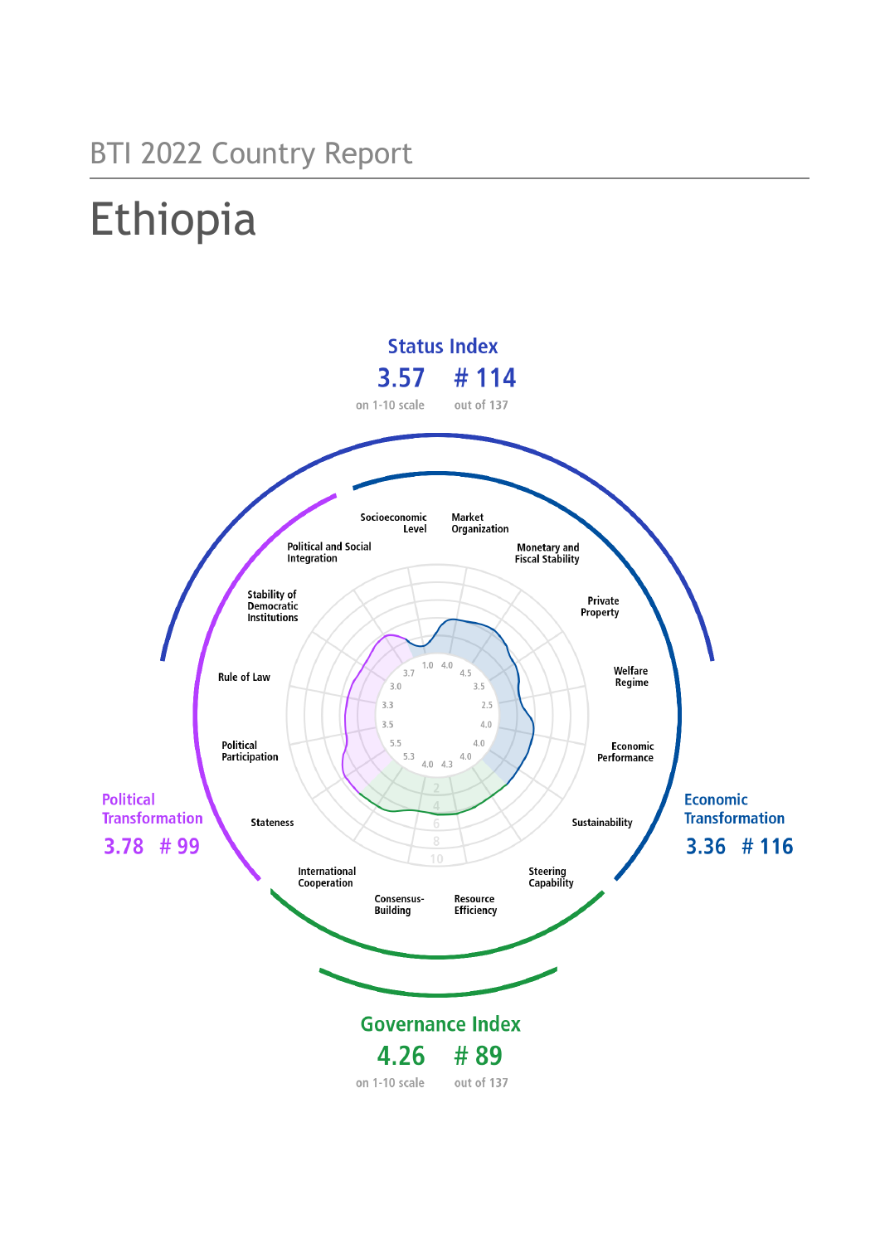## BTI 2022 Country Report

# Ethiopia

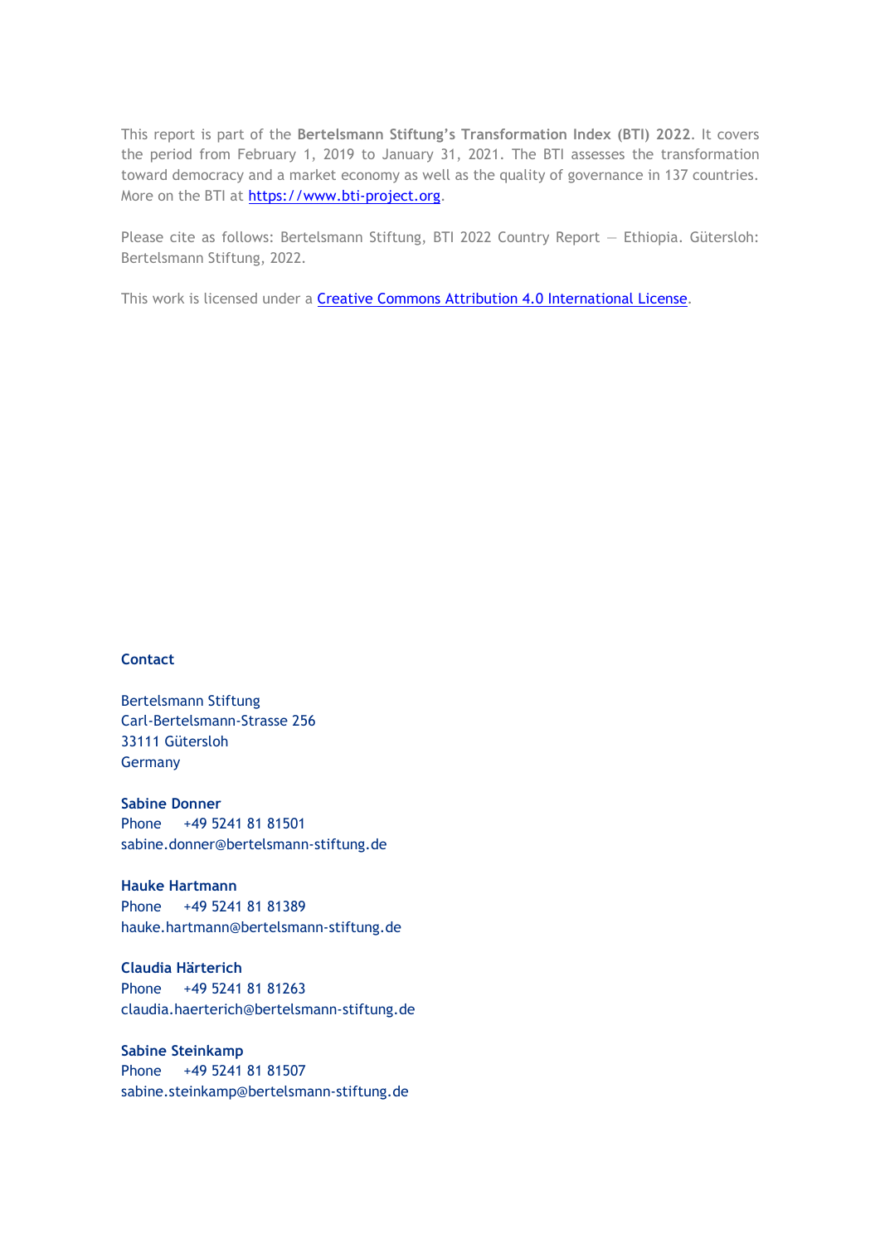This report is part of the **Bertelsmann Stiftung's Transformation Index (BTI) 2022**. It covers the period from February 1, 2019 to January 31, 2021. The BTI assesses the transformation toward democracy and a market economy as well as the quality of governance in 137 countries. More on the BTI at [https://www.bti-project.org.](https://www.bti-project.org/)

Please cite as follows: Bertelsmann Stiftung, BTI 2022 Country Report — Ethiopia. Gütersloh: Bertelsmann Stiftung, 2022.

This work is licensed under a **Creative Commons Attribution 4.0 International License**.

#### **Contact**

Bertelsmann Stiftung Carl-Bertelsmann-Strasse 256 33111 Gütersloh Germany

**Sabine Donner** Phone +49 5241 81 81501 sabine.donner@bertelsmann-stiftung.de

**Hauke Hartmann** Phone +49 5241 81 81389 hauke.hartmann@bertelsmann-stiftung.de

**Claudia Härterich** Phone +49 5241 81 81263 claudia.haerterich@bertelsmann-stiftung.de

#### **Sabine Steinkamp** Phone +49 5241 81 81507 sabine.steinkamp@bertelsmann-stiftung.de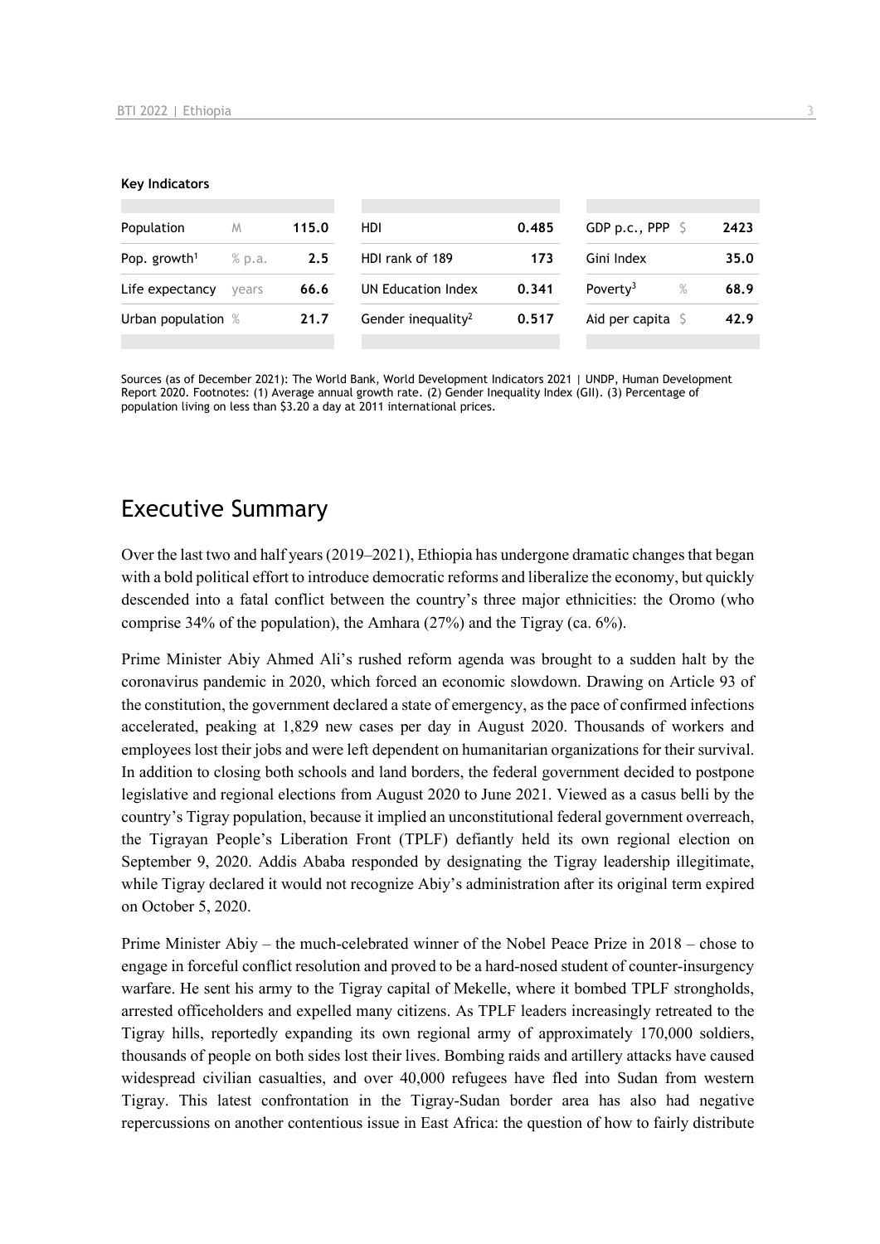#### **Key Indicators**

| Population                         | M     | 115.0 | HDI.                           | 0.485 | GDP p.c., PPP $\sqrt{5}$  |      | 2423 |
|------------------------------------|-------|-------|--------------------------------|-------|---------------------------|------|------|
| Pop. growth <sup>1</sup><br>% p.a. |       | 2.5   | HDI rank of 189<br>173         |       | Gini Index                | 35.0 |      |
| Life expectancy                    | vears | 66.6  | UN Education Index             | 0.341 | Poverty <sup>3</sup>      | $\%$ | 68.9 |
| Urban population %                 |       | 21.7  | Gender inequality <sup>2</sup> | 0.517 | Aid per capita $\sqrt{5}$ |      | 42.9 |
|                                    |       |       |                                |       |                           |      |      |

Sources (as of December 2021): The World Bank, World Development Indicators 2021 | UNDP, Human Development Report 2020. Footnotes: (1) Average annual growth rate. (2) Gender Inequality Index (GII). (3) Percentage of population living on less than \$3.20 a day at 2011 international prices.

## Executive Summary

Over the last two and half years (2019–2021), Ethiopia has undergone dramatic changes that began with a bold political effort to introduce democratic reforms and liberalize the economy, but quickly descended into a fatal conflict between the country's three major ethnicities: the Oromo (who comprise 34% of the population), the Amhara (27%) and the Tigray (ca. 6%).

Prime Minister Abiy Ahmed Ali's rushed reform agenda was brought to a sudden halt by the coronavirus pandemic in 2020, which forced an economic slowdown. Drawing on Article 93 of the constitution, the government declared a state of emergency, as the pace of confirmed infections accelerated, peaking at 1,829 new cases per day in August 2020. Thousands of workers and employees lost their jobs and were left dependent on humanitarian organizations for their survival. In addition to closing both schools and land borders, the federal government decided to postpone legislative and regional elections from August 2020 to June 2021. Viewed as a casus belli by the country's Tigray population, because it implied an unconstitutional federal government overreach, the Tigrayan People's Liberation Front (TPLF) defiantly held its own regional election on September 9, 2020. Addis Ababa responded by designating the Tigray leadership illegitimate, while Tigray declared it would not recognize Abiy's administration after its original term expired on October 5, 2020.

Prime Minister Abiy – the much-celebrated winner of the Nobel Peace Prize in 2018 – chose to engage in forceful conflict resolution and proved to be a hard-nosed student of counter-insurgency warfare. He sent his army to the Tigray capital of Mekelle, where it bombed TPLF strongholds, arrested officeholders and expelled many citizens. As TPLF leaders increasingly retreated to the Tigray hills, reportedly expanding its own regional army of approximately 170,000 soldiers, thousands of people on both sides lost their lives. Bombing raids and artillery attacks have caused widespread civilian casualties, and over 40,000 refugees have fled into Sudan from western Tigray. This latest confrontation in the Tigray-Sudan border area has also had negative repercussions on another contentious issue in East Africa: the question of how to fairly distribute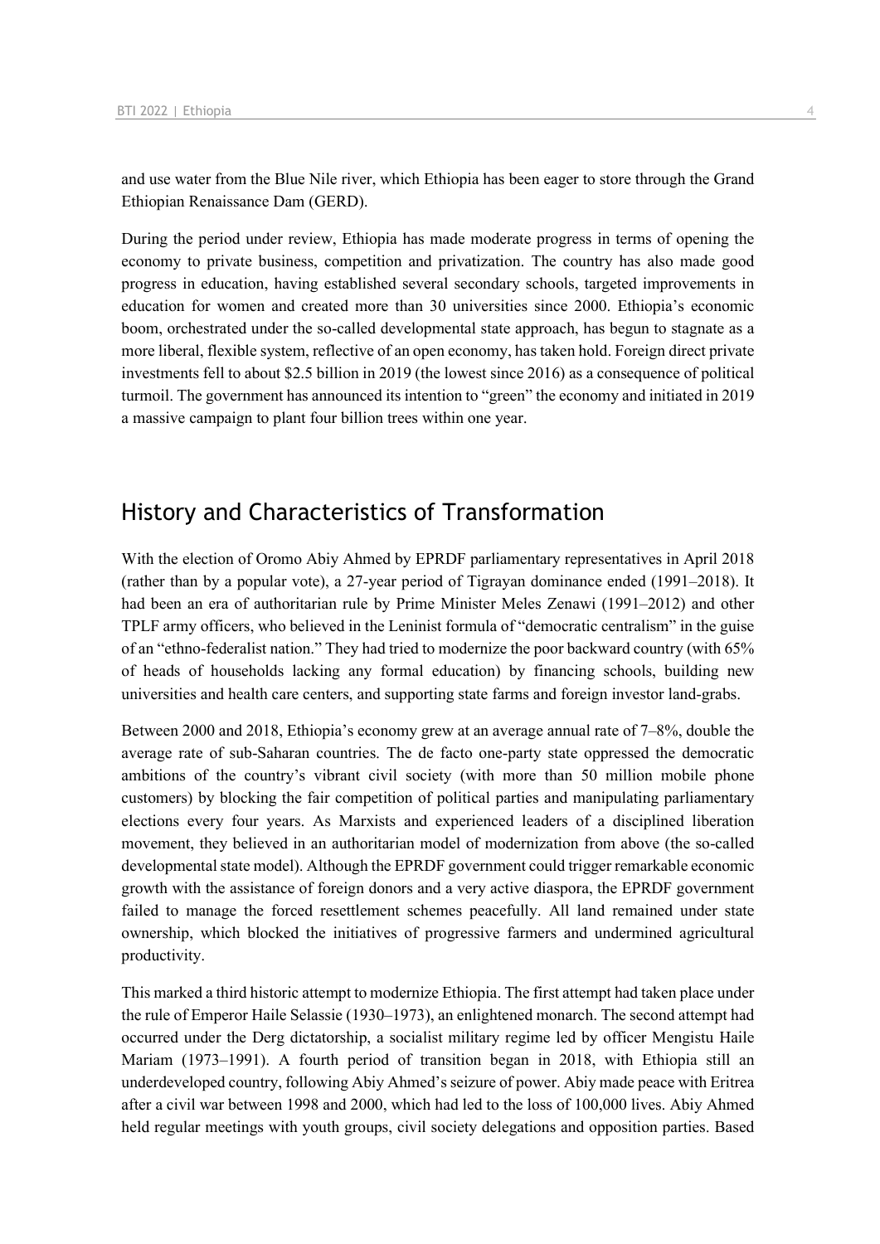and use water from the Blue Nile river, which Ethiopia has been eager to store through the Grand Ethiopian Renaissance Dam (GERD).

During the period under review, Ethiopia has made moderate progress in terms of opening the economy to private business, competition and privatization. The country has also made good progress in education, having established several secondary schools, targeted improvements in education for women and created more than 30 universities since 2000. Ethiopia's economic boom, orchestrated under the so-called developmental state approach, has begun to stagnate as a more liberal, flexible system, reflective of an open economy, has taken hold. Foreign direct private investments fell to about \$2.5 billion in 2019 (the lowest since 2016) as a consequence of political turmoil. The government has announced its intention to "green" the economy and initiated in 2019 a massive campaign to plant four billion trees within one year.

## History and Characteristics of Transformation

With the election of Oromo Abiy Ahmed by EPRDF parliamentary representatives in April 2018 (rather than by a popular vote), a 27-year period of Tigrayan dominance ended (1991–2018). It had been an era of authoritarian rule by Prime Minister Meles Zenawi (1991–2012) and other TPLF army officers, who believed in the Leninist formula of "democratic centralism" in the guise of an "ethno-federalist nation." They had tried to modernize the poor backward country (with 65% of heads of households lacking any formal education) by financing schools, building new universities and health care centers, and supporting state farms and foreign investor land-grabs.

Between 2000 and 2018, Ethiopia's economy grew at an average annual rate of 7–8%, double the average rate of sub-Saharan countries. The de facto one-party state oppressed the democratic ambitions of the country's vibrant civil society (with more than 50 million mobile phone customers) by blocking the fair competition of political parties and manipulating parliamentary elections every four years. As Marxists and experienced leaders of a disciplined liberation movement, they believed in an authoritarian model of modernization from above (the so-called developmental state model). Although the EPRDF government could trigger remarkable economic growth with the assistance of foreign donors and a very active diaspora, the EPRDF government failed to manage the forced resettlement schemes peacefully. All land remained under state ownership, which blocked the initiatives of progressive farmers and undermined agricultural productivity.

This marked a third historic attempt to modernize Ethiopia. The first attempt had taken place under the rule of Emperor Haile Selassie (1930–1973), an enlightened monarch. The second attempt had occurred under the Derg dictatorship, a socialist military regime led by officer Mengistu Haile Mariam (1973–1991). A fourth period of transition began in 2018, with Ethiopia still an underdeveloped country, following Abiy Ahmed's seizure of power. Abiy made peace with Eritrea after a civil war between 1998 and 2000, which had led to the loss of 100,000 lives. Abiy Ahmed held regular meetings with youth groups, civil society delegations and opposition parties. Based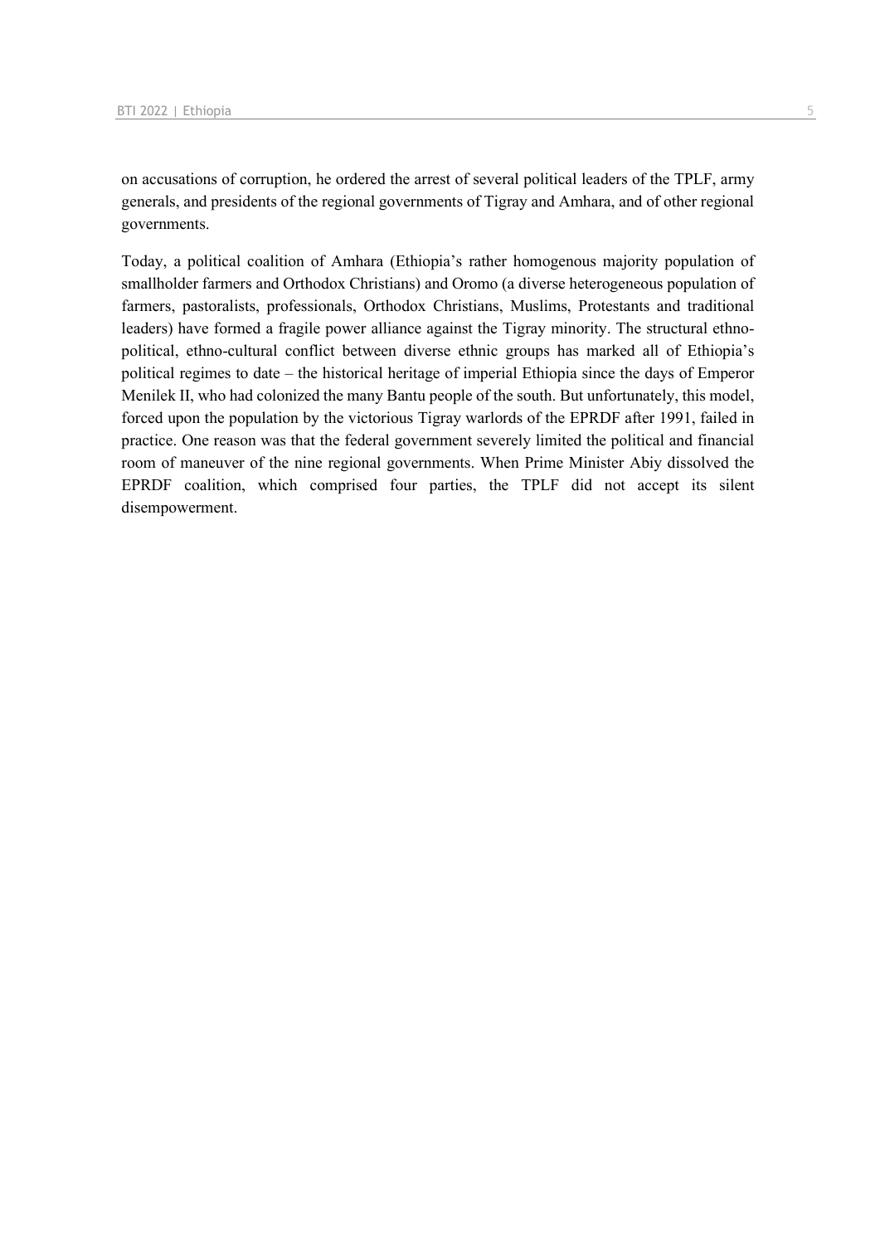on accusations of corruption, he ordered the arrest of several political leaders of the TPLF, army generals, and presidents of the regional governments of Tigray and Amhara, and of other regional governments.

Today, a political coalition of Amhara (Ethiopia's rather homogenous majority population of smallholder farmers and Orthodox Christians) and Oromo (a diverse heterogeneous population of farmers, pastoralists, professionals, Orthodox Christians, Muslims, Protestants and traditional leaders) have formed a fragile power alliance against the Tigray minority. The structural ethnopolitical, ethno-cultural conflict between diverse ethnic groups has marked all of Ethiopia's political regimes to date – the historical heritage of imperial Ethiopia since the days of Emperor Menilek II, who had colonized the many Bantu people of the south. But unfortunately, this model, forced upon the population by the victorious Tigray warlords of the EPRDF after 1991, failed in practice. One reason was that the federal government severely limited the political and financial room of maneuver of the nine regional governments. When Prime Minister Abiy dissolved the EPRDF coalition, which comprised four parties, the TPLF did not accept its silent disempowerment.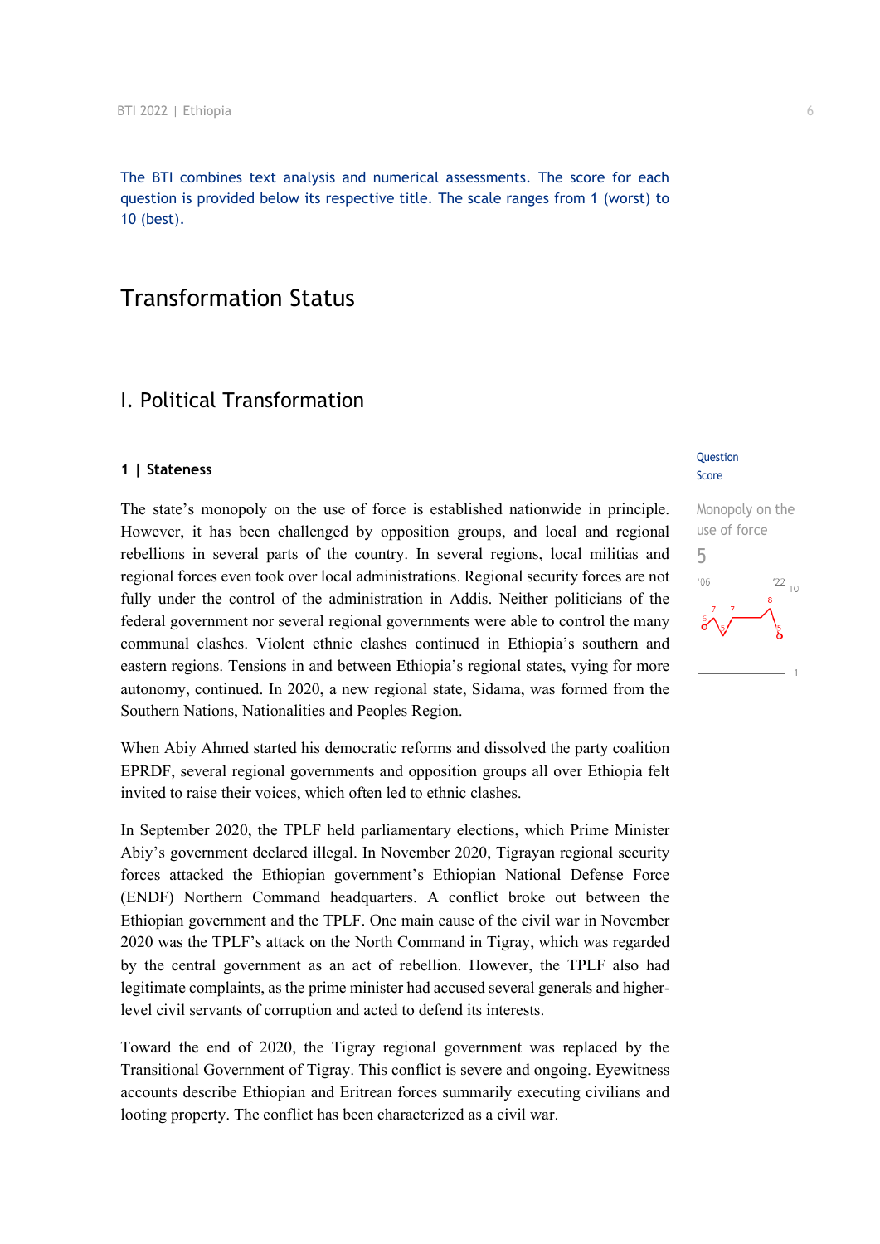The BTI combines text analysis and numerical assessments. The score for each question is provided below its respective title. The scale ranges from 1 (worst) to 10 (best).

## Transformation Status

## I. Political Transformation

#### **1 | Stateness**

The state's monopoly on the use of force is established nationwide in principle. However, it has been challenged by opposition groups, and local and regional rebellions in several parts of the country. In several regions, local militias and regional forces even took over local administrations. Regional security forces are not fully under the control of the administration in Addis. Neither politicians of the federal government nor several regional governments were able to control the many communal clashes. Violent ethnic clashes continued in Ethiopia's southern and eastern regions. Tensions in and between Ethiopia's regional states, vying for more autonomy, continued. In 2020, a new regional state, Sidama, was formed from the Southern Nations, Nationalities and Peoples Region.

When Abiy Ahmed started his democratic reforms and dissolved the party coalition EPRDF, several regional governments and opposition groups all over Ethiopia felt invited to raise their voices, which often led to ethnic clashes.

In September 2020, the TPLF held parliamentary elections, which Prime Minister Abiy's government declared illegal. In November 2020, Tigrayan regional security forces attacked the Ethiopian government's Ethiopian National Defense Force (ENDF) Northern Command headquarters. A conflict broke out between the Ethiopian government and the TPLF. One main cause of the civil war in November 2020 was the TPLF's attack on the North Command in Tigray, which was regarded by the central government as an act of rebellion. However, the TPLF also had legitimate complaints, as the prime minister had accused several generals and higherlevel civil servants of corruption and acted to defend its interests.

Toward the end of 2020, the Tigray regional government was replaced by the Transitional Government of Tigray. This conflict is severe and ongoing. Eyewitness accounts describe Ethiopian and Eritrean forces summarily executing civilians and looting property. The conflict has been characterized as a civil war.

#### **Question** Score

## Monopoly on the use of force 5 $\frac{22}{10}$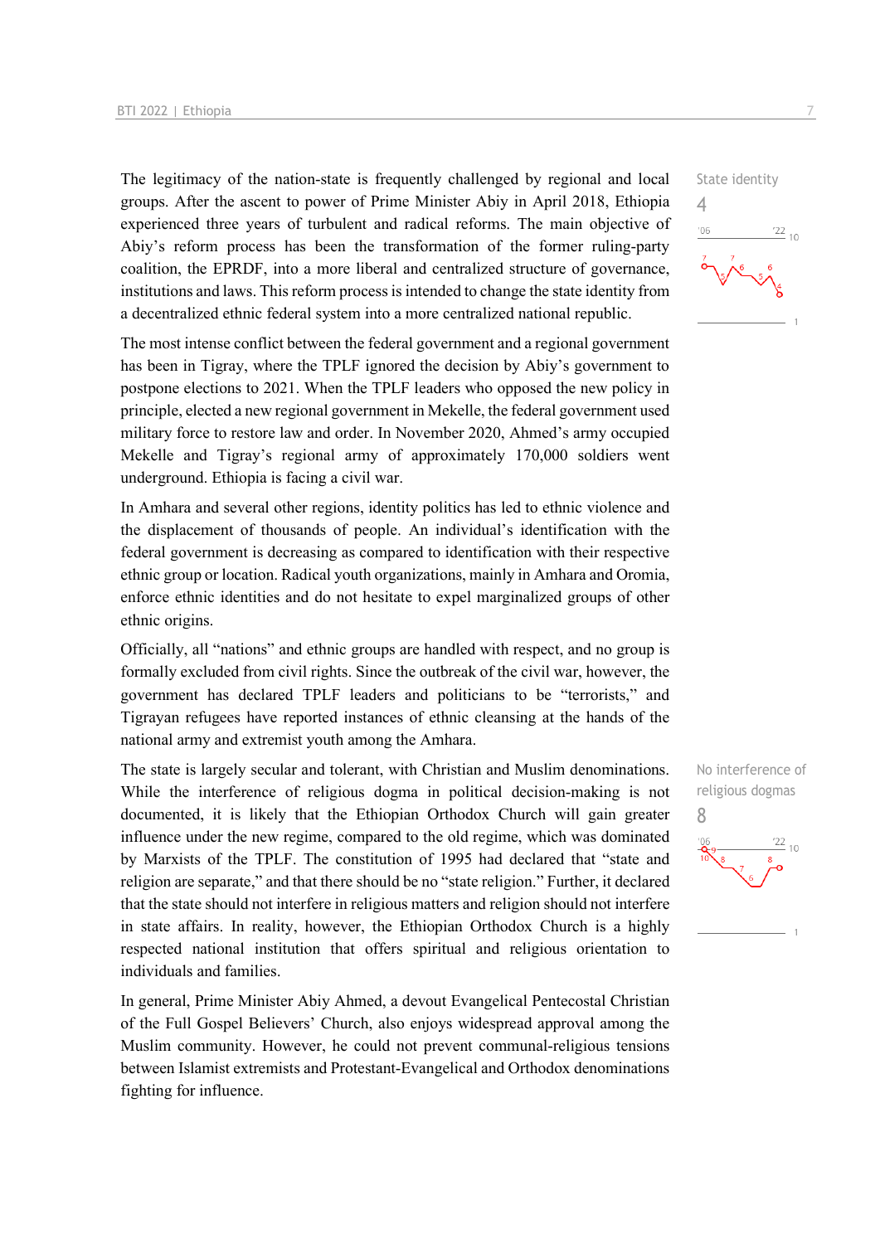The legitimacy of the nation-state is frequently challenged by regional and local groups. After the ascent to power of Prime Minister Abiy in April 2018, Ethiopia experienced three years of turbulent and radical reforms. The main objective of Abiy's reform process has been the transformation of the former ruling-party coalition, the EPRDF, into a more liberal and centralized structure of governance, institutions and laws. This reform process is intended to change the state identity from a decentralized ethnic federal system into a more centralized national republic.

The most intense conflict between the federal government and a regional government has been in Tigray, where the TPLF ignored the decision by Abiy's government to postpone elections to 2021. When the TPLF leaders who opposed the new policy in principle, elected a new regional government in Mekelle, the federal government used military force to restore law and order. In November 2020, Ahmed's army occupied Mekelle and Tigray's regional army of approximately 170,000 soldiers went underground. Ethiopia is facing a civil war.

In Amhara and several other regions, identity politics has led to ethnic violence and the displacement of thousands of people. An individual's identification with the federal government is decreasing as compared to identification with their respective ethnic group or location. Radical youth organizations, mainly in Amhara and Oromia, enforce ethnic identities and do not hesitate to expel marginalized groups of other ethnic origins.

Officially, all "nations" and ethnic groups are handled with respect, and no group is formally excluded from civil rights. Since the outbreak of the civil war, however, the government has declared TPLF leaders and politicians to be "terrorists," and Tigrayan refugees have reported instances of ethnic cleansing at the hands of the national army and extremist youth among the Amhara.

The state is largely secular and tolerant, with Christian and Muslim denominations. While the interference of religious dogma in political decision-making is not documented, it is likely that the Ethiopian Orthodox Church will gain greater influence under the new regime, compared to the old regime, which was dominated by Marxists of the TPLF. The constitution of 1995 had declared that "state and religion are separate," and that there should be no "state religion." Further, it declared that the state should not interfere in religious matters and religion should not interfere in state affairs. In reality, however, the Ethiopian Orthodox Church is a highly respected national institution that offers spiritual and religious orientation to individuals and families.

In general, Prime Minister Abiy Ahmed, a devout Evangelical Pentecostal Christian of the Full Gospel Believers' Church, also enjoys widespread approval among the Muslim community. However, he could not prevent communal-religious tensions between Islamist extremists and Protestant-Evangelical and Orthodox denominations fighting for influence.





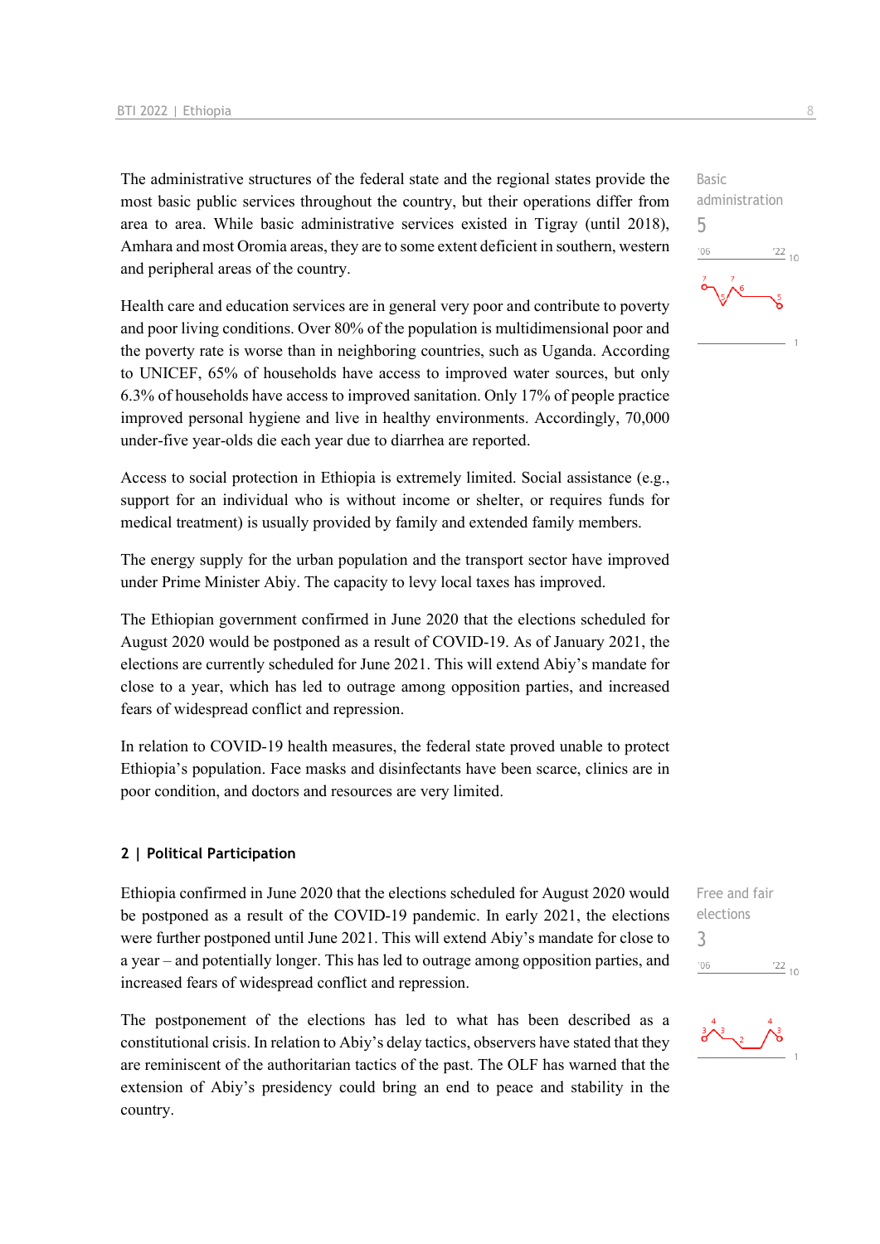The administrative structures of the federal state and the regional states provide the most basic public services throughout the country, but their operations differ from area to area. While basic administrative services existed in Tigray (until 2018), Amhara and most Oromia areas, they are to some extent deficient in southern, western and peripheral areas of the country.

Health care and education services are in general very poor and contribute to poverty and poor living conditions. Over 80% of the population is multidimensional poor and the poverty rate is worse than in neighboring countries, such as Uganda. According to UNICEF, 65% of households have access to improved water sources, but only 6.3% of households have access to improved sanitation. Only 17% of people practice improved personal hygiene and live in healthy environments. Accordingly, 70,000 under-five year-olds die each year due to diarrhea are reported.

Access to social protection in Ethiopia is extremely limited. Social assistance (e.g., support for an individual who is without income or shelter, or requires funds for medical treatment) is usually provided by family and extended family members.

The energy supply for the urban population and the transport sector have improved under Prime Minister Abiy. The capacity to levy local taxes has improved.

The Ethiopian government confirmed in June 2020 that the elections scheduled for August 2020 would be postponed as a result of COVID-19. As of January 2021, the elections are currently scheduled for June 2021. This will extend Abiy's mandate for close to a year, which has led to outrage among opposition parties, and increased fears of widespread conflict and repression.

In relation to COVID-19 health measures, the federal state proved unable to protect Ethiopia's population. Face masks and disinfectants have been scarce, clinics are in poor condition, and doctors and resources are very limited.

#### **2 | Political Participation**

Ethiopia confirmed in June 2020 that the elections scheduled for August 2020 would be postponed as a result of the COVID-19 pandemic. In early 2021, the elections were further postponed until June 2021. This will extend Abiy's mandate for close to a year – and potentially longer. This has led to outrage among opposition parties, and increased fears of widespread conflict and repression.

The postponement of the elections has led to what has been described as a constitutional crisis. In relation to Abiy's delay tactics, observers have stated that they are reminiscent of the authoritarian tactics of the past. The OLF has warned that the extension of Abiy's presidency could bring an end to peace and stability in the country.

Basic administration 5  $-06$  $\frac{22}{10}$ 

Free and fair elections 3 $'06$  $\frac{22}{10}$ 

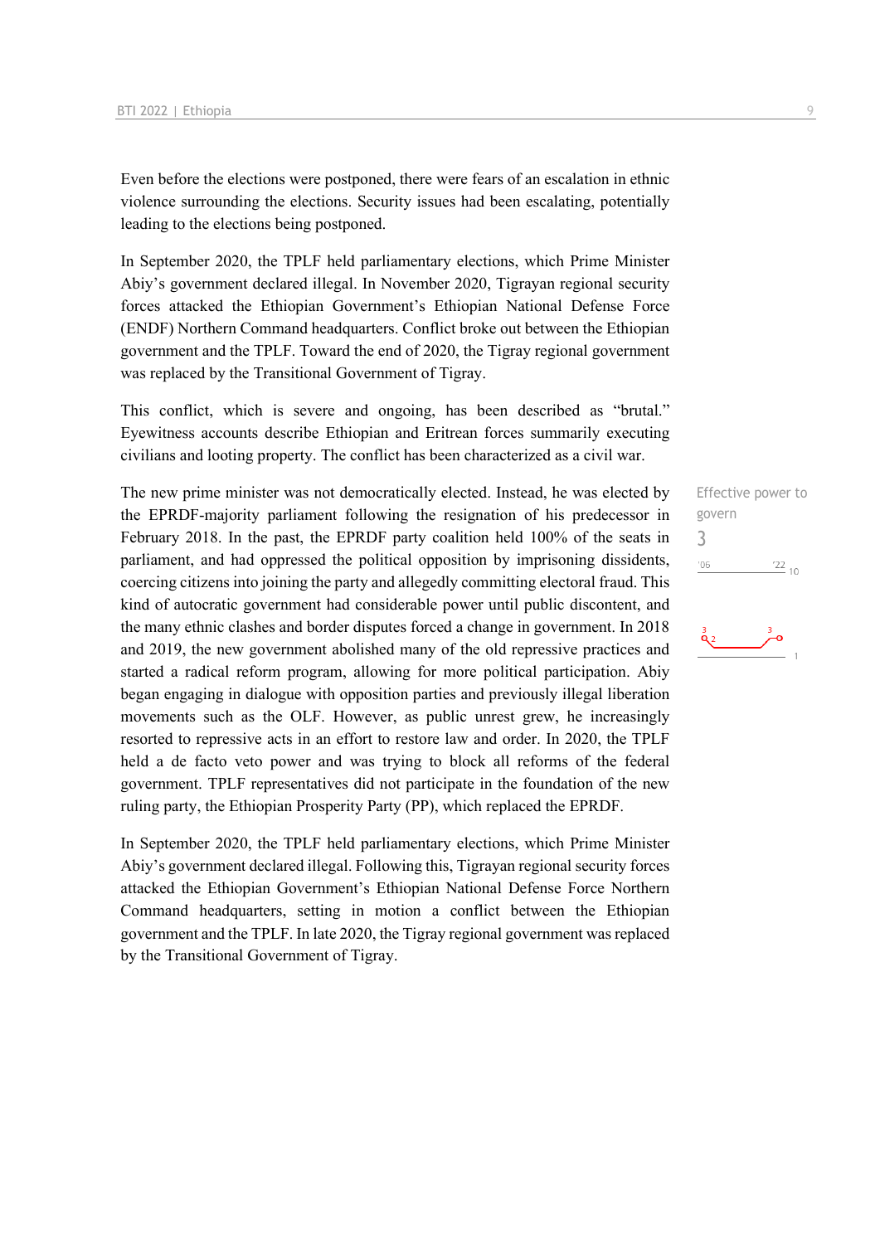Even before the elections were postponed, there were fears of an escalation in ethnic violence surrounding the elections. Security issues had been escalating, potentially leading to the elections being postponed.

In September 2020, the TPLF held parliamentary elections, which Prime Minister Abiy's government declared illegal. In November 2020, Tigrayan regional security forces attacked the Ethiopian Government's Ethiopian National Defense Force (ENDF) Northern Command headquarters. Conflict broke out between the Ethiopian government and the TPLF. Toward the end of 2020, the Tigray regional government was replaced by the Transitional Government of Tigray.

This conflict, which is severe and ongoing, has been described as "brutal." Eyewitness accounts describe Ethiopian and Eritrean forces summarily executing civilians and looting property. The conflict has been characterized as a civil war.

The new prime minister was not democratically elected. Instead, he was elected by the EPRDF-majority parliament following the resignation of his predecessor in February 2018. In the past, the EPRDF party coalition held 100% of the seats in parliament, and had oppressed the political opposition by imprisoning dissidents, coercing citizens into joining the party and allegedly committing electoral fraud. This kind of autocratic government had considerable power until public discontent, and the many ethnic clashes and border disputes forced a change in government. In 2018 and 2019, the new government abolished many of the old repressive practices and started a radical reform program, allowing for more political participation. Abiy began engaging in dialogue with opposition parties and previously illegal liberation movements such as the OLF. However, as public unrest grew, he increasingly resorted to repressive acts in an effort to restore law and order. In 2020, the TPLF held a de facto veto power and was trying to block all reforms of the federal government. TPLF representatives did not participate in the foundation of the new ruling party, the Ethiopian Prosperity Party (PP), which replaced the EPRDF.

In September 2020, the TPLF held parliamentary elections, which Prime Minister Abiy's government declared illegal. Following this, Tigrayan regional security forces attacked the Ethiopian Government's Ethiopian National Defense Force Northern Command headquarters, setting in motion a conflict between the Ethiopian government and the TPLF. In late 2020, the Tigray regional government was replaced by the Transitional Government of Tigray.

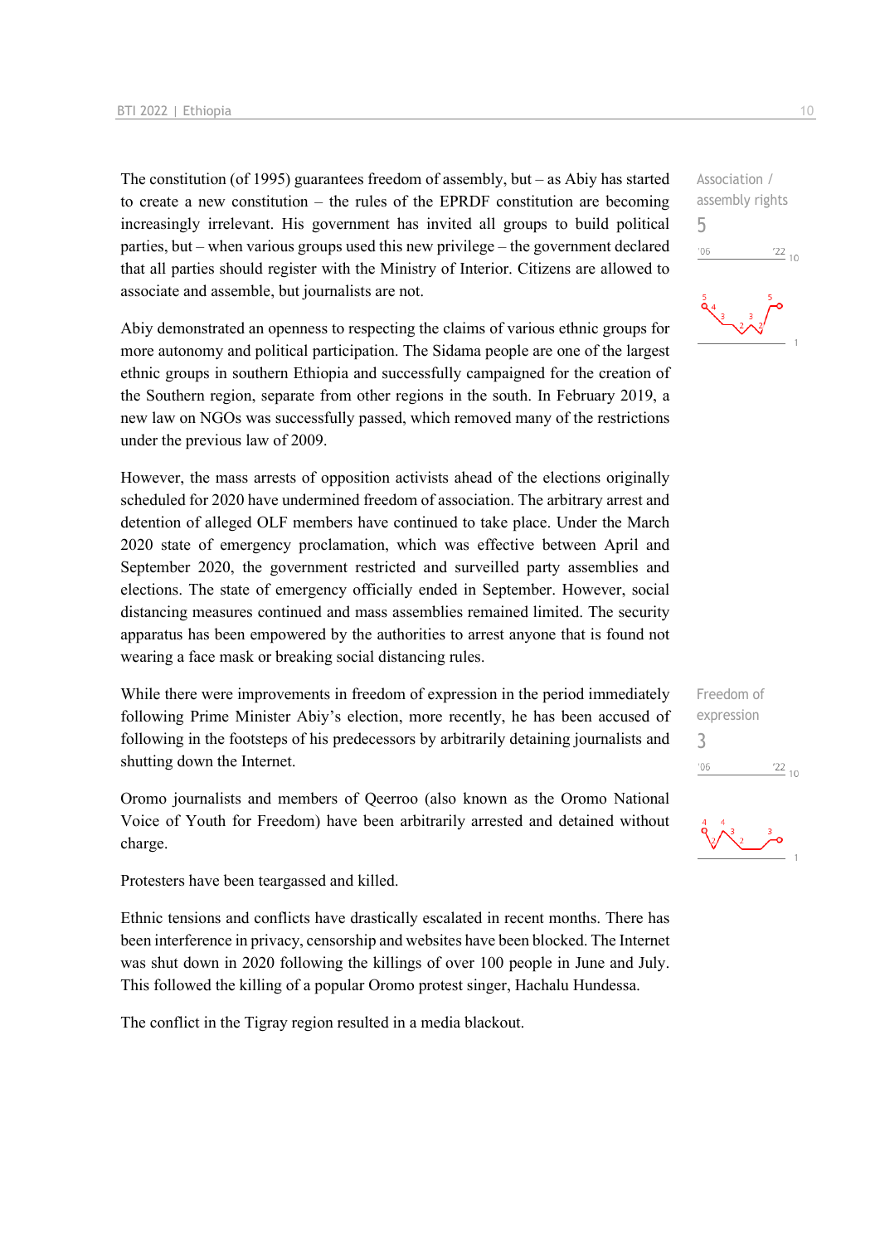The constitution (of 1995) guarantees freedom of assembly, but – as Abiy has started to create a new constitution – the rules of the EPRDF constitution are becoming increasingly irrelevant. His government has invited all groups to build political parties, but – when various groups used this new privilege – the government declared that all parties should register with the Ministry of Interior. Citizens are allowed to associate and assemble, but journalists are not.

Abiy demonstrated an openness to respecting the claims of various ethnic groups for more autonomy and political participation. The Sidama people are one of the largest ethnic groups in southern Ethiopia and successfully campaigned for the creation of the Southern region, separate from other regions in the south. In February 2019, a new law on NGOs was successfully passed, which removed many of the restrictions under the previous law of 2009.

However, the mass arrests of opposition activists ahead of the elections originally scheduled for 2020 have undermined freedom of association. The arbitrary arrest and detention of alleged OLF members have continued to take place. Under the March 2020 state of emergency proclamation, which was effective between April and September 2020, the government restricted and surveilled party assemblies and elections. The state of emergency officially ended in September. However, social distancing measures continued and mass assemblies remained limited. The security apparatus has been empowered by the authorities to arrest anyone that is found not wearing a face mask or breaking social distancing rules.

While there were improvements in freedom of expression in the period immediately following Prime Minister Abiy's election, more recently, he has been accused of following in the footsteps of his predecessors by arbitrarily detaining journalists and shutting down the Internet.

Oromo journalists and members of Qeerroo (also known as the Oromo National Voice of Youth for Freedom) have been arbitrarily arrested and detained without charge.

Protesters have been teargassed and killed.

Ethnic tensions and conflicts have drastically escalated in recent months. There has been interference in privacy, censorship and websites have been blocked. The Internet was shut down in 2020 following the killings of over 100 people in June and July. This followed the killing of a popular Oromo protest singer, Hachalu Hundessa.

The conflict in the Tigray region resulted in a media blackout.

Association / assembly rights 5  $-06$  $\frac{22}{10}$ 



| Freedom of |            |  |
|------------|------------|--|
| expression |            |  |
| 3          |            |  |
| '06        | $122_{10}$ |  |
|            |            |  |

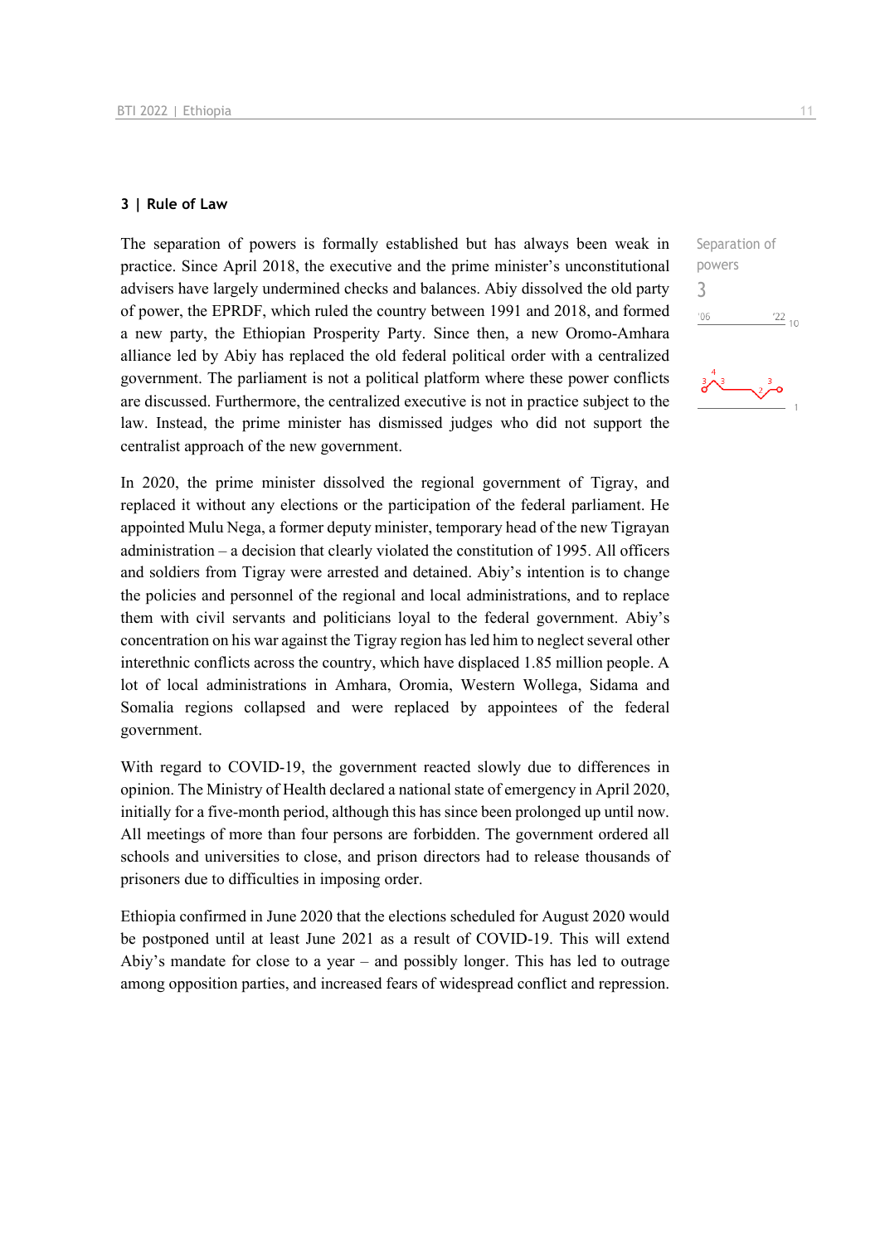#### **3 | Rule of Law**

The separation of powers is formally established but has always been weak in practice. Since April 2018, the executive and the prime minister's unconstitutional advisers have largely undermined checks and balances. Abiy dissolved the old party of power, the EPRDF, which ruled the country between 1991 and 2018, and formed a new party, the Ethiopian Prosperity Party. Since then, a new Oromo-Amhara alliance led by Abiy has replaced the old federal political order with a centralized government. The parliament is not a political platform where these power conflicts are discussed. Furthermore, the centralized executive is not in practice subject to the law. Instead, the prime minister has dismissed judges who did not support the centralist approach of the new government.

In 2020, the prime minister dissolved the regional government of Tigray, and replaced it without any elections or the participation of the federal parliament. He appointed Mulu Nega, a former deputy minister, temporary head of the new Tigrayan administration – a decision that clearly violated the constitution of 1995. All officers and soldiers from Tigray were arrested and detained. Abiy's intention is to change the policies and personnel of the regional and local administrations, and to replace them with civil servants and politicians loyal to the federal government. Abiy's concentration on his war against the Tigray region has led him to neglect several other interethnic conflicts across the country, which have displaced 1.85 million people. A lot of local administrations in Amhara, Oromia, Western Wollega, Sidama and Somalia regions collapsed and were replaced by appointees of the federal government.

With regard to COVID-19, the government reacted slowly due to differences in opinion. The Ministry of Health declared a national state of emergency in April 2020, initially for a five-month period, although this has since been prolonged up until now. All meetings of more than four persons are forbidden. The government ordered all schools and universities to close, and prison directors had to release thousands of prisoners due to difficulties in imposing order.

Ethiopia confirmed in June 2020 that the elections scheduled for August 2020 would be postponed until at least June 2021 as a result of COVID-19. This will extend Abiy's mandate for close to a year – and possibly longer. This has led to outrage among opposition parties, and increased fears of widespread conflict and repression. Separation of powers 3 $06'$  $\frac{22}{10}$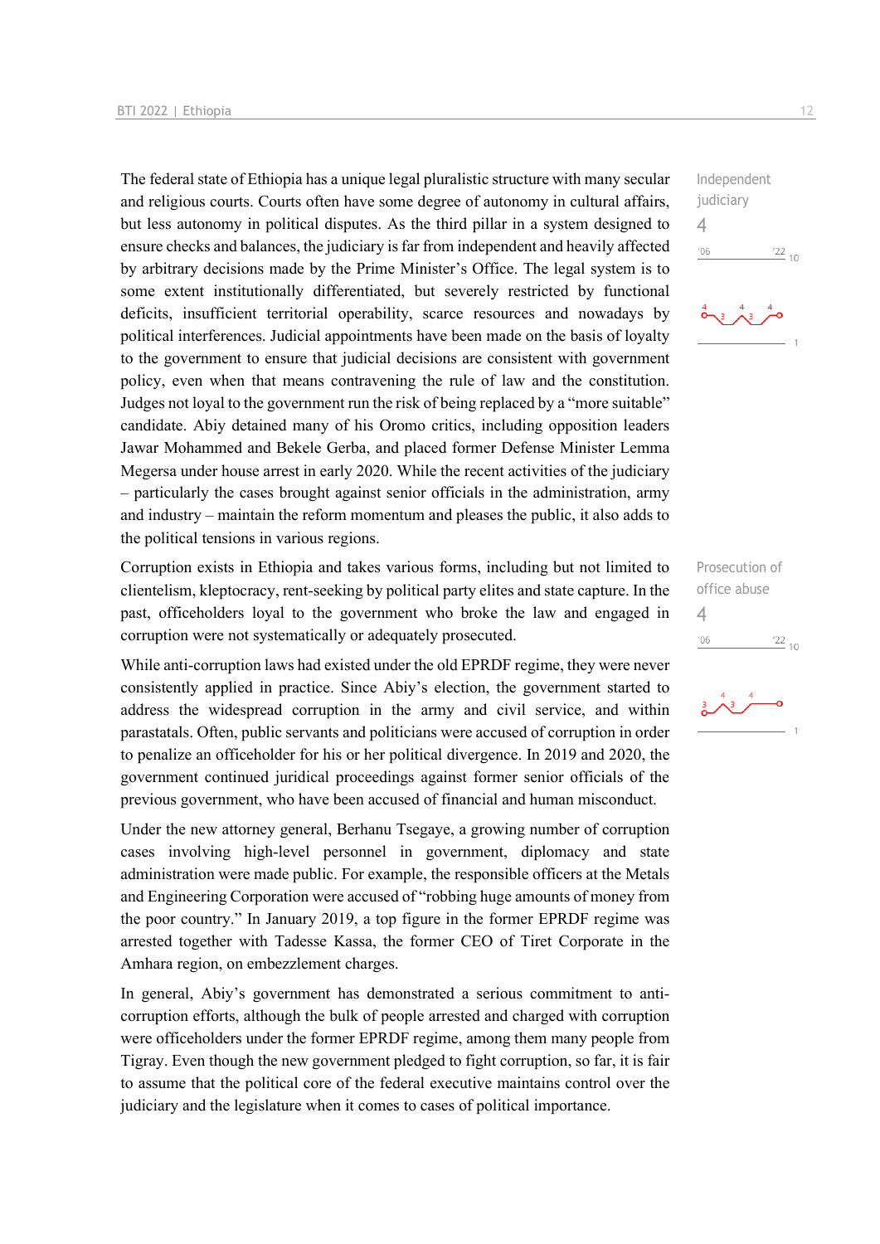The federal state of Ethiopia has a unique legal pluralistic structure with many secular and religious courts. Courts often have some degree of autonomy in cultural affairs, but less autonomy in political disputes. As the third pillar in a system designed to ensure checks and balances, the judiciary is far from independent and heavily affected by arbitrary decisions made by the Prime Minister's Office. The legal system is to some extent institutionally differentiated, but severely restricted by functional deficits, insufficient territorial operability, scarce resources and nowadays by political interferences. Judicial appointments have been made on the basis of loyalty to the government to ensure that judicial decisions are consistent with government policy, even when that means contravening the rule of law and the constitution. Judges not loyal to the government run the risk of being replaced by a "more suitable" candidate. Abiy detained many of his Oromo critics, including opposition leaders Jawar Mohammed and Bekele Gerba, and placed former Defense Minister Lemma Megersa under house arrest in early 2020. While the recent activities of the judiciary – particularly the cases brought against senior officials in the administration, army and industry – maintain the reform momentum and pleases the public, it also adds to the political tensions in various regions.

Corruption exists in Ethiopia and takes various forms, including but not limited to clientelism, kleptocracy, rent-seeking by political party elites and state capture. In the past, officeholders loyal to the government who broke the law and engaged in corruption were not systematically or adequately prosecuted.

While anti-corruption laws had existed under the old EPRDF regime, they were never consistently applied in practice. Since Abiy's election, the government started to address the widespread corruption in the army and civil service, and within parastatals. Often, public servants and politicians were accused of corruption in order to penalize an officeholder for his or her political divergence. In 2019 and 2020, the government continued juridical proceedings against former senior officials of the previous government, who have been accused of financial and human misconduct.

Under the new attorney general, Berhanu Tsegaye, a growing number of corruption cases involving high-level personnel in government, diplomacy and state administration were made public. For example, the responsible officers at the Metals and Engineering Corporation were accused of "robbing huge amounts of money from the poor country." In January 2019, a top figure in the former EPRDF regime was arrested together with Tadesse Kassa, the former CEO of Tiret Corporate in the Amhara region, on embezzlement charges.

In general, Abiy's government has demonstrated a serious commitment to anticorruption efforts, although the bulk of people arrested and charged with corruption were officeholders under the former EPRDF regime, among them many people from Tigray. Even though the new government pledged to fight corruption, so far, it is fair to assume that the political core of the federal executive maintains control over the judiciary and the legislature when it comes to cases of political importance.

Independent judiciary  $\Delta$  $-06$  $\frac{22}{10}$ 



Prosecution of office abuse  $\Delta$  $06'$  $\frac{22}{10}$ 

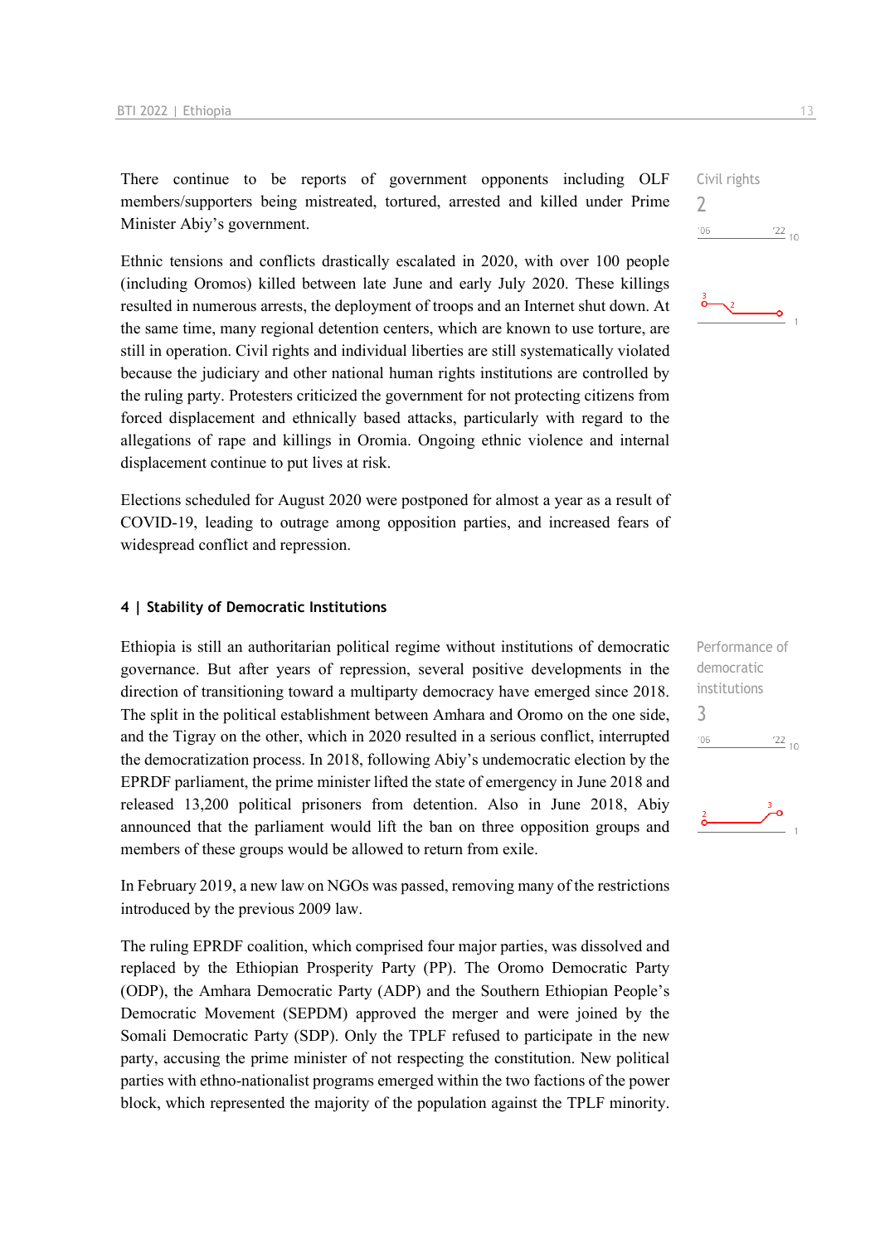There continue to be reports of government opponents including OLF members/supporters being mistreated, tortured, arrested and killed under Prime Minister Abiy's government.

Ethnic tensions and conflicts drastically escalated in 2020, with over 100 people (including Oromos) killed between late June and early July 2020. These killings resulted in numerous arrests, the deployment of troops and an Internet shut down. At the same time, many regional detention centers, which are known to use torture, are still in operation. Civil rights and individual liberties are still systematically violated because the judiciary and other national human rights institutions are controlled by the ruling party. Protesters criticized the government for not protecting citizens from forced displacement and ethnically based attacks, particularly with regard to the allegations of rape and killings in Oromia. Ongoing ethnic violence and internal displacement continue to put lives at risk.

Elections scheduled for August 2020 were postponed for almost a year as a result of COVID-19, leading to outrage among opposition parties, and increased fears of widespread conflict and repression.

#### **4 | Stability of Democratic Institutions**

Ethiopia is still an authoritarian political regime without institutions of democratic governance. But after years of repression, several positive developments in the direction of transitioning toward a multiparty democracy have emerged since 2018. The split in the political establishment between Amhara and Oromo on the one side, and the Tigray on the other, which in 2020 resulted in a serious conflict, interrupted the democratization process. In 2018, following Abiy's undemocratic election by the EPRDF parliament, the prime minister lifted the state of emergency in June 2018 and released 13,200 political prisoners from detention. Also in June 2018, Abiy announced that the parliament would lift the ban on three opposition groups and members of these groups would be allowed to return from exile.

In February 2019, a new law on NGOs was passed, removing many of the restrictions introduced by the previous 2009 law.

The ruling EPRDF coalition, which comprised four major parties, was dissolved and replaced by the Ethiopian Prosperity Party (PP). The Oromo Democratic Party (ODP), the Amhara Democratic Party (ADP) and the Southern Ethiopian People's Democratic Movement (SEPDM) approved the merger and were joined by the Somali Democratic Party (SDP). Only the TPLF refused to participate in the new party, accusing the prime minister of not respecting the constitution. New political parties with ethno-nationalist programs emerged within the two factions of the power block, which represented the majority of the population against the TPLF minority.

Civil rights  $\overline{\phantom{0}}$  $'06$  $\frac{22}{10}$ 





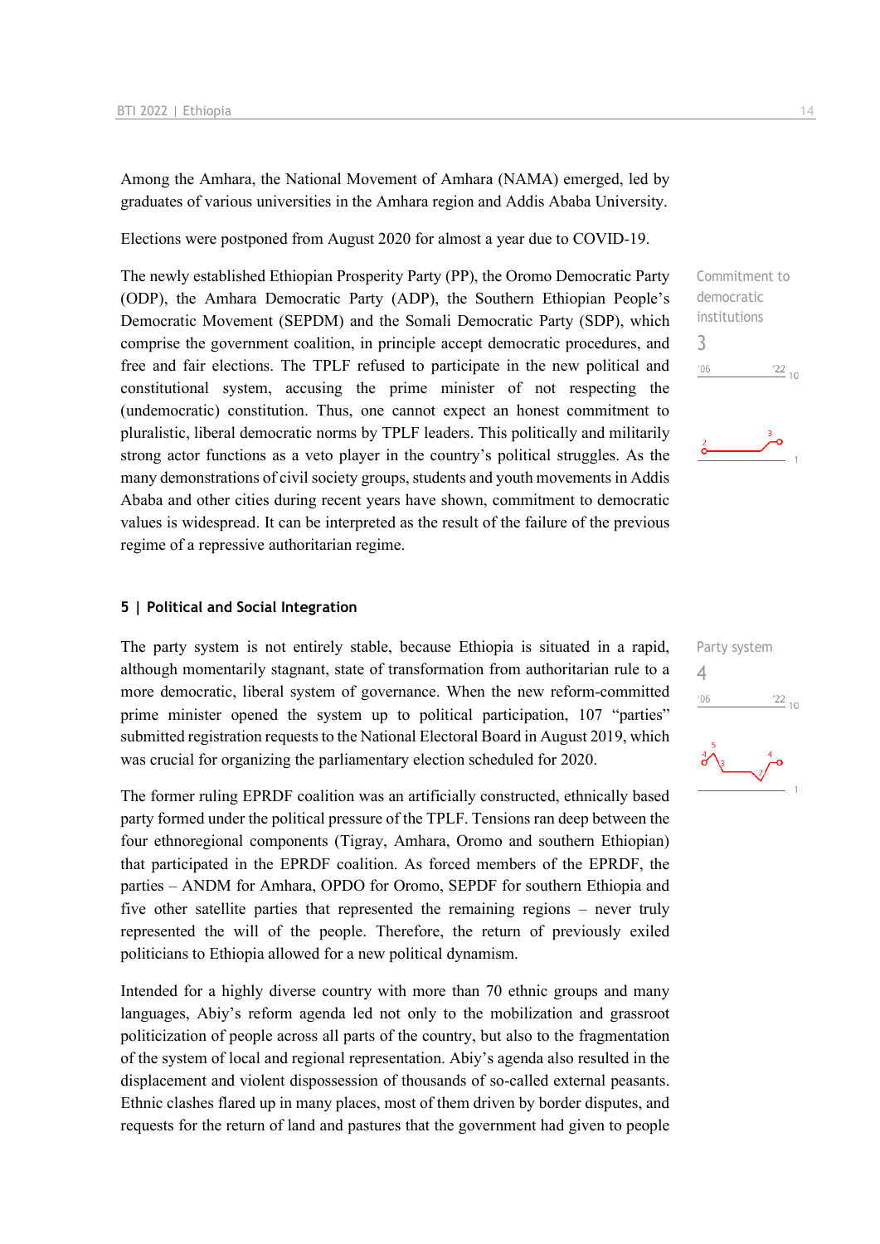Among the Amhara, the National Movement of Amhara (NAMA) emerged, led by graduates of various universities in the Amhara region and Addis Ababa University.

Elections were postponed from August 2020 for almost a year due to COVID-19.

The newly established Ethiopian Prosperity Party (PP), the Oromo Democratic Party (ODP), the Amhara Democratic Party (ADP), the Southern Ethiopian People's Democratic Movement (SEPDM) and the Somali Democratic Party (SDP), which comprise the government coalition, in principle accept democratic procedures, and free and fair elections. The TPLF refused to participate in the new political and constitutional system, accusing the prime minister of not respecting the (undemocratic) constitution. Thus, one cannot expect an honest commitment to pluralistic, liberal democratic norms by TPLF leaders. This politically and militarily strong actor functions as a veto player in the country's political struggles. As the many demonstrations of civil society groups, students and youth movements in Addis Ababa and other cities during recent years have shown, commitment to democratic values is widespread. It can be interpreted as the result of the failure of the previous regime of a repressive authoritarian regime.

#### **5 | Political and Social Integration**

The party system is not entirely stable, because Ethiopia is situated in a rapid, although momentarily stagnant, state of transformation from authoritarian rule to a more democratic, liberal system of governance. When the new reform-committed prime minister opened the system up to political participation, 107 "parties" submitted registration requests to the National Electoral Board in August 2019, which was crucial for organizing the parliamentary election scheduled for 2020.

The former ruling EPRDF coalition was an artificially constructed, ethnically based party formed under the political pressure of the TPLF. Tensions ran deep between the four ethnoregional components (Tigray, Amhara, Oromo and southern Ethiopian) that participated in the EPRDF coalition. As forced members of the EPRDF, the parties – ANDM for Amhara, OPDO for Oromo, SEPDF for southern Ethiopia and five other satellite parties that represented the remaining regions – never truly represented the will of the people. Therefore, the return of previously exiled politicians to Ethiopia allowed for a new political dynamism.

Intended for a highly diverse country with more than 70 ethnic groups and many languages, Abiy's reform agenda led not only to the mobilization and grassroot politicization of people across all parts of the country, but also to the fragmentation of the system of local and regional representation. Abiy's agenda also resulted in the displacement and violent dispossession of thousands of so-called external peasants. Ethnic clashes flared up in many places, most of them driven by border disputes, and requests for the return of land and pastures that the government had given to people

Commitment to democratic institutions 3  $\frac{22}{10}$  $'06$ 

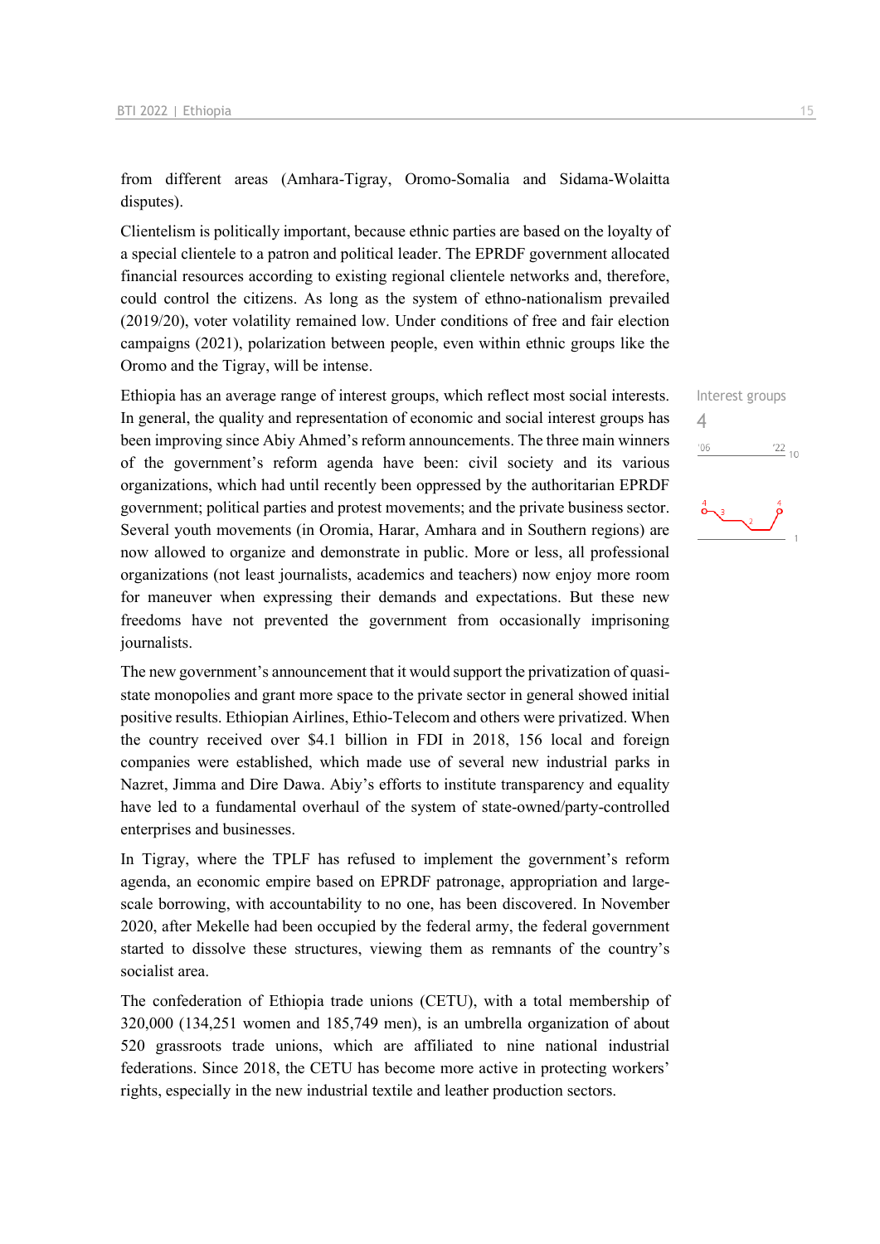from different areas (Amhara-Tigray, Oromo-Somalia and Sidama-Wolaitta disputes).

Clientelism is politically important, because ethnic parties are based on the loyalty of a special clientele to a patron and political leader. The EPRDF government allocated financial resources according to existing regional clientele networks and, therefore, could control the citizens. As long as the system of ethno-nationalism prevailed (2019/20), voter volatility remained low. Under conditions of free and fair election campaigns (2021), polarization between people, even within ethnic groups like the Oromo and the Tigray, will be intense.

Ethiopia has an average range of interest groups, which reflect most social interests. In general, the quality and representation of economic and social interest groups has been improving since Abiy Ahmed's reform announcements. The three main winners of the government's reform agenda have been: civil society and its various organizations, which had until recently been oppressed by the authoritarian EPRDF government; political parties and protest movements; and the private business sector. Several youth movements (in Oromia, Harar, Amhara and in Southern regions) are now allowed to organize and demonstrate in public. More or less, all professional organizations (not least journalists, academics and teachers) now enjoy more room for maneuver when expressing their demands and expectations. But these new freedoms have not prevented the government from occasionally imprisoning journalists.

The new government's announcement that it would support the privatization of quasistate monopolies and grant more space to the private sector in general showed initial positive results. Ethiopian Airlines, Ethio-Telecom and others were privatized. When the country received over \$4.1 billion in FDI in 2018, 156 local and foreign companies were established, which made use of several new industrial parks in Nazret, Jimma and Dire Dawa. Abiy's efforts to institute transparency and equality have led to a fundamental overhaul of the system of state-owned/party-controlled enterprises and businesses.

In Tigray, where the TPLF has refused to implement the government's reform agenda, an economic empire based on EPRDF patronage, appropriation and largescale borrowing, with accountability to no one, has been discovered. In November 2020, after Mekelle had been occupied by the federal army, the federal government started to dissolve these structures, viewing them as remnants of the country's socialist area.

The confederation of Ethiopia trade unions (CETU), with a total membership of 320,000 (134,251 women and 185,749 men), is an umbrella organization of about 520 grassroots trade unions, which are affiliated to nine national industrial federations. Since 2018, the CETU has become more active in protecting workers' rights, especially in the new industrial textile and leather production sectors.

 $\Delta$  $06'$ 

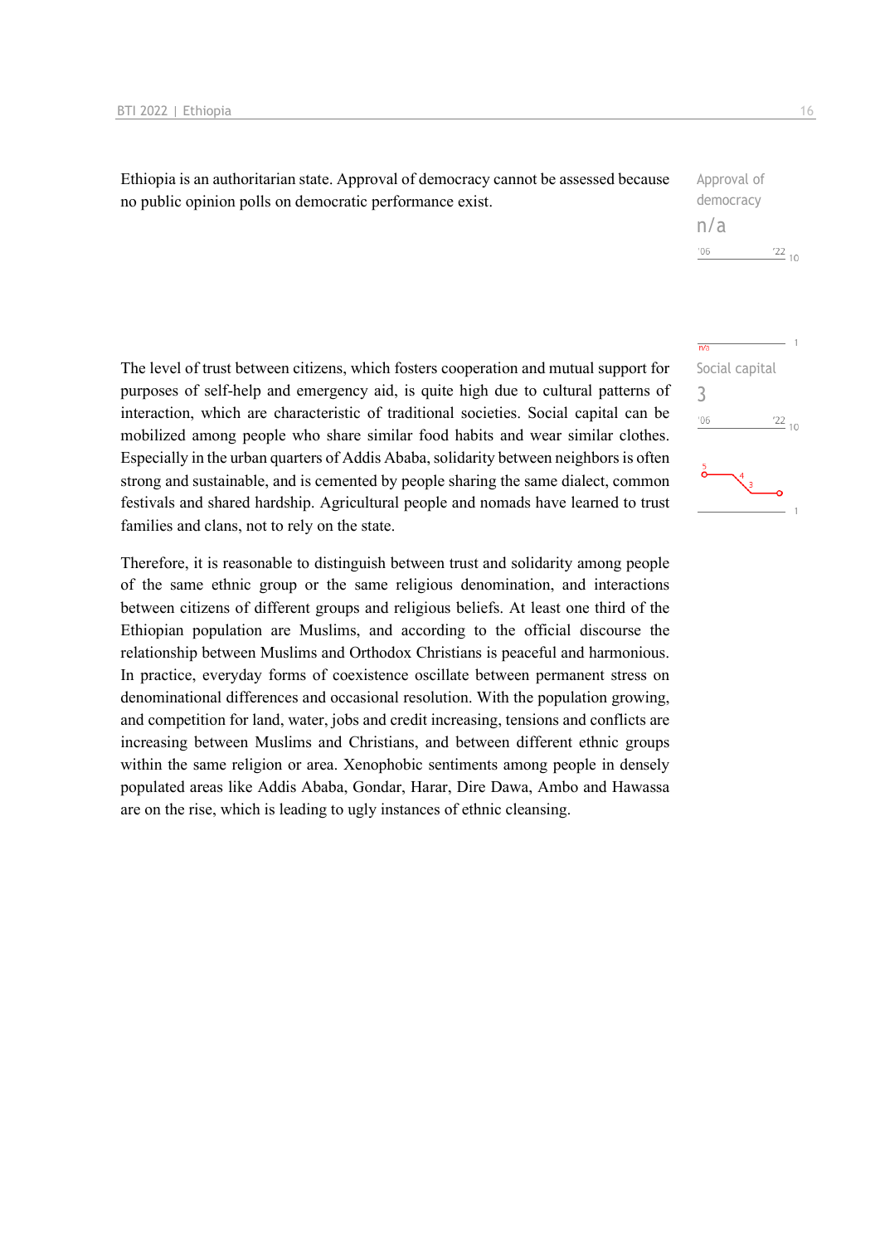Ethiopia is an authoritarian state. Approval of democracy cannot be assessed because no public opinion polls on democratic performance exist.

| Approval of |     |
|-------------|-----|
| democracy   |     |
| n/a         |     |
| '06         | 177 |

The level of trust between citizens, which fosters cooperation and mutual support for purposes of self-help and emergency aid, is quite high due to cultural patterns of interaction, which are characteristic of traditional societies. Social capital can be mobilized among people who share similar food habits and wear similar clothes. Especially in the urban quarters of Addis Ababa, solidarity between neighbors is often strong and sustainable, and is cemented by people sharing the same dialect, common festivals and shared hardship. Agricultural people and nomads have learned to trust families and clans, not to rely on the state.

Therefore, it is reasonable to distinguish between trust and solidarity among people of the same ethnic group or the same religious denomination, and interactions between citizens of different groups and religious beliefs. At least one third of the Ethiopian population are Muslims, and according to the official discourse the relationship between Muslims and Orthodox Christians is peaceful and harmonious. In practice, everyday forms of coexistence oscillate between permanent stress on denominational differences and occasional resolution. With the population growing, and competition for land, water, jobs and credit increasing, tensions and conflicts are increasing between Muslims and Christians, and between different ethnic groups within the same religion or area. Xenophobic sentiments among people in densely populated areas like Addis Ababa, Gondar, Harar, Dire Dawa, Ambo and Hawassa are on the rise, which is leading to ugly instances of ethnic cleansing.



 $10<sup>1</sup>$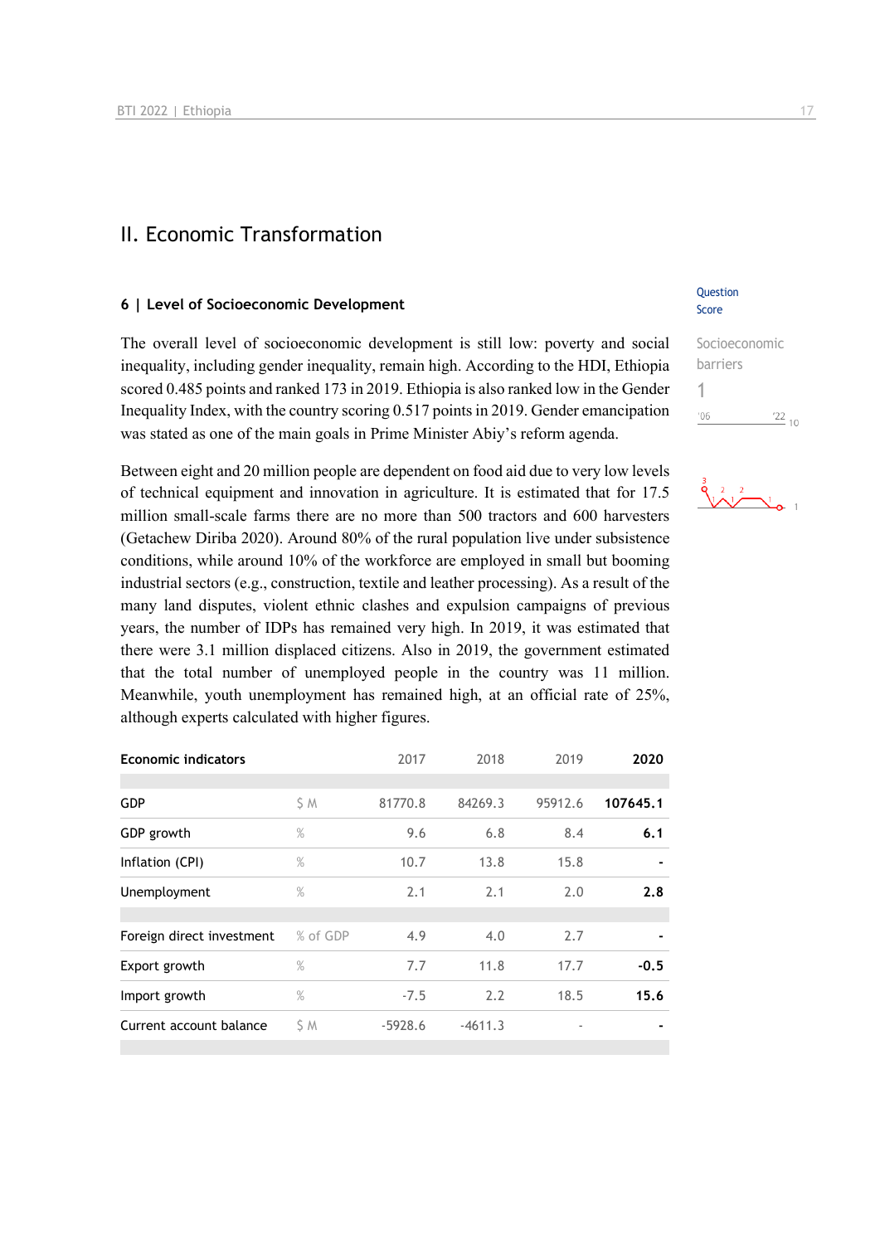### II. Economic Transformation

#### **6 | Level of Socioeconomic Development**

The overall level of socioeconomic development is still low: poverty and social inequality, including gender inequality, remain high. According to the HDI, Ethiopia scored 0.485 points and ranked 173 in 2019. Ethiopia is also ranked low in the Gender Inequality Index, with the country scoring 0.517 points in 2019. Gender emancipation was stated as one of the main goals in Prime Minister Abiy's reform agenda.

Between eight and 20 million people are dependent on food aid due to very low levels of technical equipment and innovation in agriculture. It is estimated that for 17.5 million small-scale farms there are no more than 500 tractors and 600 harvesters (Getachew Diriba 2020). Around 80% of the rural population live under subsistence conditions, while around 10% of the workforce are employed in small but booming industrial sectors (e.g., construction, textile and leather processing). As a result of the many land disputes, violent ethnic clashes and expulsion campaigns of previous years, the number of IDPs has remained very high. In 2019, it was estimated that there were 3.1 million displaced citizens. Also in 2019, the government estimated that the total number of unemployed people in the country was 11 million. Meanwhile, youth unemployment has remained high, at an official rate of 25%, although experts calculated with higher figures.

| <b>Economic indicators</b> |               | 2017      | 2018      | 2019                     | 2020     |
|----------------------------|---------------|-----------|-----------|--------------------------|----------|
| <b>GDP</b>                 | S M           | 81770.8   | 84269.3   | 95912.6                  | 107645.1 |
| GDP growth                 | $\%$          | 9.6       | 6.8       | 8.4                      | 6.1      |
| Inflation (CPI)            | %             | 10.7      | 13.8      | 15.8                     |          |
| Unemployment               | $\%$          | 2.1       | 2.1       | 2.0                      | 2.8      |
|                            |               |           |           |                          |          |
| Foreign direct investment  | % of GDP      | 4.9       | 4.0       | 2.7                      |          |
| Export growth              | $\frac{9}{6}$ | 7.7       | 11.8      | 17.7                     | $-0.5$   |
| Import growth              | $\%$          | $-7.5$    | 2.2       | 18.5                     | 15.6     |
| Current account balance    | S M           | $-5928.6$ | $-4611.3$ | $\overline{\phantom{a}}$ |          |
|                            |               |           |           |                          |          |

#### **Question** Score

| Socioeconomic |            |  |
|---------------|------------|--|
| barriers      |            |  |
|               |            |  |
| '06           | $122_{10}$ |  |

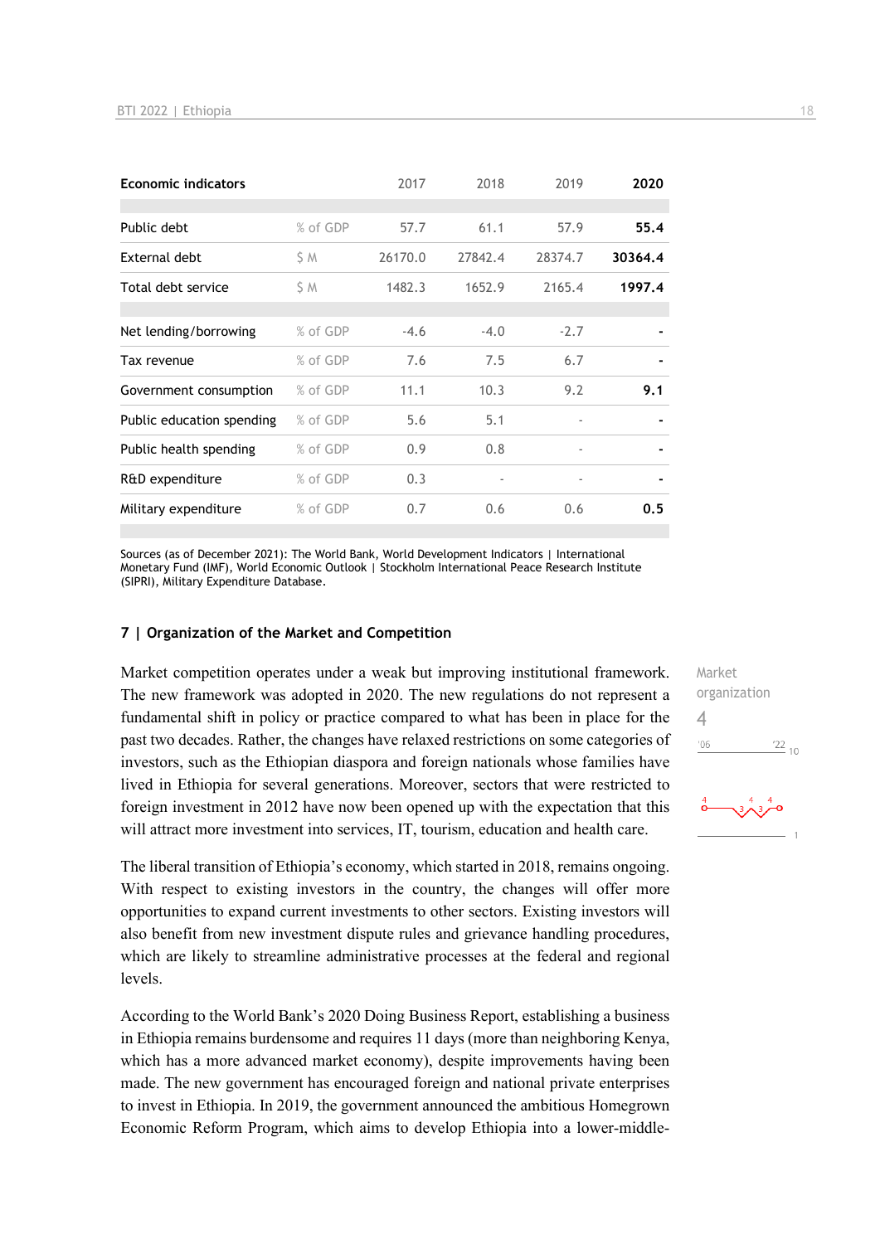| <b>Economic indicators</b><br>2017           | 2018    | 2019                     | 2020    |
|----------------------------------------------|---------|--------------------------|---------|
|                                              |         |                          |         |
| % of GDP<br>Public debt<br>57.7              | 61.1    | 57.9                     | 55.4    |
| External debt<br>ŚΜ<br>26170.0               | 27842.4 | 28374.7                  | 30364.4 |
| Total debt service<br>ŚΜ<br>1482.3           | 1652.9  | 2165.4                   | 1997.4  |
|                                              |         |                          |         |
| % of GDP<br>Net lending/borrowing<br>$-4.6$  | $-4.0$  | $-2.7$                   |         |
| % of GDP<br>7.6<br>Tax revenue               | 7.5     | 6.7                      |         |
| % of GDP<br>11.1<br>Government consumption   | 10.3    | 9.2                      | 9.1     |
| % of GDP<br>5.6<br>Public education spending | 5.1     | $\overline{\phantom{0}}$ |         |
| Public health spending<br>% of GDP<br>0.9    | 0.8     | ٠                        |         |
| % of GDP<br>0.3<br>R&D expenditure           |         |                          |         |
| Military expenditure<br>% of GDP<br>0.7      | 0.6     | 0.6                      | 0.5     |

Sources (as of December 2021): The World Bank, World Development Indicators | International Monetary Fund (IMF), World Economic Outlook | Stockholm International Peace Research Institute (SIPRI), Military Expenditure Database.

#### **7 | Organization of the Market and Competition**

Market competition operates under a weak but improving institutional framework. The new framework was adopted in 2020. The new regulations do not represent a fundamental shift in policy or practice compared to what has been in place for the past two decades. Rather, the changes have relaxed restrictions on some categories of investors, such as the Ethiopian diaspora and foreign nationals whose families have lived in Ethiopia for several generations. Moreover, sectors that were restricted to foreign investment in 2012 have now been opened up with the expectation that this will attract more investment into services, IT, tourism, education and health care.

The liberal transition of Ethiopia's economy, which started in 2018, remains ongoing. With respect to existing investors in the country, the changes will offer more opportunities to expand current investments to other sectors. Existing investors will also benefit from new investment dispute rules and grievance handling procedures, which are likely to streamline administrative processes at the federal and regional levels.

According to the World Bank's 2020 Doing Business Report, establishing a business in Ethiopia remains burdensome and requires 11 days (more than neighboring Kenya, which has a more advanced market economy), despite improvements having been made. The new government has encouraged foreign and national private enterprises to invest in Ethiopia. In 2019, the government announced the ambitious Homegrown Economic Reform Program, which aims to develop Ethiopia into a lower-middleMarket organization 4 $-06$  $\frac{22}{10}$ 

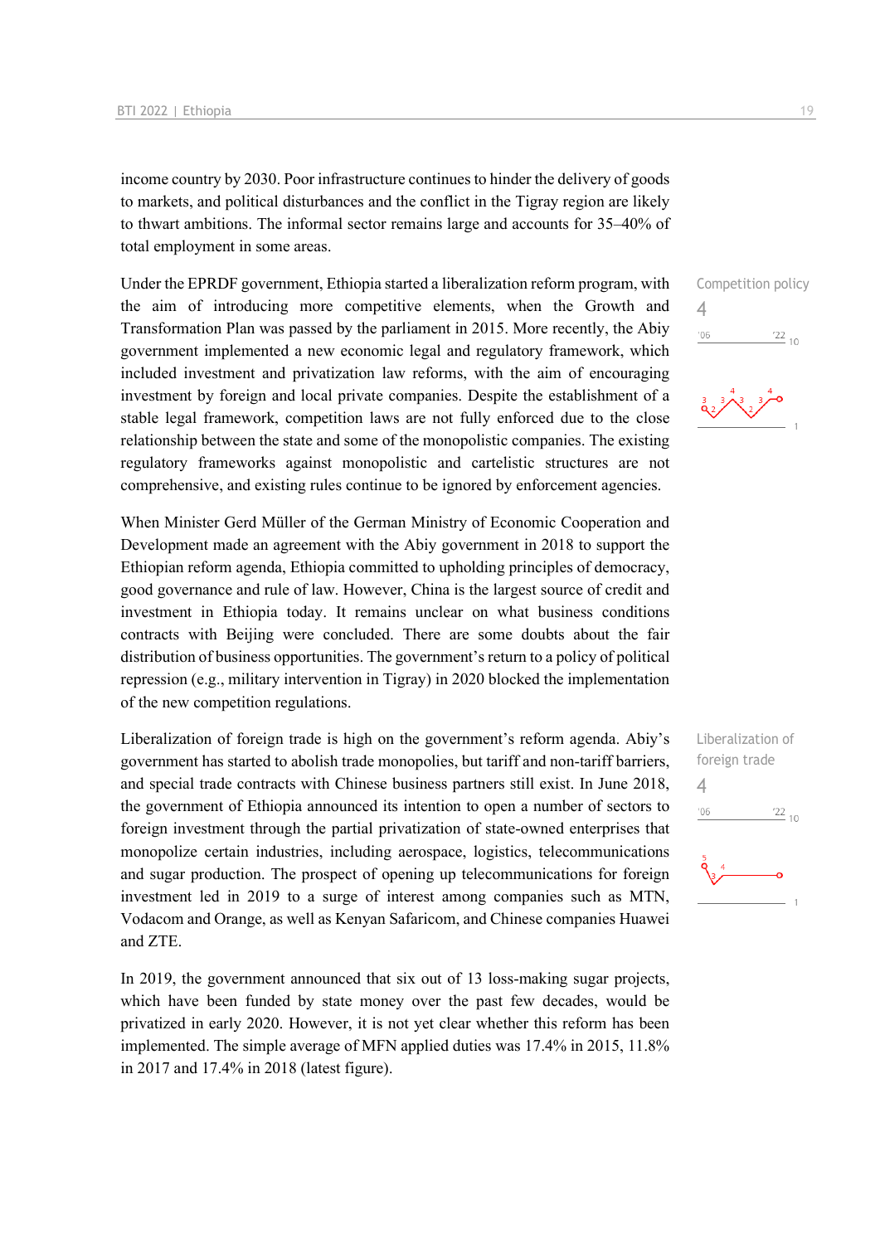income country by 2030. Poor infrastructure continues to hinder the delivery of goods to markets, and political disturbances and the conflict in the Tigray region are likely to thwart ambitions. The informal sector remains large and accounts for 35–40% of total employment in some areas.

Under the EPRDF government, Ethiopia started a liberalization reform program, with the aim of introducing more competitive elements, when the Growth and Transformation Plan was passed by the parliament in 2015. More recently, the Abiy government implemented a new economic legal and regulatory framework, which included investment and privatization law reforms, with the aim of encouraging investment by foreign and local private companies. Despite the establishment of a stable legal framework, competition laws are not fully enforced due to the close relationship between the state and some of the monopolistic companies. The existing regulatory frameworks against monopolistic and cartelistic structures are not comprehensive, and existing rules continue to be ignored by enforcement agencies.

When Minister Gerd Müller of the German Ministry of Economic Cooperation and Development made an agreement with the Abiy government in 2018 to support the Ethiopian reform agenda, Ethiopia committed to upholding principles of democracy, good governance and rule of law. However, China is the largest source of credit and investment in Ethiopia today. It remains unclear on what business conditions contracts with Beijing were concluded. There are some doubts about the fair distribution of business opportunities. The government's return to a policy of political repression (e.g., military intervention in Tigray) in 2020 blocked the implementation of the new competition regulations.

Liberalization of foreign trade is high on the government's reform agenda. Abiy's government has started to abolish trade monopolies, but tariff and non-tariff barriers, and special trade contracts with Chinese business partners still exist. In June 2018, the government of Ethiopia announced its intention to open a number of sectors to foreign investment through the partial privatization of state-owned enterprises that monopolize certain industries, including aerospace, logistics, telecommunications and sugar production. The prospect of opening up telecommunications for foreign investment led in 2019 to a surge of interest among companies such as MTN, Vodacom and Orange, as well as Kenyan Safaricom, and Chinese companies Huawei and ZTE.

In 2019, the government announced that six out of 13 loss-making sugar projects, which have been funded by state money over the past few decades, would be privatized in early 2020. However, it is not yet clear whether this reform has been implemented. The simple average of MFN applied duties was 17.4% in 2015, 11.8% in 2017 and 17.4% in 2018 (latest figure).

Competition policy 4  $\frac{22}{10}$  $'06$ 

Liberalization of foreign trade 4 $06'$  $\frac{22}{10}$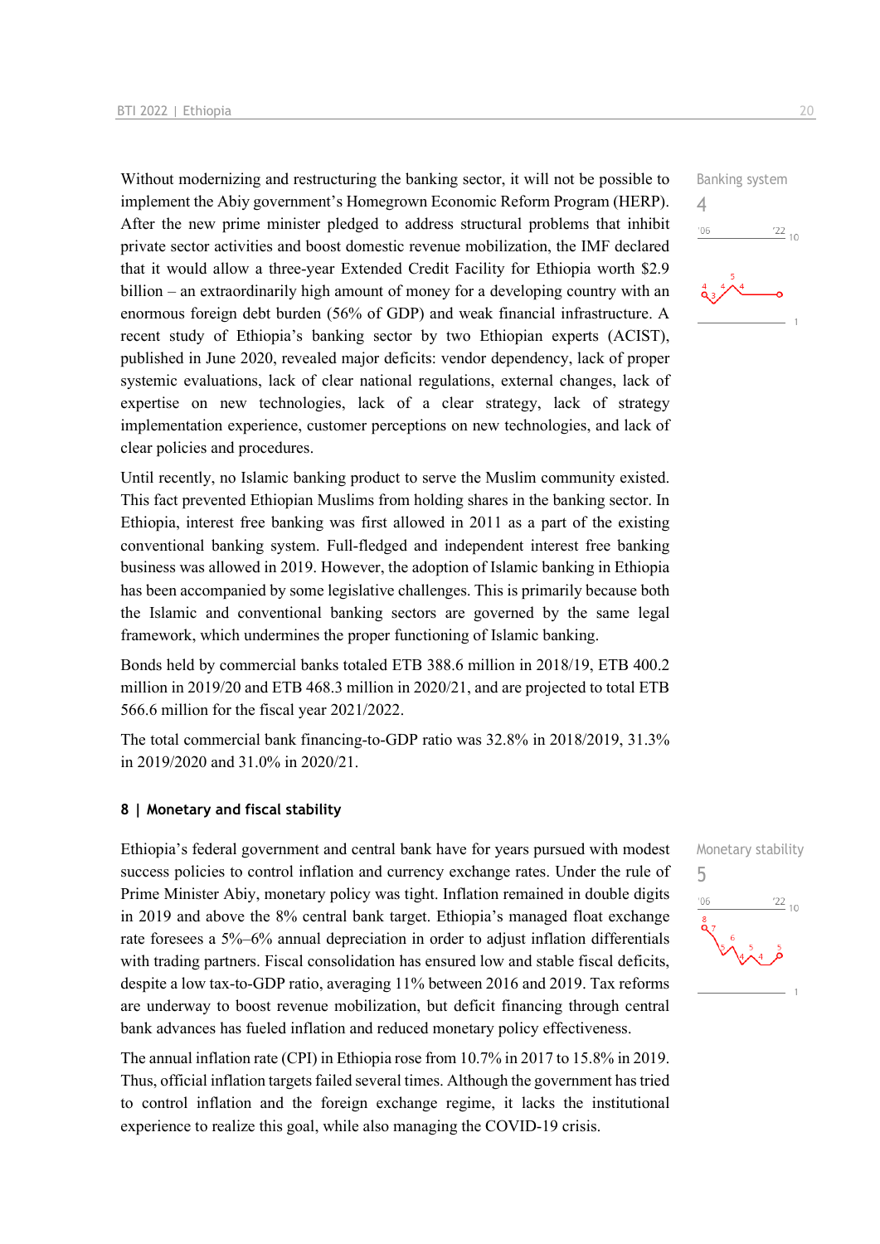Without modernizing and restructuring the banking sector, it will not be possible to implement the Abiy government's Homegrown Economic Reform Program (HERP). After the new prime minister pledged to address structural problems that inhibit private sector activities and boost domestic revenue mobilization, the IMF declared that it would allow a three-year Extended Credit Facility for Ethiopia worth \$2.9 billion – an extraordinarily high amount of money for a developing country with an enormous foreign debt burden (56% of GDP) and weak financial infrastructure. A recent study of Ethiopia's banking sector by two Ethiopian experts (ACIST), published in June 2020, revealed major deficits: vendor dependency, lack of proper systemic evaluations, lack of clear national regulations, external changes, lack of expertise on new technologies, lack of a clear strategy, lack of strategy implementation experience, customer perceptions on new technologies, and lack of clear policies and procedures.

Until recently, no Islamic banking product to serve the Muslim community existed. This fact prevented Ethiopian Muslims from holding shares in the banking sector. In Ethiopia, interest free banking was first allowed in 2011 as a part of the existing conventional banking system. Full-fledged and independent interest free banking business was allowed in 2019. However, the adoption of Islamic banking in Ethiopia has been accompanied by some legislative challenges. This is primarily because both the Islamic and conventional banking sectors are governed by the same legal framework, which undermines the proper functioning of Islamic banking.

Bonds held by commercial banks totaled ETB 388.6 million in 2018/19, ETB 400.2 million in 2019/20 and ETB 468.3 million in 2020/21, and are projected to total ETB 566.6 million for the fiscal year 2021/2022.

The total commercial bank financing-to-GDP ratio was 32.8% in 2018/2019, 31.3% in 2019/2020 and 31.0% in 2020/21.

#### **8 | Monetary and fiscal stability**

Ethiopia's federal government and central bank have for years pursued with modest success policies to control inflation and currency exchange rates. Under the rule of Prime Minister Abiy, monetary policy was tight. Inflation remained in double digits in 2019 and above the 8% central bank target. Ethiopia's managed float exchange rate foresees a 5%–6% annual depreciation in order to adjust inflation differentials with trading partners. Fiscal consolidation has ensured low and stable fiscal deficits, despite a low tax-to-GDP ratio, averaging 11% between 2016 and 2019. Tax reforms are underway to boost revenue mobilization, but deficit financing through central bank advances has fueled inflation and reduced monetary policy effectiveness.

The annual inflation rate (CPI) in Ethiopia rose from 10.7% in 2017 to 15.8% in 2019. Thus, official inflation targets failed several times. Although the government has tried to control inflation and the foreign exchange regime, it lacks the institutional experience to realize this goal, while also managing the COVID-19 crisis.



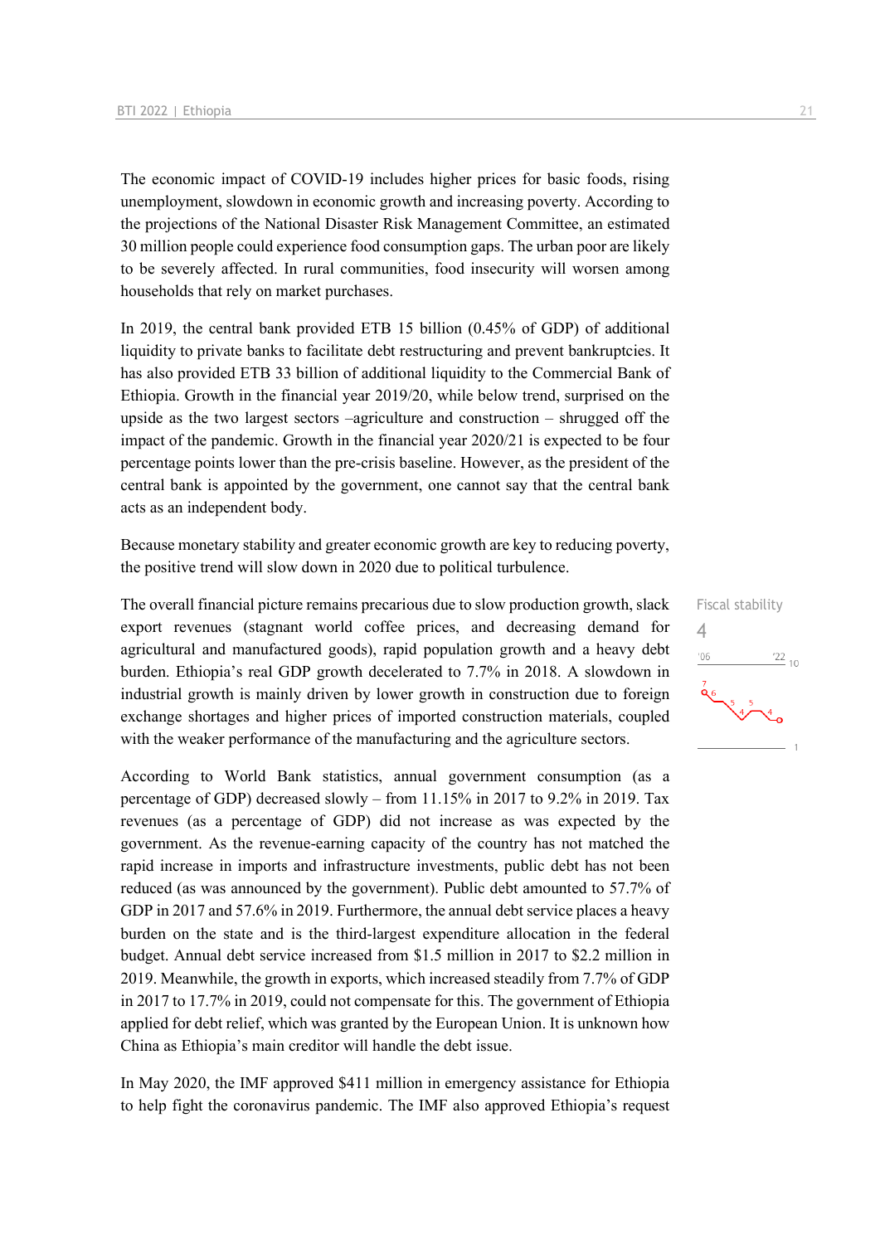The economic impact of COVID-19 includes higher prices for basic foods, rising unemployment, slowdown in economic growth and increasing poverty. According to the projections of the National Disaster Risk Management Committee, an estimated 30 million people could experience food consumption gaps. The urban poor are likely to be severely affected. In rural communities, food insecurity will worsen among households that rely on market purchases.

In 2019, the central bank provided ETB 15 billion (0.45% of GDP) of additional liquidity to private banks to facilitate debt restructuring and prevent bankruptcies. It has also provided ETB 33 billion of additional liquidity to the Commercial Bank of Ethiopia. Growth in the financial year 2019/20, while below trend, surprised on the upside as the two largest sectors –agriculture and construction – shrugged off the impact of the pandemic. Growth in the financial year 2020/21 is expected to be four percentage points lower than the pre-crisis baseline. However, as the president of the central bank is appointed by the government, one cannot say that the central bank acts as an independent body.

Because monetary stability and greater economic growth are key to reducing poverty, the positive trend will slow down in 2020 due to political turbulence.

The overall financial picture remains precarious due to slow production growth, slack export revenues (stagnant world coffee prices, and decreasing demand for agricultural and manufactured goods), rapid population growth and a heavy debt burden. Ethiopia's real GDP growth decelerated to 7.7% in 2018. A slowdown in industrial growth is mainly driven by lower growth in construction due to foreign exchange shortages and higher prices of imported construction materials, coupled with the weaker performance of the manufacturing and the agriculture sectors.

According to World Bank statistics, annual government consumption (as a percentage of GDP) decreased slowly – from 11.15% in 2017 to 9.2% in 2019. Tax revenues (as a percentage of GDP) did not increase as was expected by the government. As the revenue-earning capacity of the country has not matched the rapid increase in imports and infrastructure investments, public debt has not been reduced (as was announced by the government). Public debt amounted to 57.7% of GDP in 2017 and 57.6% in 2019. Furthermore, the annual debt service places a heavy burden on the state and is the third-largest expenditure allocation in the federal budget. Annual debt service increased from \$1.5 million in 2017 to \$2.2 million in 2019. Meanwhile, the growth in exports, which increased steadily from 7.7% of GDP in 2017 to 17.7% in 2019, could not compensate for this. The government of Ethiopia applied for debt relief, which was granted by the European Union. It is unknown how China as Ethiopia's main creditor will handle the debt issue.

In May 2020, the IMF approved \$411 million in emergency assistance for Ethiopia to help fight the coronavirus pandemic. The IMF also approved Ethiopia's request

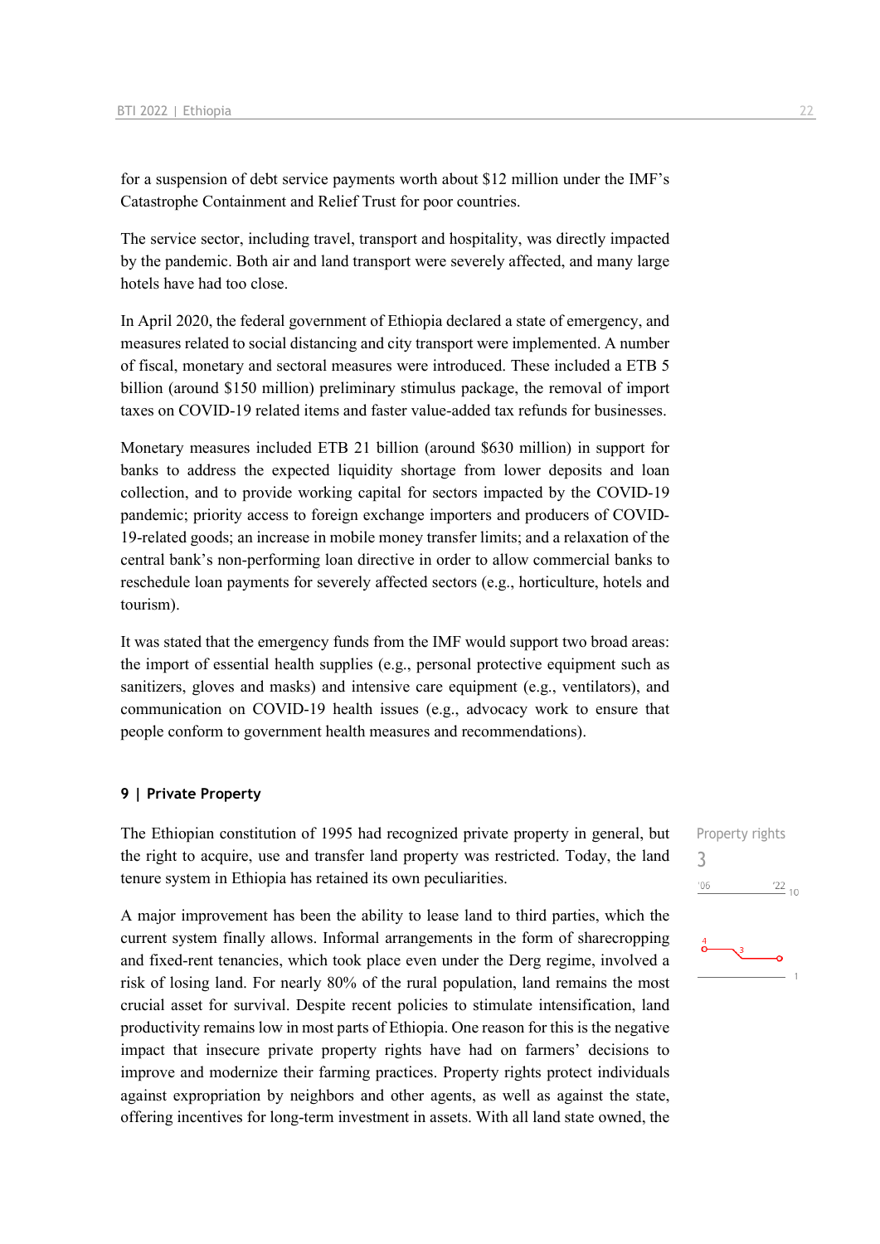for a suspension of debt service payments worth about \$12 million under the IMF's Catastrophe Containment and Relief Trust for poor countries.

The service sector, including travel, transport and hospitality, was directly impacted by the pandemic. Both air and land transport were severely affected, and many large hotels have had too close.

In April 2020, the federal government of Ethiopia declared a state of emergency, and measures related to social distancing and city transport were implemented. A number of fiscal, monetary and sectoral measures were introduced. These included a ETB 5 billion (around \$150 million) preliminary stimulus package, the removal of import taxes on COVID-19 related items and faster value-added tax refunds for businesses.

Monetary measures included ETB 21 billion (around \$630 million) in support for banks to address the expected liquidity shortage from lower deposits and loan collection, and to provide working capital for sectors impacted by the COVID-19 pandemic; priority access to foreign exchange importers and producers of COVID-19-related goods; an increase in mobile money transfer limits; and a relaxation of the central bank's non-performing loan directive in order to allow commercial banks to reschedule loan payments for severely affected sectors (e.g., horticulture, hotels and tourism).

It was stated that the emergency funds from the IMF would support two broad areas: the import of essential health supplies (e.g., personal protective equipment such as sanitizers, gloves and masks) and intensive care equipment (e.g., ventilators), and communication on COVID-19 health issues (e.g., advocacy work to ensure that people conform to government health measures and recommendations).

#### **9 | Private Property**

The Ethiopian constitution of 1995 had recognized private property in general, but the right to acquire, use and transfer land property was restricted. Today, the land tenure system in Ethiopia has retained its own peculiarities.

A major improvement has been the ability to lease land to third parties, which the current system finally allows. Informal arrangements in the form of sharecropping and fixed-rent tenancies, which took place even under the Derg regime, involved a risk of losing land. For nearly 80% of the rural population, land remains the most crucial asset for survival. Despite recent policies to stimulate intensification, land productivity remains low in most parts of Ethiopia. One reason for this is the negative impact that insecure private property rights have had on farmers' decisions to improve and modernize their farming practices. Property rights protect individuals against expropriation by neighbors and other agents, as well as against the state, offering incentives for long-term investment in assets. With all land state owned, the Property rights 3 $\frac{22}{10}$  $-06$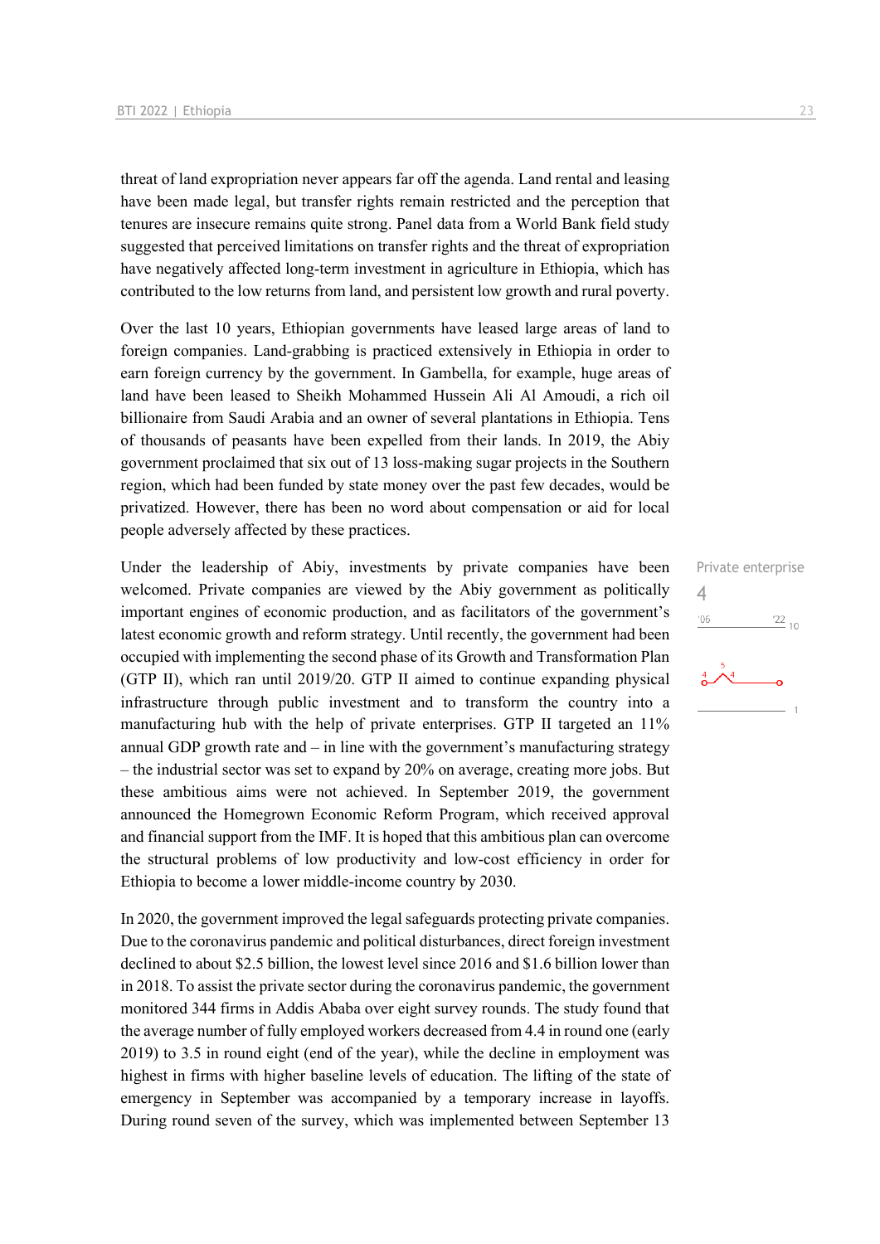threat of land expropriation never appears far off the agenda. Land rental and leasing have been made legal, but transfer rights remain restricted and the perception that tenures are insecure remains quite strong. Panel data from a World Bank field study suggested that perceived limitations on transfer rights and the threat of expropriation have negatively affected long-term investment in agriculture in Ethiopia, which has contributed to the low returns from land, and persistent low growth and rural poverty.

Over the last 10 years, Ethiopian governments have leased large areas of land to foreign companies. Land-grabbing is practiced extensively in Ethiopia in order to earn foreign currency by the government. In Gambella, for example, huge areas of land have been leased to Sheikh Mohammed Hussein Ali Al Amoudi, a rich oil billionaire from Saudi Arabia and an owner of several plantations in Ethiopia. Tens of thousands of peasants have been expelled from their lands. In 2019, the Abiy government proclaimed that six out of 13 loss-making sugar projects in the Southern region, which had been funded by state money over the past few decades, would be privatized. However, there has been no word about compensation or aid for local people adversely affected by these practices.

Under the leadership of Abiy, investments by private companies have been welcomed. Private companies are viewed by the Abiy government as politically important engines of economic production, and as facilitators of the government's latest economic growth and reform strategy. Until recently, the government had been occupied with implementing the second phase of its Growth and Transformation Plan (GTP II), which ran until 2019/20. GTP II aimed to continue expanding physical infrastructure through public investment and to transform the country into a manufacturing hub with the help of private enterprises. GTP II targeted an 11% annual GDP growth rate and  $-$  in line with the government's manufacturing strategy – the industrial sector was set to expand by 20% on average, creating more jobs. But these ambitious aims were not achieved. In September 2019, the government announced the Homegrown Economic Reform Program, which received approval and financial support from the IMF. It is hoped that this ambitious plan can overcome the structural problems of low productivity and low-cost efficiency in order for Ethiopia to become a lower middle-income country by 2030.

In 2020, the government improved the legal safeguards protecting private companies. Due to the coronavirus pandemic and political disturbances, direct foreign investment declined to about \$2.5 billion, the lowest level since 2016 and \$1.6 billion lower than in 2018. To assist the private sector during the coronavirus pandemic, the government monitored 344 firms in Addis Ababa over eight survey rounds. The study found that the average number of fully employed workers decreased from 4.4 in round one (early 2019) to 3.5 in round eight (end of the year), while the decline in employment was highest in firms with higher baseline levels of education. The lifting of the state of emergency in September was accompanied by a temporary increase in layoffs. During round seven of the survey, which was implemented between September 13

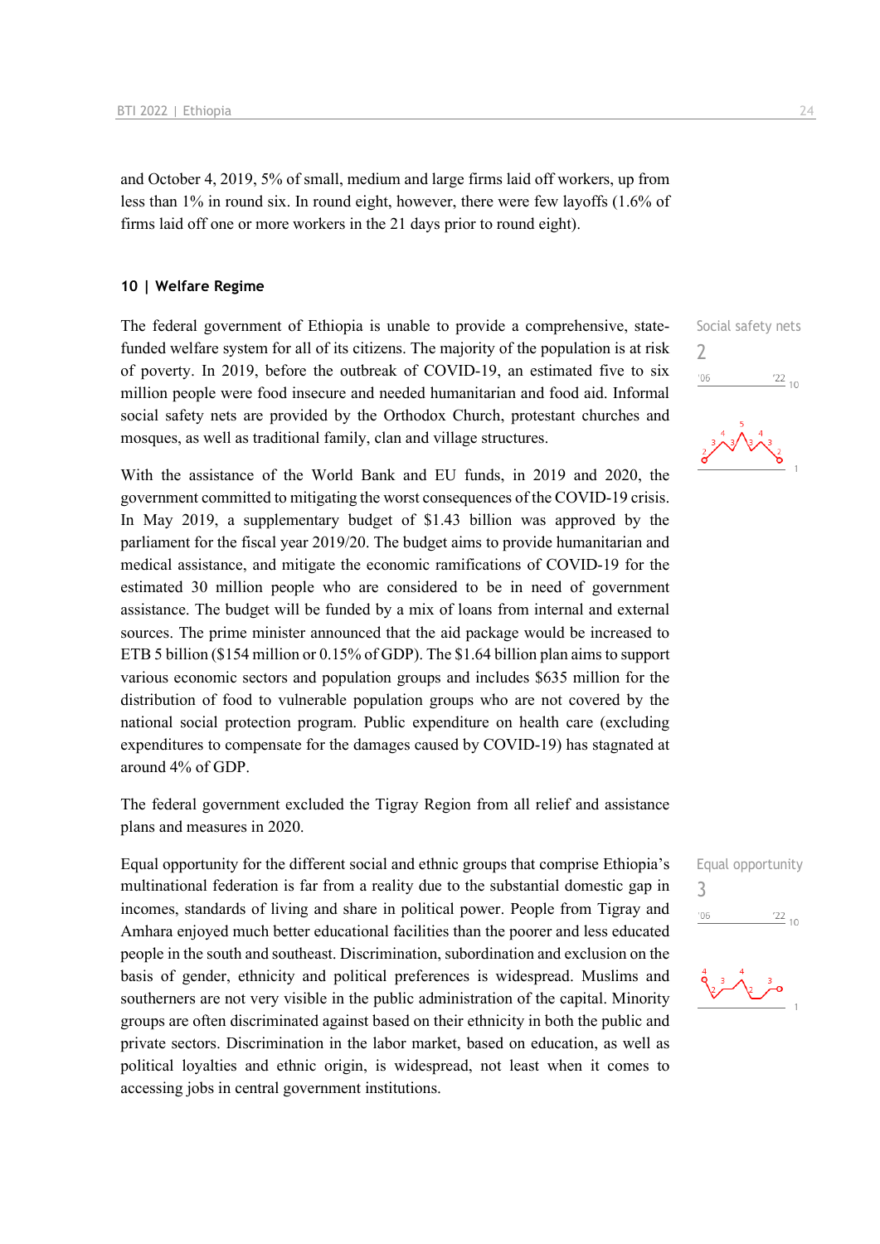and October 4, 2019, 5% of small, medium and large firms laid off workers, up from less than 1% in round six. In round eight, however, there were few layoffs (1.6% of firms laid off one or more workers in the 21 days prior to round eight).

#### **10 | Welfare Regime**

The federal government of Ethiopia is unable to provide a comprehensive, statefunded welfare system for all of its citizens. The majority of the population is at risk of poverty. In 2019, before the outbreak of COVID-19, an estimated five to six million people were food insecure and needed humanitarian and food aid. Informal social safety nets are provided by the Orthodox Church, protestant churches and mosques, as well as traditional family, clan and village structures.

With the assistance of the World Bank and EU funds, in 2019 and 2020, the government committed to mitigating the worst consequences of the COVID-19 crisis. In May 2019, a supplementary budget of \$1.43 billion was approved by the parliament for the fiscal year 2019/20. The budget aims to provide humanitarian and medical assistance, and mitigate the economic ramifications of COVID-19 for the estimated 30 million people who are considered to be in need of government assistance. The budget will be funded by a mix of loans from internal and external sources. The prime minister announced that the aid package would be increased to ETB 5 billion (\$154 million or 0.15% of GDP). The \$1.64 billion plan aims to support various economic sectors and population groups and includes \$635 million for the distribution of food to vulnerable population groups who are not covered by the national social protection program. Public expenditure on health care (excluding expenditures to compensate for the damages caused by COVID-19) has stagnated at around 4% of GDP.

The federal government excluded the Tigray Region from all relief and assistance plans and measures in 2020.

Equal opportunity for the different social and ethnic groups that comprise Ethiopia's multinational federation is far from a reality due to the substantial domestic gap in incomes, standards of living and share in political power. People from Tigray and Amhara enjoyed much better educational facilities than the poorer and less educated people in the south and southeast. Discrimination, subordination and exclusion on the basis of gender, ethnicity and political preferences is widespread. Muslims and southerners are not very visible in the public administration of the capital. Minority groups are often discriminated against based on their ethnicity in both the public and private sectors. Discrimination in the labor market, based on education, as well as political loyalties and ethnic origin, is widespread, not least when it comes to accessing jobs in central government institutions.

Social safety nets  $\overline{\phantom{0}}$  $\frac{22}{10}$  $'06$ 



Equal opportunity 3 $-06$  $\frac{22}{10}$ 

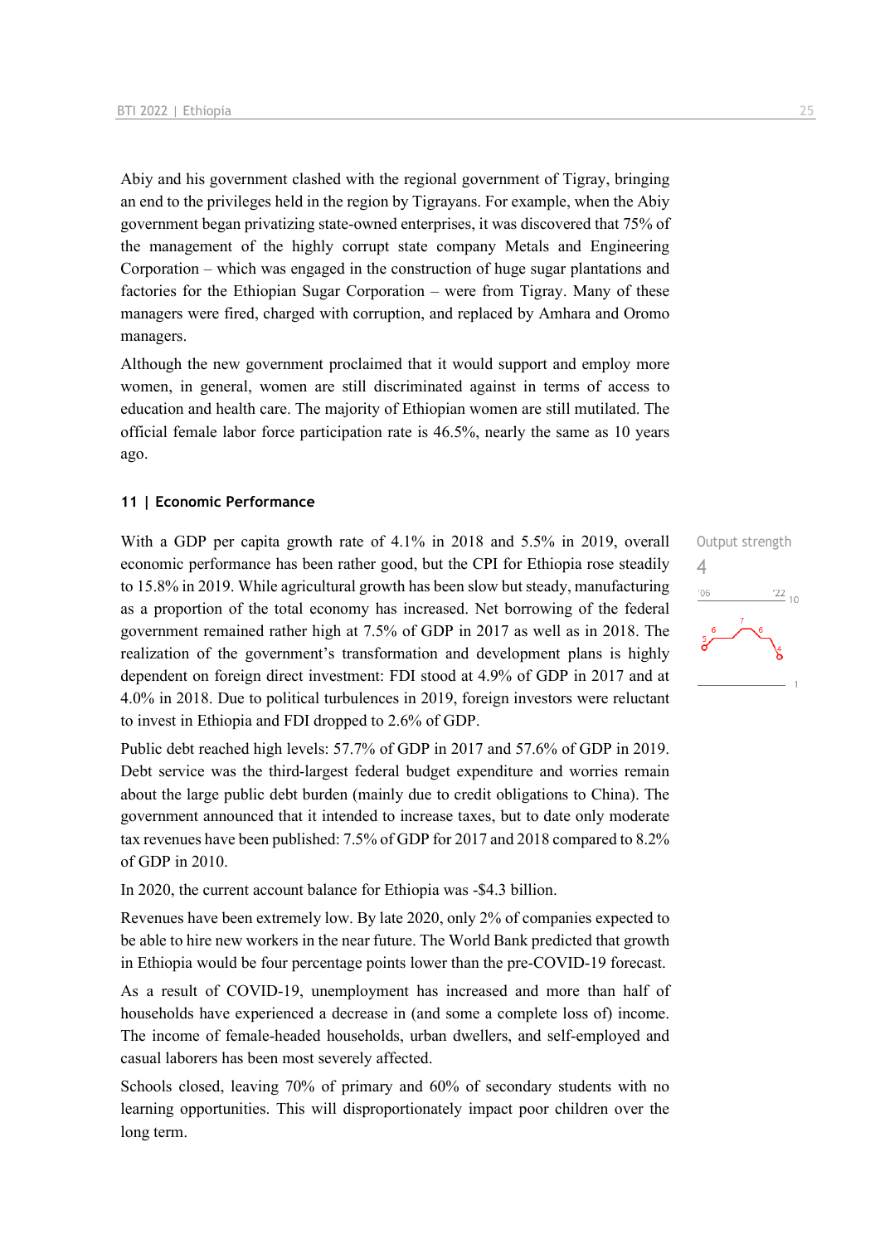Abiy and his government clashed with the regional government of Tigray, bringing an end to the privileges held in the region by Tigrayans. For example, when the Abiy government began privatizing state-owned enterprises, it was discovered that 75% of the management of the highly corrupt state company Metals and Engineering Corporation – which was engaged in the construction of huge sugar plantations and factories for the Ethiopian Sugar Corporation – were from Tigray. Many of these managers were fired, charged with corruption, and replaced by Amhara and Oromo managers.

Although the new government proclaimed that it would support and employ more women, in general, women are still discriminated against in terms of access to education and health care. The majority of Ethiopian women are still mutilated. The official female labor force participation rate is 46.5%, nearly the same as 10 years ago.

#### **11 | Economic Performance**

With a GDP per capita growth rate of 4.1% in 2018 and 5.5% in 2019, overall economic performance has been rather good, but the CPI for Ethiopia rose steadily to 15.8% in 2019. While agricultural growth has been slow but steady, manufacturing as a proportion of the total economy has increased. Net borrowing of the federal government remained rather high at 7.5% of GDP in 2017 as well as in 2018. The realization of the government's transformation and development plans is highly dependent on foreign direct investment: FDI stood at 4.9% of GDP in 2017 and at 4.0% in 2018. Due to political turbulences in 2019, foreign investors were reluctant to invest in Ethiopia and FDI dropped to 2.6% of GDP.

Public debt reached high levels: 57.7% of GDP in 2017 and 57.6% of GDP in 2019. Debt service was the third-largest federal budget expenditure and worries remain about the large public debt burden (mainly due to credit obligations to China). The government announced that it intended to increase taxes, but to date only moderate tax revenues have been published: 7.5% of GDP for 2017 and 2018 compared to 8.2% of GDP in 2010.

In 2020, the current account balance for Ethiopia was -\$4.3 billion.

Revenues have been extremely low. By late 2020, only 2% of companies expected to be able to hire new workers in the near future. The World Bank predicted that growth in Ethiopia would be four percentage points lower than the pre-COVID-19 forecast.

As a result of COVID-19, unemployment has increased and more than half of households have experienced a decrease in (and some a complete loss of) income. The income of female-headed households, urban dwellers, and self-employed and casual laborers has been most severely affected.

Schools closed, leaving 70% of primary and 60% of secondary students with no learning opportunities. This will disproportionately impact poor children over the long term.

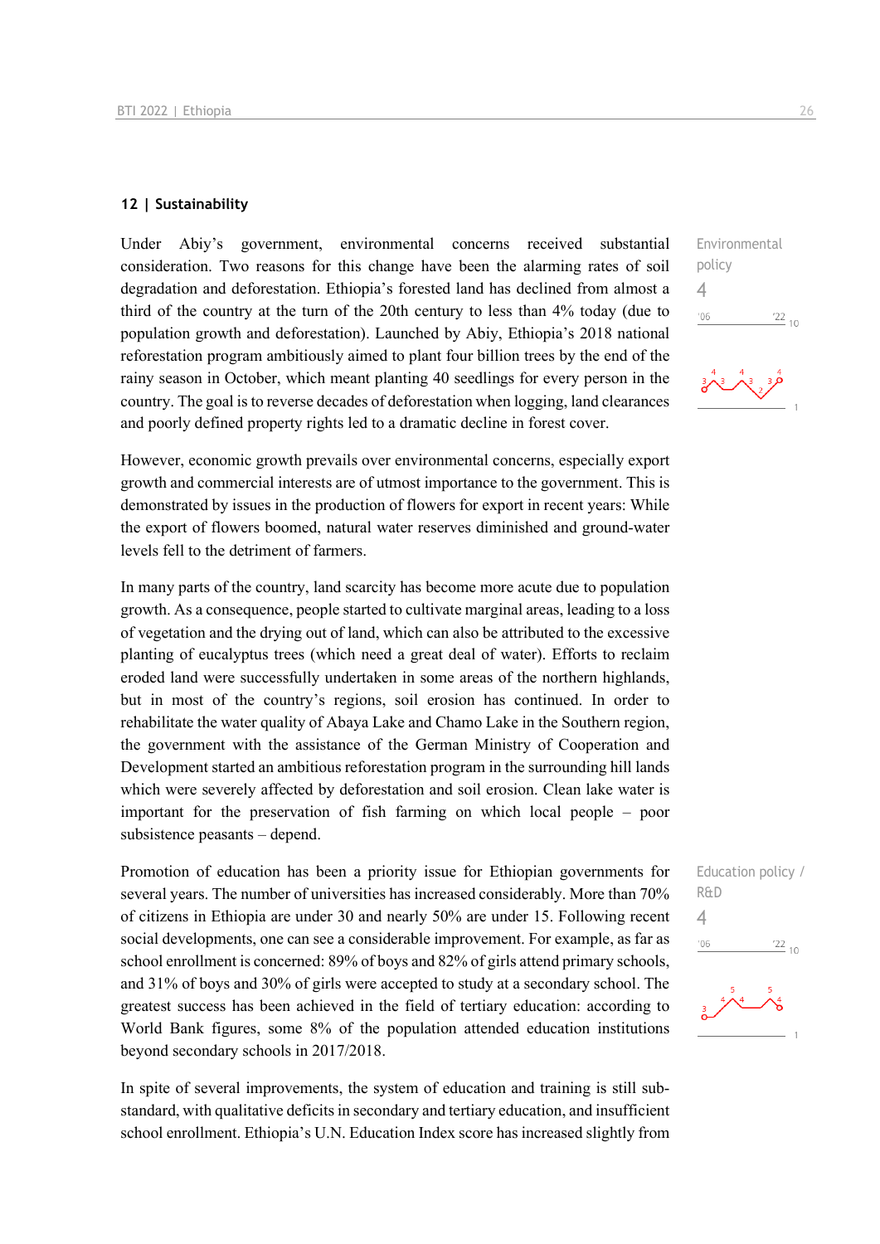#### **12 | Sustainability**

Under Abiy's government, environmental concerns received substantial consideration. Two reasons for this change have been the alarming rates of soil degradation and deforestation. Ethiopia's forested land has declined from almost a third of the country at the turn of the 20th century to less than 4% today (due to population growth and deforestation). Launched by Abiy, Ethiopia's 2018 national reforestation program ambitiously aimed to plant four billion trees by the end of the rainy season in October, which meant planting 40 seedlings for every person in the country. The goal is to reverse decades of deforestation when logging, land clearances and poorly defined property rights led to a dramatic decline in forest cover.

However, economic growth prevails over environmental concerns, especially export growth and commercial interests are of utmost importance to the government. This is demonstrated by issues in the production of flowers for export in recent years: While the export of flowers boomed, natural water reserves diminished and ground-water levels fell to the detriment of farmers.

In many parts of the country, land scarcity has become more acute due to population growth. As a consequence, people started to cultivate marginal areas, leading to a loss of vegetation and the drying out of land, which can also be attributed to the excessive planting of eucalyptus trees (which need a great deal of water). Efforts to reclaim eroded land were successfully undertaken in some areas of the northern highlands, but in most of the country's regions, soil erosion has continued. In order to rehabilitate the water quality of Abaya Lake and Chamo Lake in the Southern region, the government with the assistance of the German Ministry of Cooperation and Development started an ambitious reforestation program in the surrounding hill lands which were severely affected by deforestation and soil erosion. Clean lake water is important for the preservation of fish farming on which local people – poor subsistence peasants – depend.

Promotion of education has been a priority issue for Ethiopian governments for several years. The number of universities has increased considerably. More than 70% of citizens in Ethiopia are under 30 and nearly 50% are under 15. Following recent social developments, one can see a considerable improvement. For example, as far as school enrollment is concerned: 89% of boys and 82% of girls attend primary schools, and 31% of boys and 30% of girls were accepted to study at a secondary school. The greatest success has been achieved in the field of tertiary education: according to World Bank figures, some 8% of the population attended education institutions beyond secondary schools in 2017/2018.

In spite of several improvements, the system of education and training is still substandard, with qualitative deficits in secondary and tertiary education, and insufficient school enrollment. Ethiopia's U.N. Education Index score has increased slightly from Environmental policy 4  $06'$  $\frac{22}{10}$ 

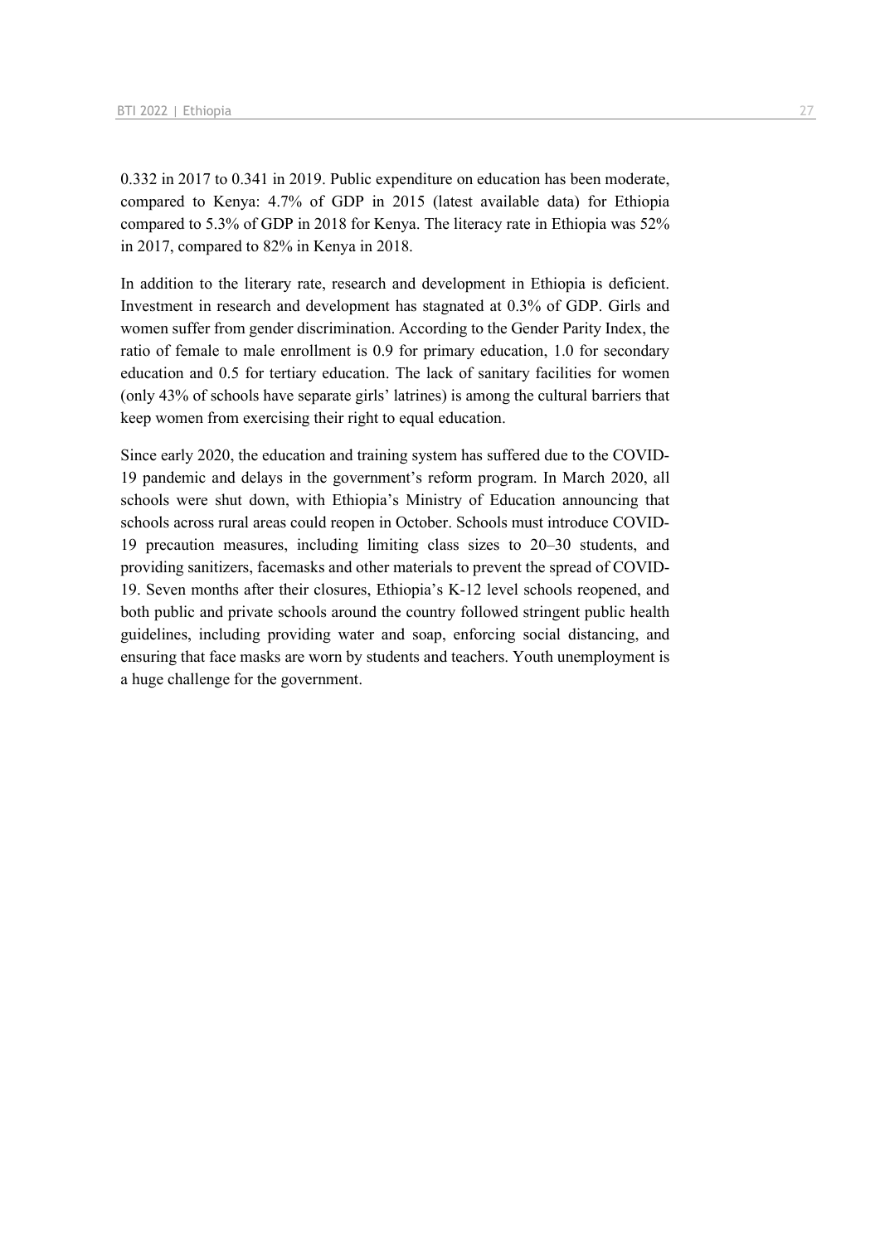0.332 in 2017 to 0.341 in 2019. Public expenditure on education has been moderate, compared to Kenya: 4.7% of GDP in 2015 (latest available data) for Ethiopia compared to 5.3% of GDP in 2018 for Kenya. The literacy rate in Ethiopia was 52% in 2017, compared to 82% in Kenya in 2018.

In addition to the literary rate, research and development in Ethiopia is deficient. Investment in research and development has stagnated at 0.3% of GDP. Girls and women suffer from gender discrimination. According to the Gender Parity Index, the ratio of female to male enrollment is 0.9 for primary education, 1.0 for secondary education and 0.5 for tertiary education. The lack of sanitary facilities for women (only 43% of schools have separate girls' latrines) is among the cultural barriers that keep women from exercising their right to equal education.

Since early 2020, the education and training system has suffered due to the COVID-19 pandemic and delays in the government's reform program. In March 2020, all schools were shut down, with Ethiopia's Ministry of Education announcing that schools across rural areas could reopen in October. Schools must introduce COVID-19 precaution measures, including limiting class sizes to 20–30 students, and providing sanitizers, facemasks and other materials to prevent the spread of COVID-19. Seven months after their closures, Ethiopia's K-12 level schools reopened, and both public and private schools around the country followed stringent public health guidelines, including providing water and soap, enforcing social distancing, and ensuring that face masks are worn by students and teachers. Youth unemployment is a huge challenge for the government.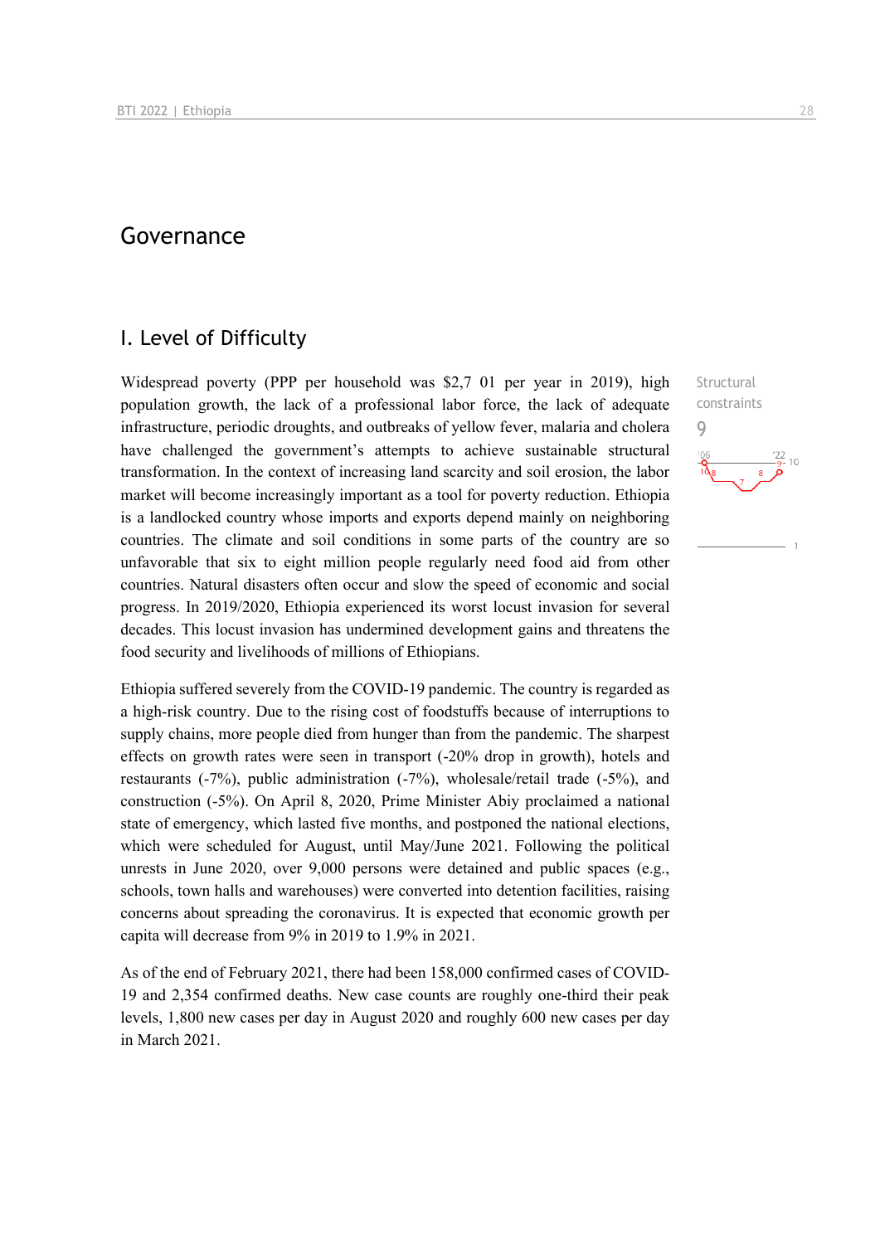## Governance

## I. Level of Difficulty

Widespread poverty (PPP per household was \$2,7 01 per year in 2019), high population growth, the lack of a professional labor force, the lack of adequate infrastructure, periodic droughts, and outbreaks of yellow fever, malaria and cholera have challenged the government's attempts to achieve sustainable structural transformation. In the context of increasing land scarcity and soil erosion, the labor market will become increasingly important as a tool for poverty reduction. Ethiopia is a landlocked country whose imports and exports depend mainly on neighboring countries. The climate and soil conditions in some parts of the country are so unfavorable that six to eight million people regularly need food aid from other countries. Natural disasters often occur and slow the speed of economic and social progress. In 2019/2020, Ethiopia experienced its worst locust invasion for several decades. This locust invasion has undermined development gains and threatens the food security and livelihoods of millions of Ethiopians.

Ethiopia suffered severely from the COVID-19 pandemic. The country is regarded as a high-risk country. Due to the rising cost of foodstuffs because of interruptions to supply chains, more people died from hunger than from the pandemic. The sharpest effects on growth rates were seen in transport (-20% drop in growth), hotels and restaurants (-7%), public administration (-7%), wholesale/retail trade (-5%), and construction (-5%). On April 8, 2020, Prime Minister Abiy proclaimed a national state of emergency, which lasted five months, and postponed the national elections, which were scheduled for August, until May/June 2021. Following the political unrests in June 2020, over 9,000 persons were detained and public spaces (e.g., schools, town halls and warehouses) were converted into detention facilities, raising concerns about spreading the coronavirus. It is expected that economic growth per capita will decrease from 9% in 2019 to 1.9% in 2021.

As of the end of February 2021, there had been 158,000 confirmed cases of COVID-19 and 2,354 confirmed deaths. New case counts are roughly one-third their peak levels, 1,800 new cases per day in August 2020 and roughly 600 new cases per day in March 2021.

**Structural** constraints 9 $10$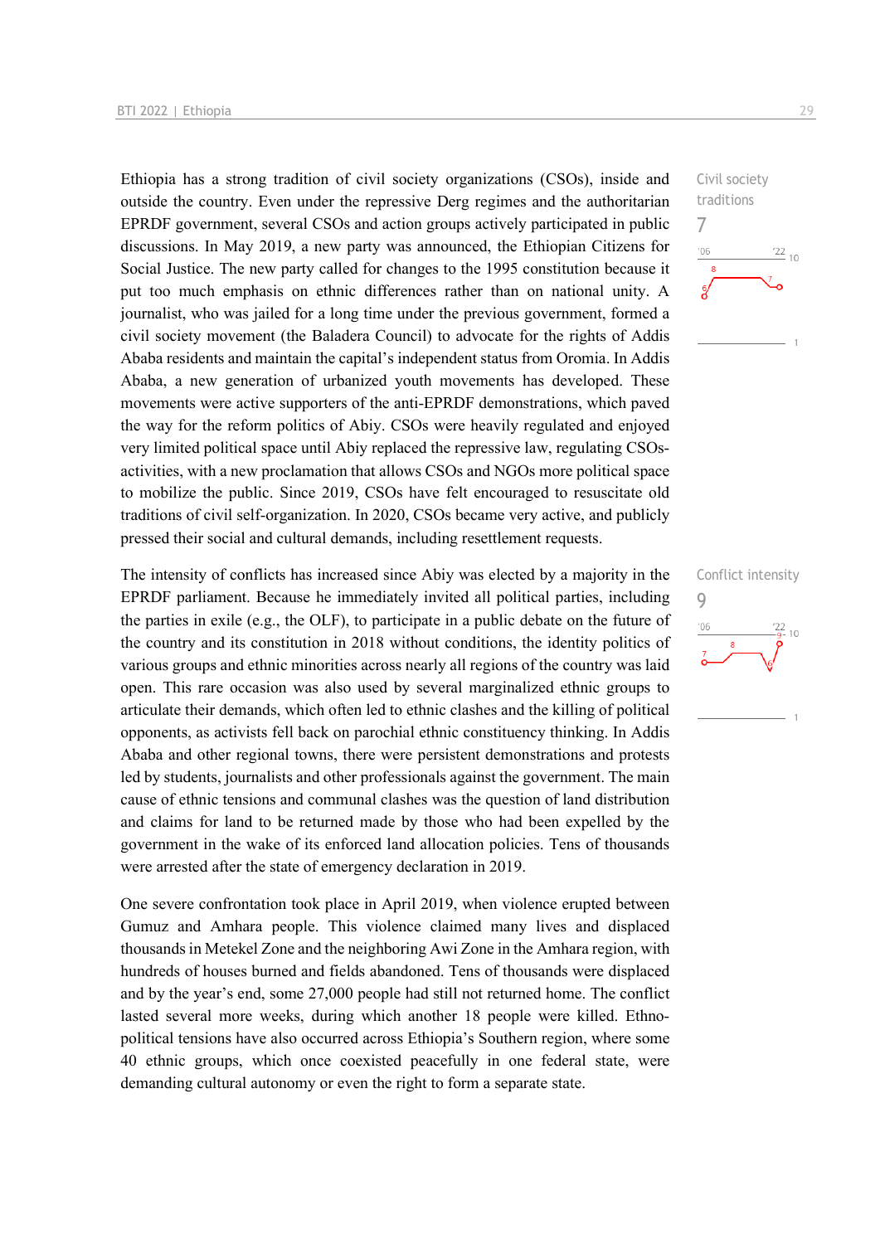Ethiopia has a strong tradition of civil society organizations (CSOs), inside and outside the country. Even under the repressive Derg regimes and the authoritarian EPRDF government, several CSOs and action groups actively participated in public discussions. In May 2019, a new party was announced, the Ethiopian Citizens for Social Justice. The new party called for changes to the 1995 constitution because it put too much emphasis on ethnic differences rather than on national unity. A journalist, who was jailed for a long time under the previous government, formed a civil society movement (the Baladera Council) to advocate for the rights of Addis Ababa residents and maintain the capital's independent status from Oromia. In Addis Ababa, a new generation of urbanized youth movements has developed. These movements were active supporters of the anti-EPRDF demonstrations, which paved the way for the reform politics of Abiy. CSOs were heavily regulated and enjoyed very limited political space until Abiy replaced the repressive law, regulating CSOsactivities, with a new proclamation that allows CSOs and NGOs more political space to mobilize the public. Since 2019, CSOs have felt encouraged to resuscitate old traditions of civil self-organization. In 2020, CSOs became very active, and publicly pressed their social and cultural demands, including resettlement requests.

The intensity of conflicts has increased since Abiy was elected by a majority in the EPRDF parliament. Because he immediately invited all political parties, including the parties in exile (e.g., the OLF), to participate in a public debate on the future of the country and its constitution in 2018 without conditions, the identity politics of various groups and ethnic minorities across nearly all regions of the country was laid open. This rare occasion was also used by several marginalized ethnic groups to articulate their demands, which often led to ethnic clashes and the killing of political opponents, as activists fell back on parochial ethnic constituency thinking. In Addis Ababa and other regional towns, there were persistent demonstrations and protests led by students, journalists and other professionals against the government. The main cause of ethnic tensions and communal clashes was the question of land distribution and claims for land to be returned made by those who had been expelled by the government in the wake of its enforced land allocation policies. Tens of thousands were arrested after the state of emergency declaration in 2019.

One severe confrontation took place in April 2019, when violence erupted between Gumuz and Amhara people. This violence claimed many lives and displaced thousands in Metekel Zone and the neighboring Awi Zone in the Amhara region, with hundreds of houses burned and fields abandoned. Tens of thousands were displaced and by the year's end, some 27,000 people had still not returned home. The conflict lasted several more weeks, during which another 18 people were killed. Ethnopolitical tensions have also occurred across Ethiopia's Southern region, where some 40 ethnic groups, which once coexisted peacefully in one federal state, were demanding cultural autonomy or even the right to form a separate state.



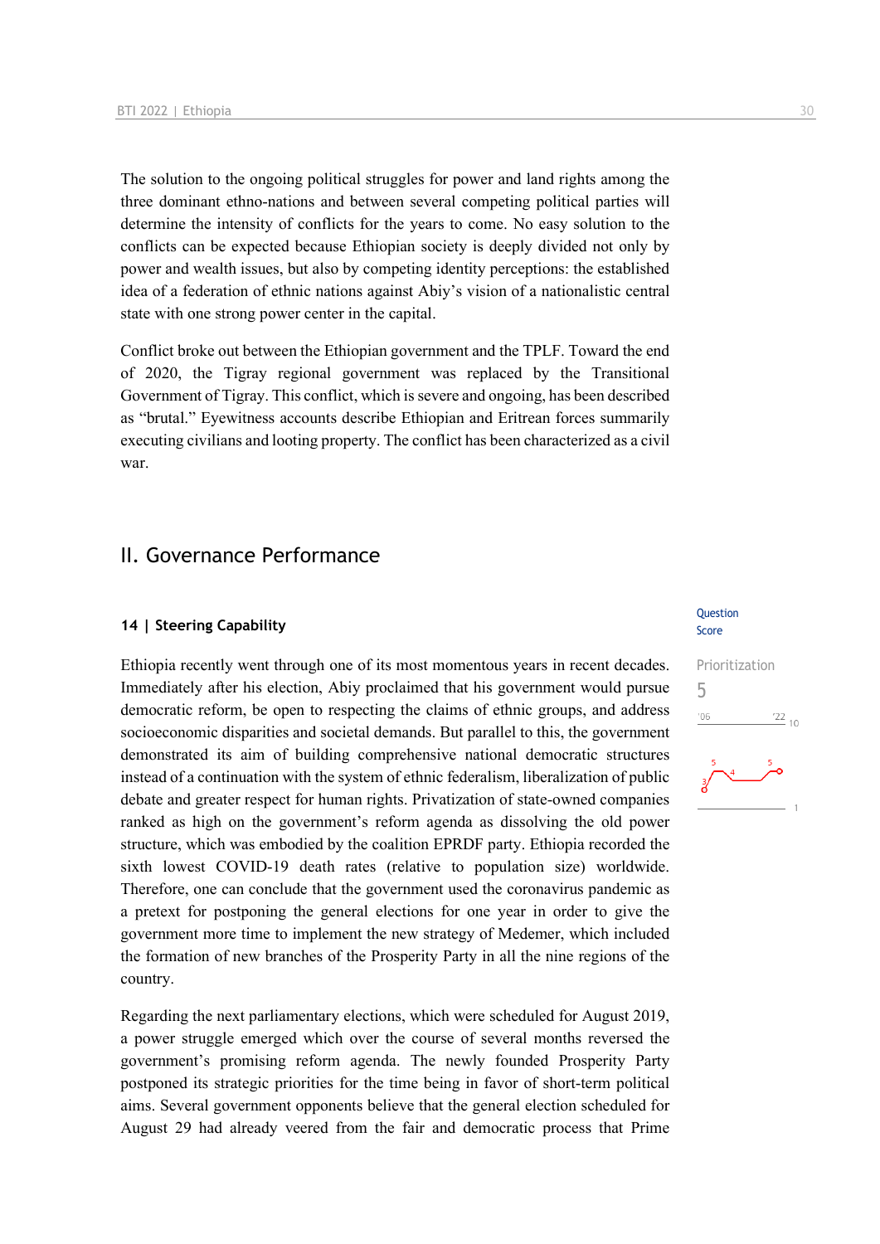The solution to the ongoing political struggles for power and land rights among the three dominant ethno-nations and between several competing political parties will determine the intensity of conflicts for the years to come. No easy solution to the conflicts can be expected because Ethiopian society is deeply divided not only by power and wealth issues, but also by competing identity perceptions: the established idea of a federation of ethnic nations against Abiy's vision of a nationalistic central state with one strong power center in the capital.

Conflict broke out between the Ethiopian government and the TPLF. Toward the end of 2020, the Tigray regional government was replaced by the Transitional Government of Tigray. This conflict, which is severe and ongoing, has been described as "brutal." Eyewitness accounts describe Ethiopian and Eritrean forces summarily executing civilians and looting property. The conflict has been characterized as a civil war.

### II. Governance Performance

#### **14 | Steering Capability**

Ethiopia recently went through one of its most momentous years in recent decades. Immediately after his election, Abiy proclaimed that his government would pursue democratic reform, be open to respecting the claims of ethnic groups, and address socioeconomic disparities and societal demands. But parallel to this, the government demonstrated its aim of building comprehensive national democratic structures instead of a continuation with the system of ethnic federalism, liberalization of public debate and greater respect for human rights. Privatization of state-owned companies ranked as high on the government's reform agenda as dissolving the old power structure, which was embodied by the coalition EPRDF party. Ethiopia recorded the sixth lowest COVID-19 death rates (relative to population size) worldwide. Therefore, one can conclude that the government used the coronavirus pandemic as a pretext for postponing the general elections for one year in order to give the government more time to implement the new strategy of Medemer, which included the formation of new branches of the Prosperity Party in all the nine regions of the country.

Regarding the next parliamentary elections, which were scheduled for August 2019, a power struggle emerged which over the course of several months reversed the government's promising reform agenda. The newly founded Prosperity Party postponed its strategic priorities for the time being in favor of short-term political aims. Several government opponents believe that the general election scheduled for August 29 had already veered from the fair and democratic process that Prime

#### **Question** Score

## Prioritization 5 $\frac{22}{10}$  $106$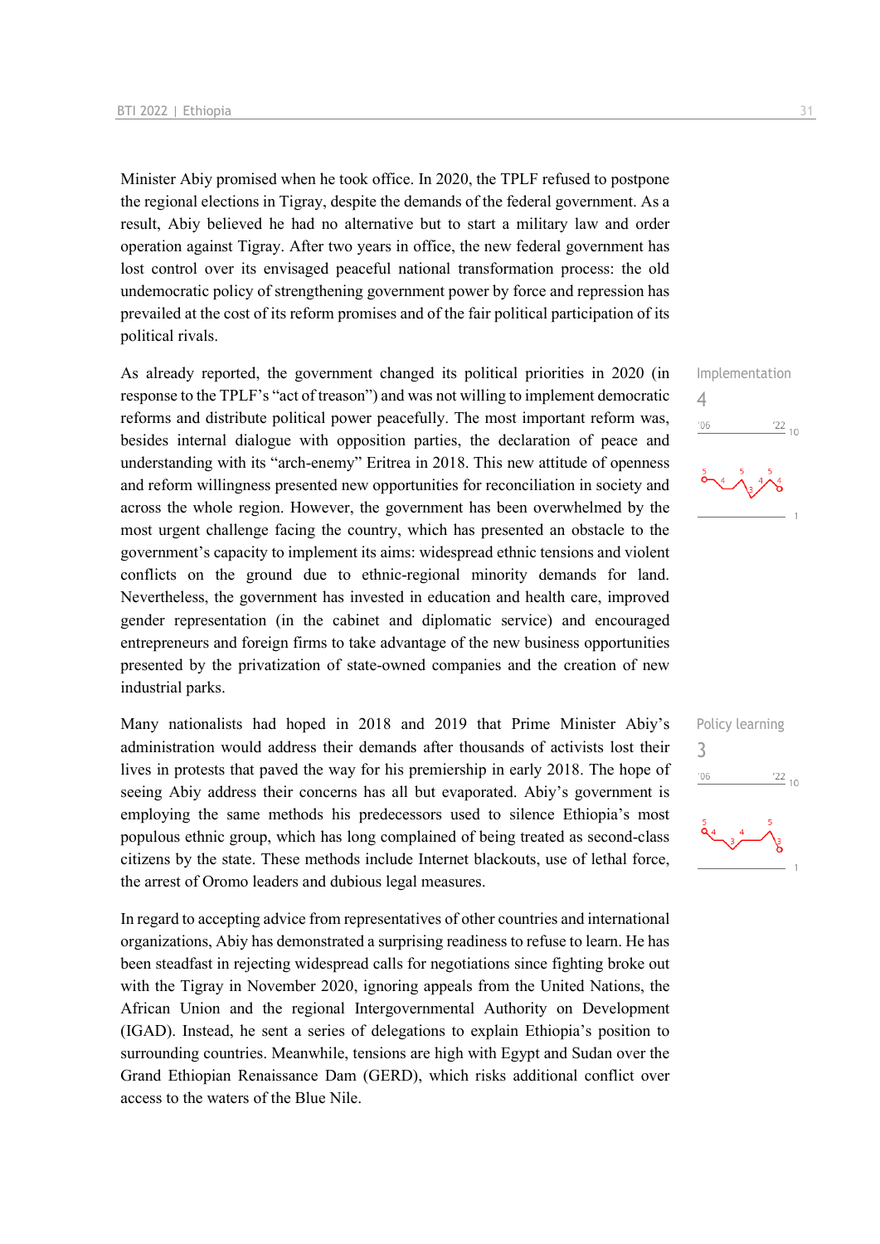Minister Abiy promised when he took office. In 2020, the TPLF refused to postpone the regional elections in Tigray, despite the demands of the federal government. As a result, Abiy believed he had no alternative but to start a military law and order operation against Tigray. After two years in office, the new federal government has lost control over its envisaged peaceful national transformation process: the old undemocratic policy of strengthening government power by force and repression has prevailed at the cost of its reform promises and of the fair political participation of its political rivals.

As already reported, the government changed its political priorities in 2020 (in response to the TPLF's "act of treason") and was not willing to implement democratic reforms and distribute political power peacefully. The most important reform was, besides internal dialogue with opposition parties, the declaration of peace and understanding with its "arch-enemy" Eritrea in 2018. This new attitude of openness and reform willingness presented new opportunities for reconciliation in society and across the whole region. However, the government has been overwhelmed by the most urgent challenge facing the country, which has presented an obstacle to the government's capacity to implement its aims: widespread ethnic tensions and violent conflicts on the ground due to ethnic-regional minority demands for land. Nevertheless, the government has invested in education and health care, improved gender representation (in the cabinet and diplomatic service) and encouraged entrepreneurs and foreign firms to take advantage of the new business opportunities presented by the privatization of state-owned companies and the creation of new industrial parks.

Many nationalists had hoped in 2018 and 2019 that Prime Minister Abiy's administration would address their demands after thousands of activists lost their lives in protests that paved the way for his premiership in early 2018. The hope of seeing Abiy address their concerns has all but evaporated. Abiy's government is employing the same methods his predecessors used to silence Ethiopia's most populous ethnic group, which has long complained of being treated as second-class citizens by the state. These methods include Internet blackouts, use of lethal force, the arrest of Oromo leaders and dubious legal measures.

In regard to accepting advice from representatives of other countries and international organizations, Abiy has demonstrated a surprising readiness to refuse to learn. He has been steadfast in rejecting widespread calls for negotiations since fighting broke out with the Tigray in November 2020, ignoring appeals from the United Nations, the African Union and the regional Intergovernmental Authority on Development (IGAD). Instead, he sent a series of delegations to explain Ethiopia's position to surrounding countries. Meanwhile, tensions are high with Egypt and Sudan over the Grand Ethiopian Renaissance Dam (GERD), which risks additional conflict over access to the waters of the Blue Nile.



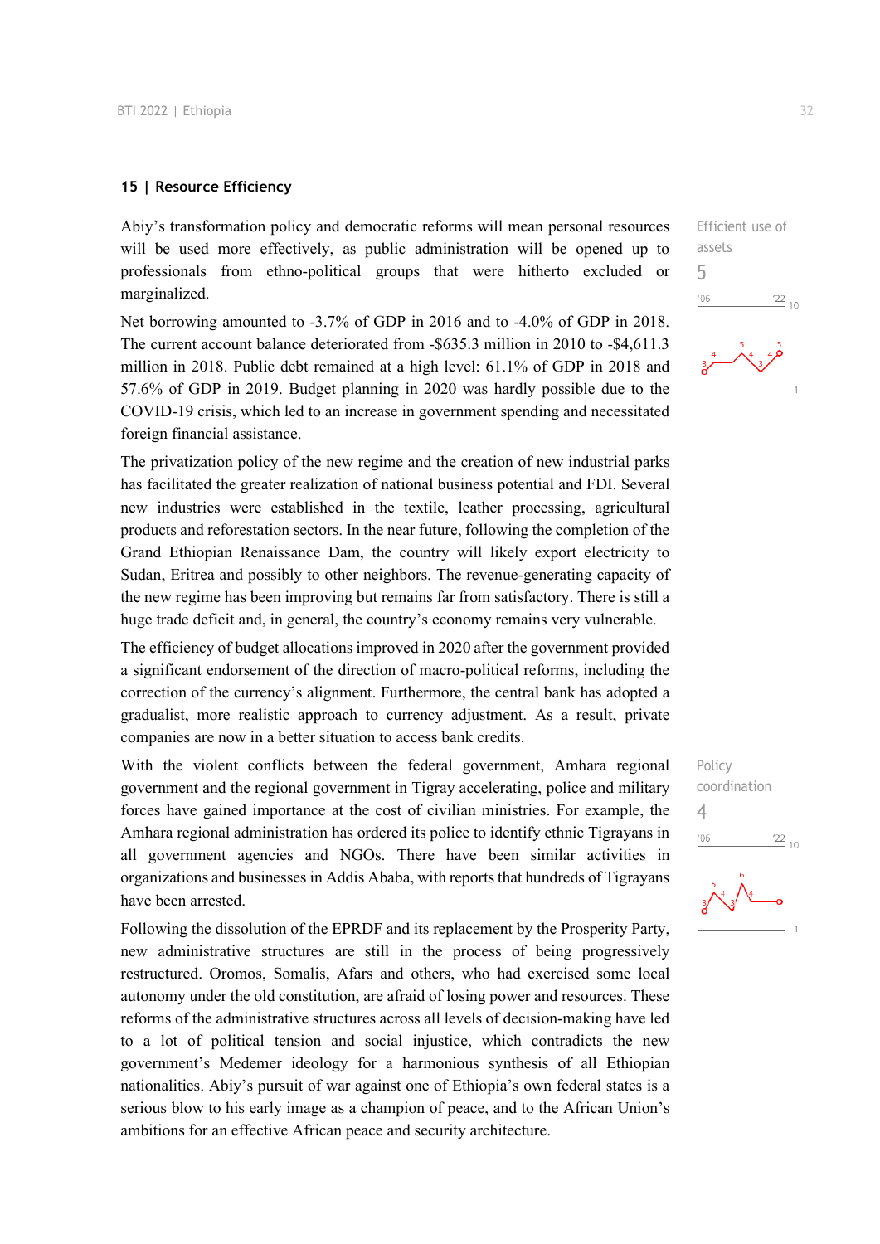#### **15 | Resource Efficiency**

Abiy's transformation policy and democratic reforms will mean personal resources will be used more effectively, as public administration will be opened up to professionals from ethno-political groups that were hitherto excluded or marginalized.

Net borrowing amounted to -3.7% of GDP in 2016 and to -4.0% of GDP in 2018. The current account balance deteriorated from -\$635.3 million in 2010 to -\$4,611.3 million in 2018. Public debt remained at a high level: 61.1% of GDP in 2018 and 57.6% of GDP in 2019. Budget planning in 2020 was hardly possible due to the COVID-19 crisis, which led to an increase in government spending and necessitated foreign financial assistance.

The privatization policy of the new regime and the creation of new industrial parks has facilitated the greater realization of national business potential and FDI. Several new industries were established in the textile, leather processing, agricultural products and reforestation sectors. In the near future, following the completion of the Grand Ethiopian Renaissance Dam, the country will likely export electricity to Sudan, Eritrea and possibly to other neighbors. The revenue-generating capacity of the new regime has been improving but remains far from satisfactory. There is still a huge trade deficit and, in general, the country's economy remains very vulnerable.

The efficiency of budget allocations improved in 2020 after the government provided a significant endorsement of the direction of macro-political reforms, including the correction of the currency's alignment. Furthermore, the central bank has adopted a gradualist, more realistic approach to currency adjustment. As a result, private companies are now in a better situation to access bank credits.

With the violent conflicts between the federal government, Amhara regional government and the regional government in Tigray accelerating, police and military forces have gained importance at the cost of civilian ministries. For example, the Amhara regional administration has ordered its police to identify ethnic Tigrayans in all government agencies and NGOs. There have been similar activities in organizations and businesses in Addis Ababa, with reports that hundreds of Tigrayans have been arrested.

Following the dissolution of the EPRDF and its replacement by the Prosperity Party, new administrative structures are still in the process of being progressively restructured. Oromos, Somalis, Afars and others, who had exercised some local autonomy under the old constitution, are afraid of losing power and resources. These reforms of the administrative structures across all levels of decision-making have led to a lot of political tension and social injustice, which contradicts the new government's Medemer ideology for a harmonious synthesis of all Ethiopian nationalities. Abiy's pursuit of war against one of Ethiopia's own federal states is a serious blow to his early image as a champion of peace, and to the African Union's ambitions for an effective African peace and security architecture.

Efficient use of assets 5  $^{\prime}06$  $\frac{22}{10}$ 

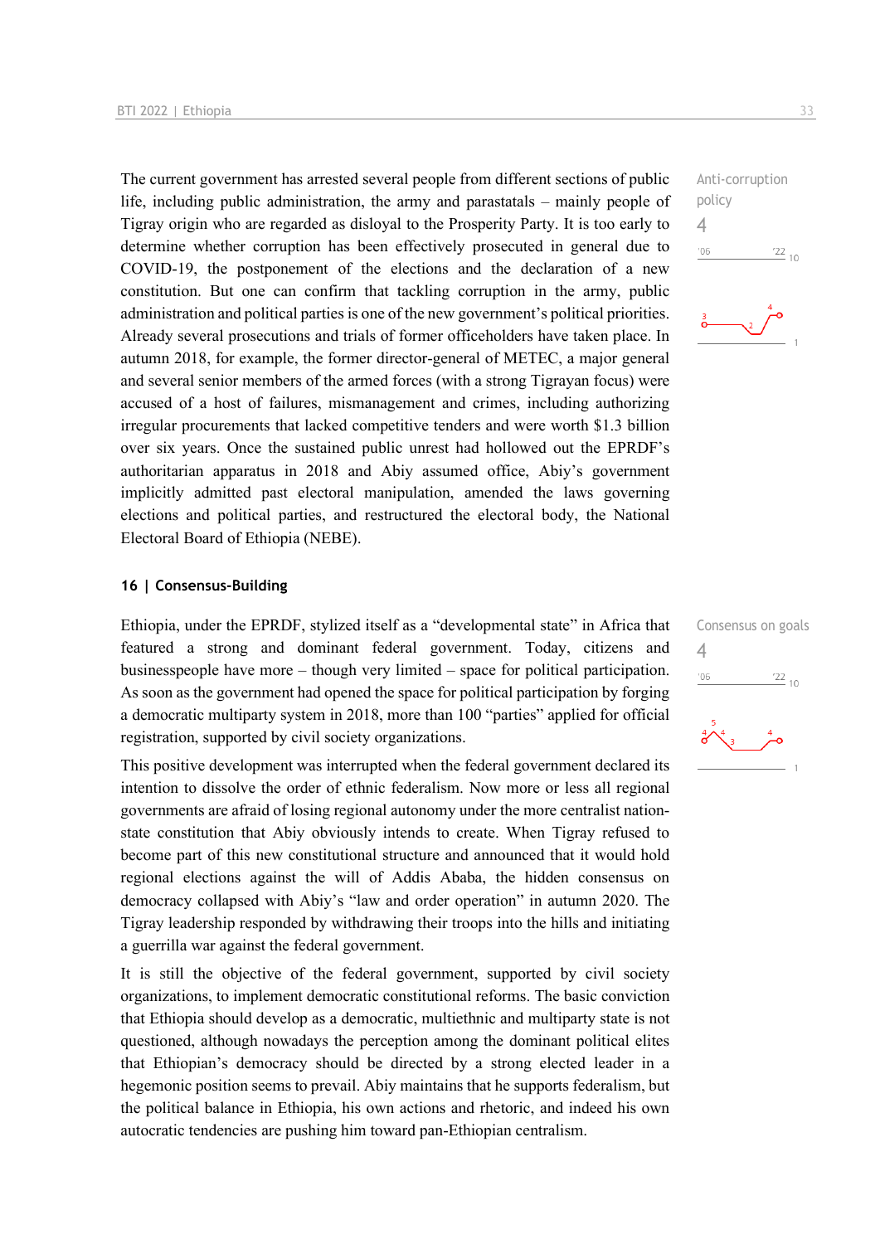The current government has arrested several people from different sections of public life, including public administration, the army and parastatals – mainly people of Tigray origin who are regarded as disloyal to the Prosperity Party. It is too early to determine whether corruption has been effectively prosecuted in general due to COVID-19, the postponement of the elections and the declaration of a new constitution. But one can confirm that tackling corruption in the army, public administration and political parties is one of the new government's political priorities. Already several prosecutions and trials of former officeholders have taken place. In autumn 2018, for example, the former director-general of METEC, a major general and several senior members of the armed forces (with a strong Tigrayan focus) were accused of a host of failures, mismanagement and crimes, including authorizing irregular procurements that lacked competitive tenders and were worth \$1.3 billion over six years. Once the sustained public unrest had hollowed out the EPRDF's authoritarian apparatus in 2018 and Abiy assumed office, Abiy's government implicitly admitted past electoral manipulation, amended the laws governing elections and political parties, and restructured the electoral body, the National Electoral Board of Ethiopia (NEBE).

#### **16 | Consensus-Building**

Ethiopia, under the EPRDF, stylized itself as a "developmental state" in Africa that featured a strong and dominant federal government. Today, citizens and businesspeople have more – though very limited – space for political participation. As soon as the government had opened the space for political participation by forging a democratic multiparty system in 2018, more than 100 "parties" applied for official registration, supported by civil society organizations.

This positive development was interrupted when the federal government declared its intention to dissolve the order of ethnic federalism. Now more or less all regional governments are afraid of losing regional autonomy under the more centralist nationstate constitution that Abiy obviously intends to create. When Tigray refused to become part of this new constitutional structure and announced that it would hold regional elections against the will of Addis Ababa, the hidden consensus on democracy collapsed with Abiy's "law and order operation" in autumn 2020. The Tigray leadership responded by withdrawing their troops into the hills and initiating a guerrilla war against the federal government.

It is still the objective of the federal government, supported by civil society organizations, to implement democratic constitutional reforms. The basic conviction that Ethiopia should develop as a democratic, multiethnic and multiparty state is not questioned, although nowadays the perception among the dominant political elites that Ethiopian's democracy should be directed by a strong elected leader in a hegemonic position seems to prevail. Abiy maintains that he supports federalism, but the political balance in Ethiopia, his own actions and rhetoric, and indeed his own autocratic tendencies are pushing him toward pan-Ethiopian centralism.

Anti-corruption policy  $\Delta$  $-06$  $\frac{22}{10}$ 



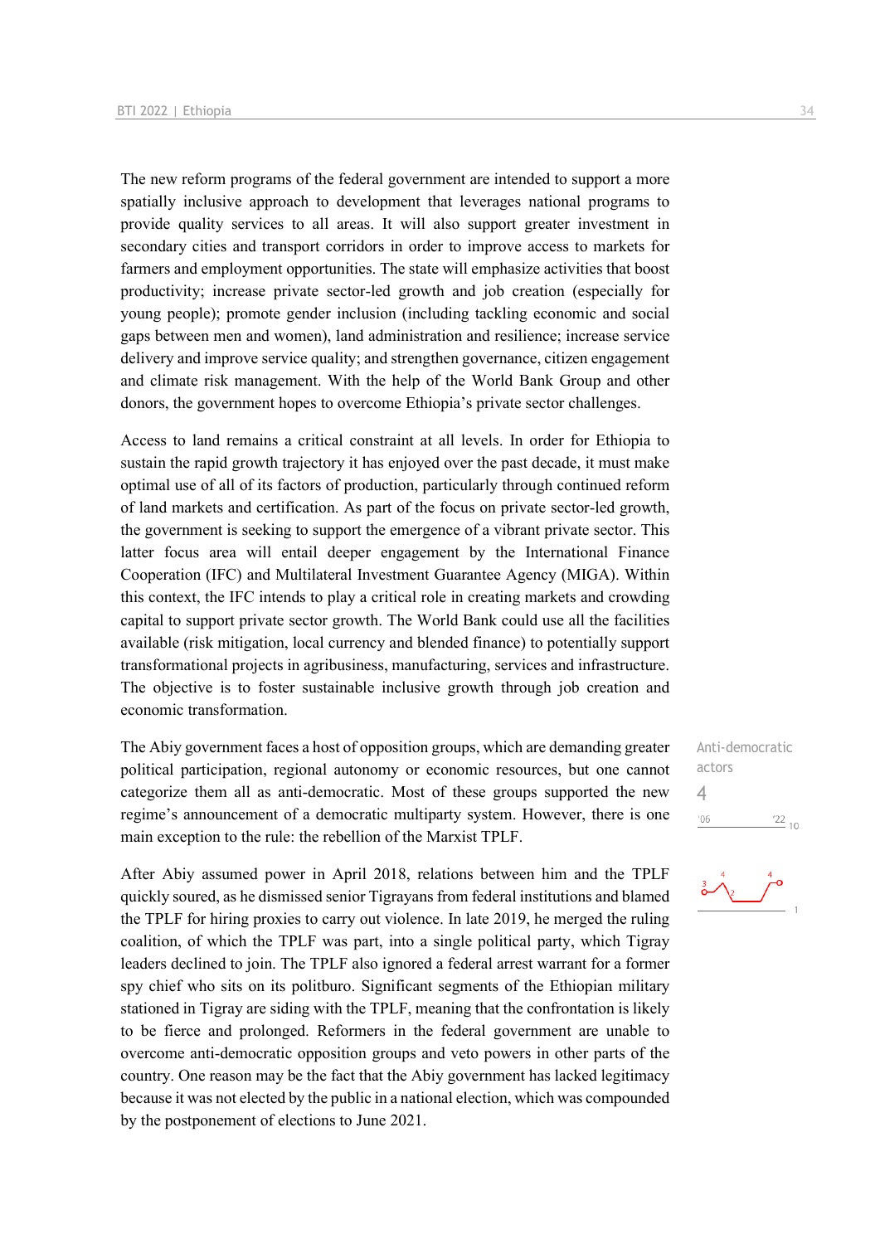The new reform programs of the federal government are intended to support a more spatially inclusive approach to development that leverages national programs to provide quality services to all areas. It will also support greater investment in secondary cities and transport corridors in order to improve access to markets for farmers and employment opportunities. The state will emphasize activities that boost productivity; increase private sector-led growth and job creation (especially for young people); promote gender inclusion (including tackling economic and social gaps between men and women), land administration and resilience; increase service delivery and improve service quality; and strengthen governance, citizen engagement and climate risk management. With the help of the World Bank Group and other donors, the government hopes to overcome Ethiopia's private sector challenges.

Access to land remains a critical constraint at all levels. In order for Ethiopia to sustain the rapid growth trajectory it has enjoyed over the past decade, it must make optimal use of all of its factors of production, particularly through continued reform of land markets and certification. As part of the focus on private sector-led growth, the government is seeking to support the emergence of a vibrant private sector. This latter focus area will entail deeper engagement by the International Finance Cooperation (IFC) and Multilateral Investment Guarantee Agency (MIGA). Within this context, the IFC intends to play a critical role in creating markets and crowding capital to support private sector growth. The World Bank could use all the facilities available (risk mitigation, local currency and blended finance) to potentially support transformational projects in agribusiness, manufacturing, services and infrastructure. The objective is to foster sustainable inclusive growth through job creation and economic transformation.

The Abiy government faces a host of opposition groups, which are demanding greater political participation, regional autonomy or economic resources, but one cannot categorize them all as anti-democratic. Most of these groups supported the new regime's announcement of a democratic multiparty system. However, there is one main exception to the rule: the rebellion of the Marxist TPLF.

After Abiy assumed power in April 2018, relations between him and the TPLF quickly soured, as he dismissed senior Tigrayans from federal institutions and blamed the TPLF for hiring proxies to carry out violence. In late 2019, he merged the ruling coalition, of which the TPLF was part, into a single political party, which Tigray leaders declined to join. The TPLF also ignored a federal arrest warrant for a former spy chief who sits on its politburo. Significant segments of the Ethiopian military stationed in Tigray are siding with the TPLF, meaning that the confrontation is likely to be fierce and prolonged. Reformers in the federal government are unable to overcome anti-democratic opposition groups and veto powers in other parts of the country. One reason may be the fact that the Abiy government has lacked legitimacy because it was not elected by the public in a national election, which was compounded by the postponement of elections to June 2021.

Anti-democratic actors 4 $'06$  $\frac{22}{10}$ 

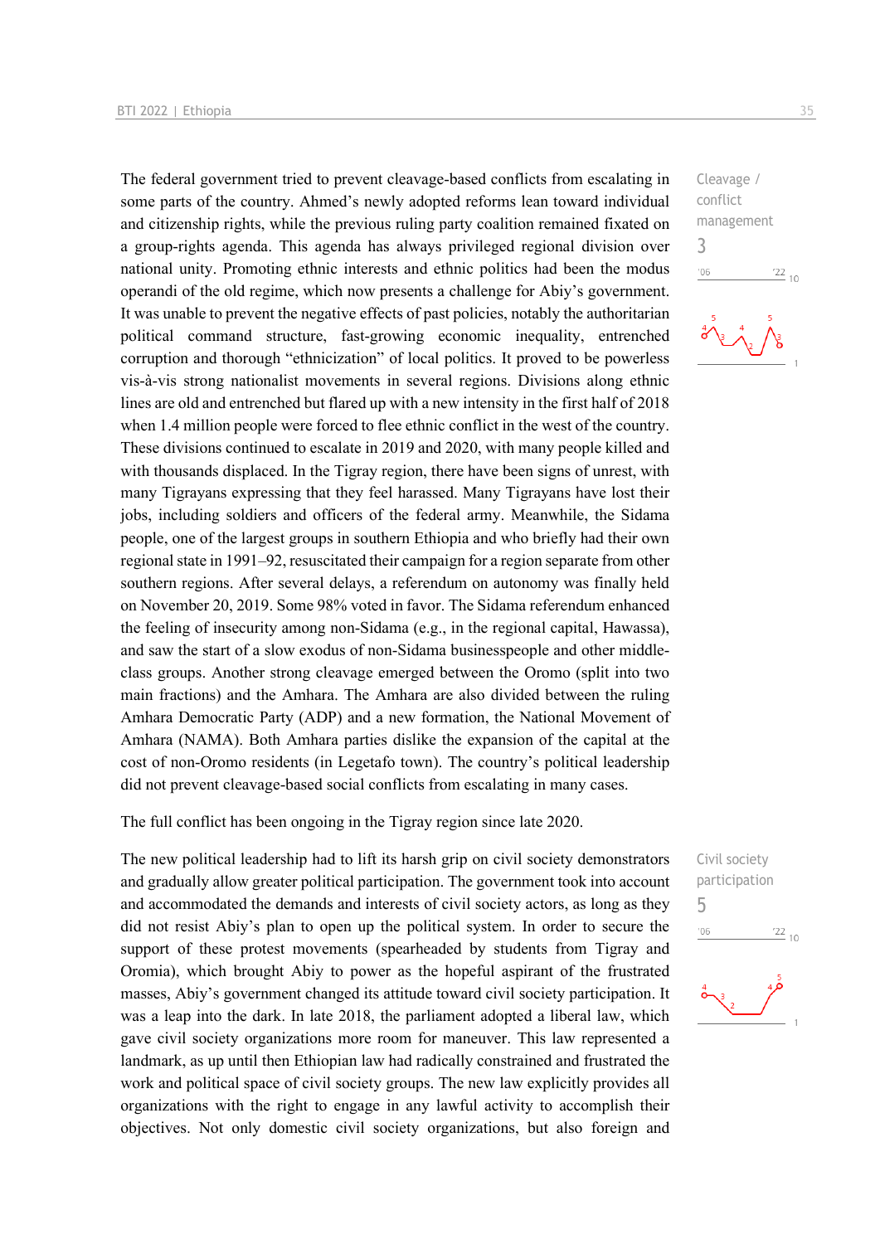The federal government tried to prevent cleavage-based conflicts from escalating in some parts of the country. Ahmed's newly adopted reforms lean toward individual and citizenship rights, while the previous ruling party coalition remained fixated on a group-rights agenda. This agenda has always privileged regional division over national unity. Promoting ethnic interests and ethnic politics had been the modus operandi of the old regime, which now presents a challenge for Abiy's government. It was unable to prevent the negative effects of past policies, notably the authoritarian political command structure, fast-growing economic inequality, entrenched corruption and thorough "ethnicization" of local politics. It proved to be powerless vis-à-vis strong nationalist movements in several regions. Divisions along ethnic lines are old and entrenched but flared up with a new intensity in the first half of 2018 when 1.4 million people were forced to flee ethnic conflict in the west of the country. These divisions continued to escalate in 2019 and 2020, with many people killed and with thousands displaced. In the Tigray region, there have been signs of unrest, with many Tigrayans expressing that they feel harassed. Many Tigrayans have lost their jobs, including soldiers and officers of the federal army. Meanwhile, the Sidama people, one of the largest groups in southern Ethiopia and who briefly had their own regional state in 1991–92, resuscitated their campaign for a region separate from other southern regions. After several delays, a referendum on autonomy was finally held on November 20, 2019. Some 98% voted in favor. The Sidama referendum enhanced the feeling of insecurity among non-Sidama (e.g., in the regional capital, Hawassa), and saw the start of a slow exodus of non-Sidama businesspeople and other middleclass groups. Another strong cleavage emerged between the Oromo (split into two main fractions) and the Amhara. The Amhara are also divided between the ruling Amhara Democratic Party (ADP) and a new formation, the National Movement of Amhara (NAMA). Both Amhara parties dislike the expansion of the capital at the cost of non-Oromo residents (in Legetafo town). The country's political leadership did not prevent cleavage-based social conflicts from escalating in many cases.

The full conflict has been ongoing in the Tigray region since late 2020.

The new political leadership had to lift its harsh grip on civil society demonstrators and gradually allow greater political participation. The government took into account and accommodated the demands and interests of civil society actors, as long as they did not resist Abiy's plan to open up the political system. In order to secure the support of these protest movements (spearheaded by students from Tigray and Oromia), which brought Abiy to power as the hopeful aspirant of the frustrated masses, Abiy's government changed its attitude toward civil society participation. It was a leap into the dark. In late 2018, the parliament adopted a liberal law, which gave civil society organizations more room for maneuver. This law represented a landmark, as up until then Ethiopian law had radically constrained and frustrated the work and political space of civil society groups. The new law explicitly provides all organizations with the right to engage in any lawful activity to accomplish their objectives. Not only domestic civil society organizations, but also foreign and

Cleavage / conflict management 3  $-06$  $\frac{22}{10}$ 



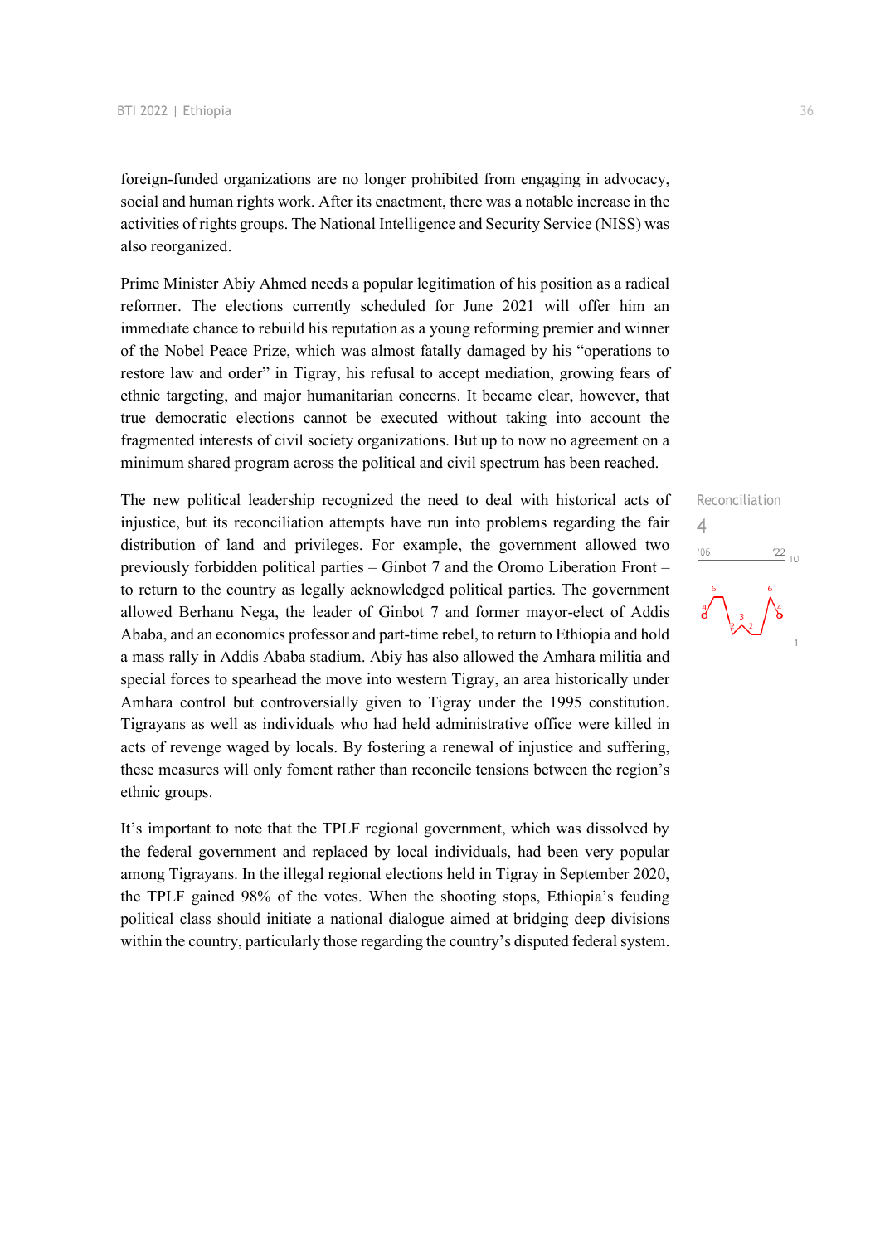foreign-funded organizations are no longer prohibited from engaging in advocacy, social and human rights work. After its enactment, there was a notable increase in the activities of rights groups. The National Intelligence and Security Service (NISS) was also reorganized.

Prime Minister Abiy Ahmed needs a popular legitimation of his position as a radical reformer. The elections currently scheduled for June 2021 will offer him an immediate chance to rebuild his reputation as a young reforming premier and winner of the Nobel Peace Prize, which was almost fatally damaged by his "operations to restore law and order" in Tigray, his refusal to accept mediation, growing fears of ethnic targeting, and major humanitarian concerns. It became clear, however, that true democratic elections cannot be executed without taking into account the fragmented interests of civil society organizations. But up to now no agreement on a minimum shared program across the political and civil spectrum has been reached.

The new political leadership recognized the need to deal with historical acts of injustice, but its reconciliation attempts have run into problems regarding the fair distribution of land and privileges. For example, the government allowed two previously forbidden political parties – Ginbot 7 and the Oromo Liberation Front – to return to the country as legally acknowledged political parties. The government allowed Berhanu Nega, the leader of Ginbot 7 and former mayor-elect of Addis Ababa, and an economics professor and part-time rebel, to return to Ethiopia and hold a mass rally in Addis Ababa stadium. Abiy has also allowed the Amhara militia and special forces to spearhead the move into western Tigray, an area historically under Amhara control but controversially given to Tigray under the 1995 constitution. Tigrayans as well as individuals who had held administrative office were killed in acts of revenge waged by locals. By fostering a renewal of injustice and suffering, these measures will only foment rather than reconcile tensions between the region's ethnic groups.

It's important to note that the TPLF regional government, which was dissolved by the federal government and replaced by local individuals, had been very popular among Tigrayans. In the illegal regional elections held in Tigray in September 2020, the TPLF gained 98% of the votes. When the shooting stops, Ethiopia's feuding political class should initiate a national dialogue aimed at bridging deep divisions within the country, particularly those regarding the country's disputed federal system.

## Reconciliation 4 $\frac{22}{10}$  $^{\prime}06$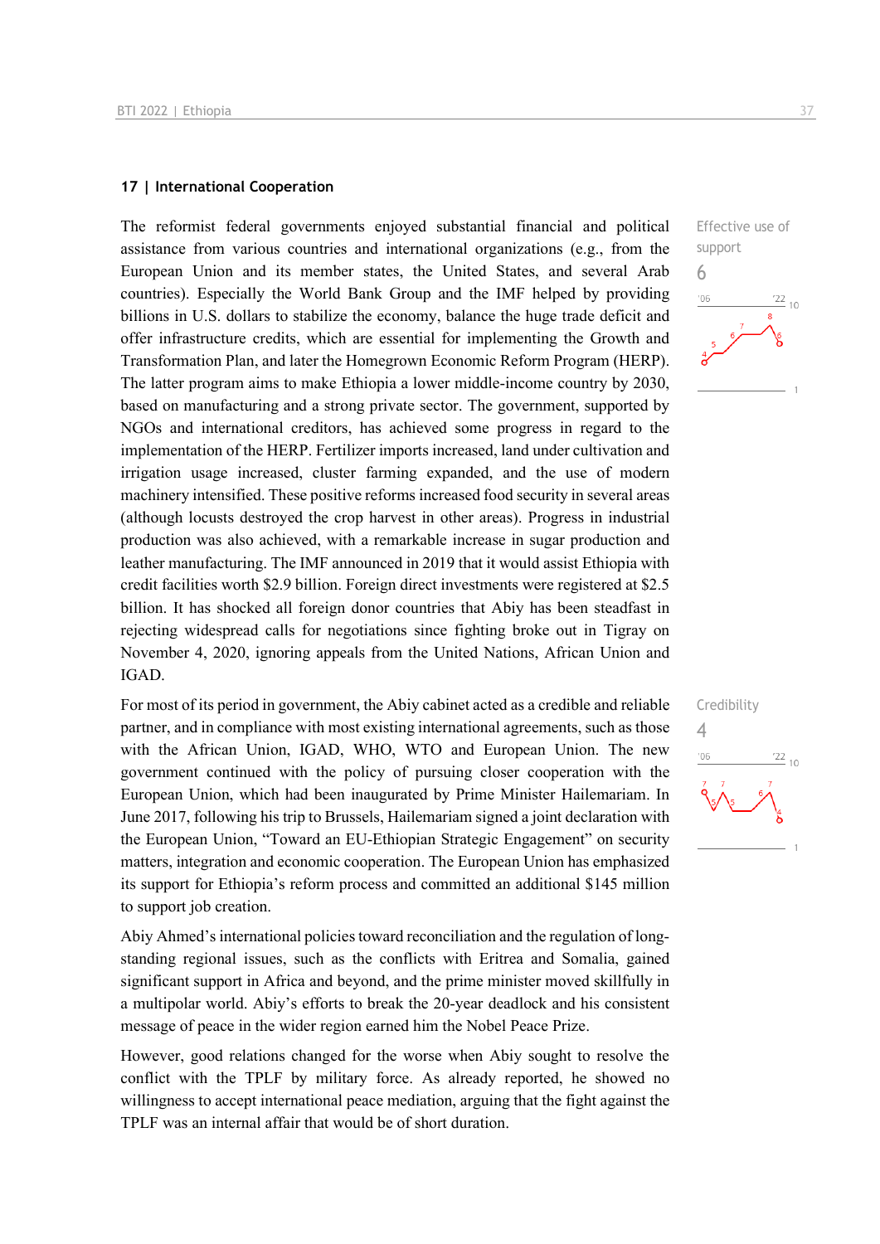#### **17 | International Cooperation**

The reformist federal governments enjoyed substantial financial and political assistance from various countries and international organizations (e.g., from the European Union and its member states, the United States, and several Arab countries). Especially the World Bank Group and the IMF helped by providing billions in U.S. dollars to stabilize the economy, balance the huge trade deficit and offer infrastructure credits, which are essential for implementing the Growth and Transformation Plan, and later the Homegrown Economic Reform Program (HERP). The latter program aims to make Ethiopia a lower middle-income country by 2030, based on manufacturing and a strong private sector. The government, supported by NGOs and international creditors, has achieved some progress in regard to the implementation of the HERP. Fertilizer imports increased, land under cultivation and irrigation usage increased, cluster farming expanded, and the use of modern machinery intensified. These positive reforms increased food security in several areas (although locusts destroyed the crop harvest in other areas). Progress in industrial production was also achieved, with a remarkable increase in sugar production and leather manufacturing. The IMF announced in 2019 that it would assist Ethiopia with credit facilities worth \$2.9 billion. Foreign direct investments were registered at \$2.5 billion. It has shocked all foreign donor countries that Abiy has been steadfast in rejecting widespread calls for negotiations since fighting broke out in Tigray on November 4, 2020, ignoring appeals from the United Nations, African Union and IGAD.

For most of its period in government, the Abiy cabinet acted as a credible and reliable partner, and in compliance with most existing international agreements, such as those with the African Union, IGAD, WHO, WTO and European Union. The new government continued with the policy of pursuing closer cooperation with the European Union, which had been inaugurated by Prime Minister Hailemariam. In June 2017, following his trip to Brussels, Hailemariam signed a joint declaration with the European Union, "Toward an EU-Ethiopian Strategic Engagement" on security matters, integration and economic cooperation. The European Union has emphasized its support for Ethiopia's reform process and committed an additional \$145 million to support job creation.

Abiy Ahmed's international policies toward reconciliation and the regulation of longstanding regional issues, such as the conflicts with Eritrea and Somalia, gained significant support in Africa and beyond, and the prime minister moved skillfully in a multipolar world. Abiy's efforts to break the 20-year deadlock and his consistent message of peace in the wider region earned him the Nobel Peace Prize.

However, good relations changed for the worse when Abiy sought to resolve the conflict with the TPLF by military force. As already reported, he showed no willingness to accept international peace mediation, arguing that the fight against the TPLF was an internal affair that would be of short duration.



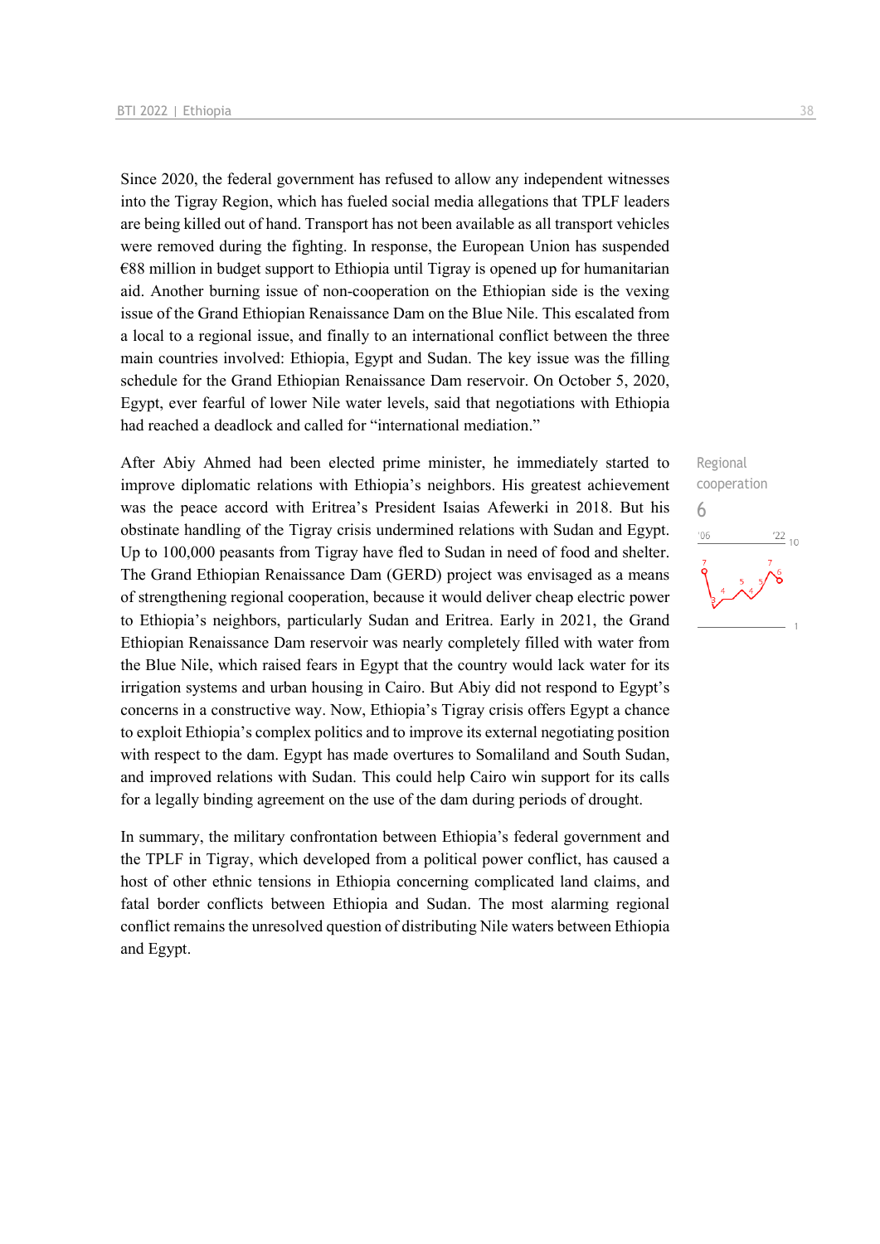Since 2020, the federal government has refused to allow any independent witnesses into the Tigray Region, which has fueled social media allegations that TPLF leaders are being killed out of hand. Transport has not been available as all transport vehicles were removed during the fighting. In response, the European Union has suspended  $€88$  million in budget support to Ethiopia until Tigray is opened up for humanitarian aid. Another burning issue of non-cooperation on the Ethiopian side is the vexing issue of the Grand Ethiopian Renaissance Dam on the Blue Nile. This escalated from a local to a regional issue, and finally to an international conflict between the three main countries involved: Ethiopia, Egypt and Sudan. The key issue was the filling schedule for the Grand Ethiopian Renaissance Dam reservoir. On October 5, 2020, Egypt, ever fearful of lower Nile water levels, said that negotiations with Ethiopia had reached a deadlock and called for "international mediation."

After Abiy Ahmed had been elected prime minister, he immediately started to improve diplomatic relations with Ethiopia's neighbors. His greatest achievement was the peace accord with Eritrea's President Isaias Afewerki in 2018. But his obstinate handling of the Tigray crisis undermined relations with Sudan and Egypt. Up to 100,000 peasants from Tigray have fled to Sudan in need of food and shelter. The Grand Ethiopian Renaissance Dam (GERD) project was envisaged as a means of strengthening regional cooperation, because it would deliver cheap electric power to Ethiopia's neighbors, particularly Sudan and Eritrea. Early in 2021, the Grand Ethiopian Renaissance Dam reservoir was nearly completely filled with water from the Blue Nile, which raised fears in Egypt that the country would lack water for its irrigation systems and urban housing in Cairo. But Abiy did not respond to Egypt's concerns in a constructive way. Now, Ethiopia's Tigray crisis offers Egypt a chance to exploit Ethiopia's complex politics and to improve its external negotiating position with respect to the dam. Egypt has made overtures to Somaliland and South Sudan, and improved relations with Sudan. This could help Cairo win support for its calls for a legally binding agreement on the use of the dam during periods of drought.

In summary, the military confrontation between Ethiopia's federal government and the TPLF in Tigray, which developed from a political power conflict, has caused a host of other ethnic tensions in Ethiopia concerning complicated land claims, and fatal border conflicts between Ethiopia and Sudan. The most alarming regional conflict remains the unresolved question of distributing Nile waters between Ethiopia and Egypt.

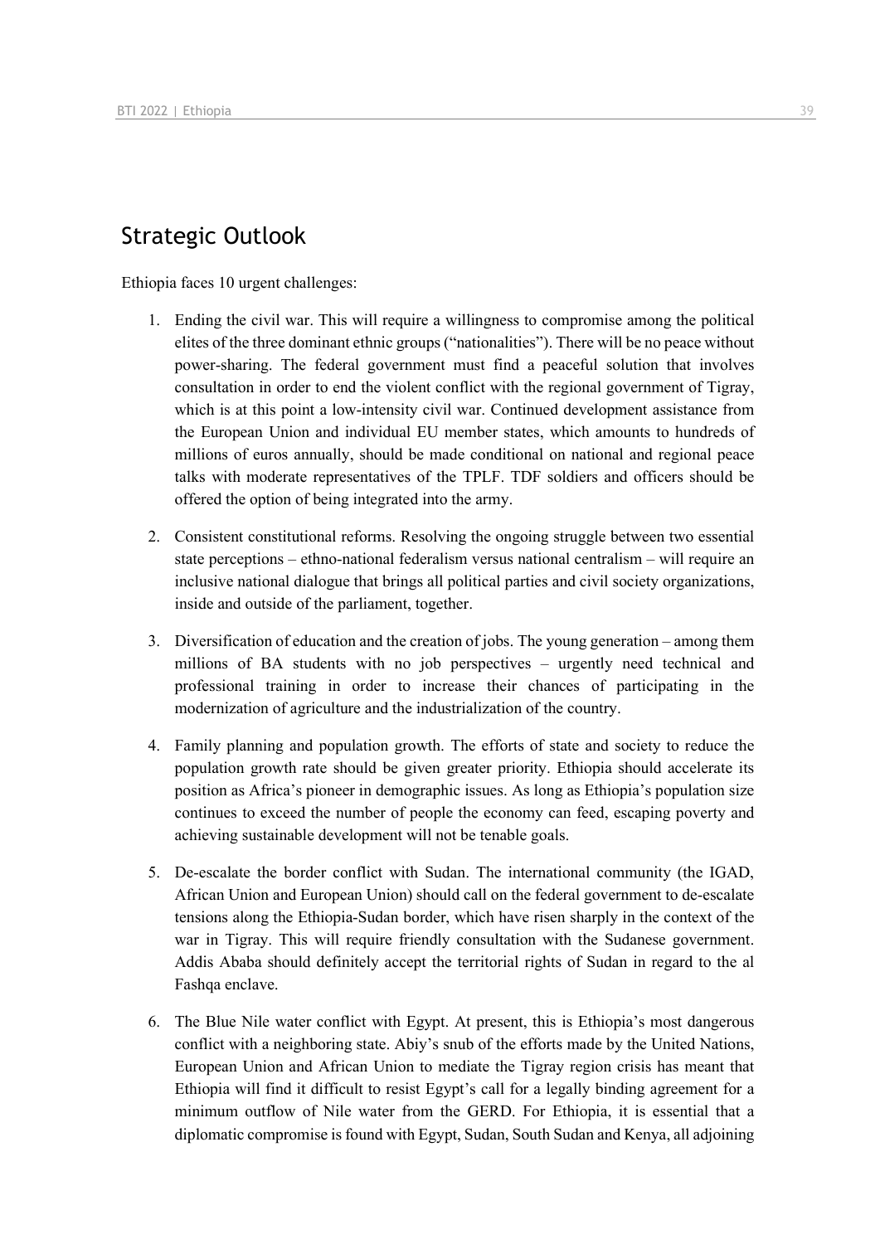## Strategic Outlook

Ethiopia faces 10 urgent challenges:

- 1. Ending the civil war. This will require a willingness to compromise among the political elites of the three dominant ethnic groups ("nationalities"). There will be no peace without power-sharing. The federal government must find a peaceful solution that involves consultation in order to end the violent conflict with the regional government of Tigray, which is at this point a low-intensity civil war. Continued development assistance from the European Union and individual EU member states, which amounts to hundreds of millions of euros annually, should be made conditional on national and regional peace talks with moderate representatives of the TPLF. TDF soldiers and officers should be offered the option of being integrated into the army.
- 2. Consistent constitutional reforms. Resolving the ongoing struggle between two essential state perceptions – ethno-national federalism versus national centralism – will require an inclusive national dialogue that brings all political parties and civil society organizations, inside and outside of the parliament, together.
- 3. Diversification of education and the creation of jobs. The young generation among them millions of BA students with no job perspectives – urgently need technical and professional training in order to increase their chances of participating in the modernization of agriculture and the industrialization of the country.
- 4. Family planning and population growth. The efforts of state and society to reduce the population growth rate should be given greater priority. Ethiopia should accelerate its position as Africa's pioneer in demographic issues. As long as Ethiopia's population size continues to exceed the number of people the economy can feed, escaping poverty and achieving sustainable development will not be tenable goals.
- 5. De-escalate the border conflict with Sudan. The international community (the IGAD, African Union and European Union) should call on the federal government to de-escalate tensions along the Ethiopia-Sudan border, which have risen sharply in the context of the war in Tigray. This will require friendly consultation with the Sudanese government. Addis Ababa should definitely accept the territorial rights of Sudan in regard to the al Fashqa enclave.
- 6. The Blue Nile water conflict with Egypt. At present, this is Ethiopia's most dangerous conflict with a neighboring state. Abiy's snub of the efforts made by the United Nations, European Union and African Union to mediate the Tigray region crisis has meant that Ethiopia will find it difficult to resist Egypt's call for a legally binding agreement for a minimum outflow of Nile water from the GERD. For Ethiopia, it is essential that a diplomatic compromise is found with Egypt, Sudan, South Sudan and Kenya, all adjoining